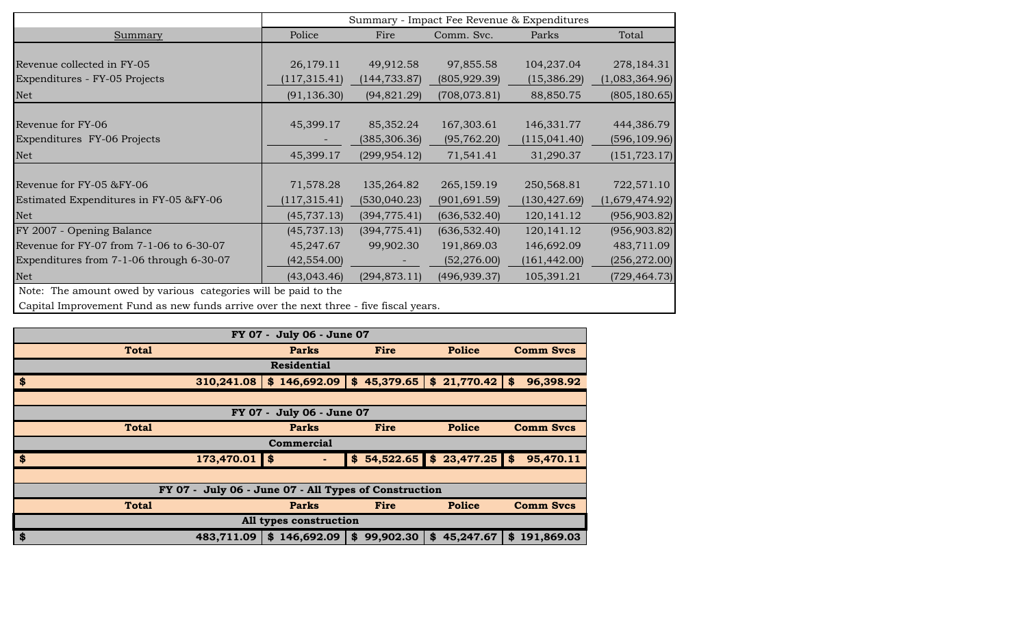|                                          | Summary - Impact Fee Revenue & Expenditures |               |               |               |                |  |  |  |  |  |  |  |  |
|------------------------------------------|---------------------------------------------|---------------|---------------|---------------|----------------|--|--|--|--|--|--|--|--|
| <b>Summary</b>                           | Police                                      | Fire          | Comm. Svc.    | Parks         | Total          |  |  |  |  |  |  |  |  |
|                                          |                                             |               |               |               |                |  |  |  |  |  |  |  |  |
| Revenue collected in FY-05               | 26,179.11                                   | 49,912.58     | 97,855.58     | 104,237.04    | 278,184.31     |  |  |  |  |  |  |  |  |
| Expenditures - FY-05 Projects            | (117, 315.41)                               | (144, 733.87) | (805, 929.39) | (15,386.29)   | (1,083,364.96) |  |  |  |  |  |  |  |  |
| Net                                      | (91, 136.30)                                | (94, 821.29)  | (708, 073.81) | 88,850.75     | (805, 180.65)  |  |  |  |  |  |  |  |  |
|                                          |                                             |               |               |               |                |  |  |  |  |  |  |  |  |
| Revenue for FY-06                        | 45,399.17                                   | 85,352.24     | 167,303.61    | 146,331.77    | 444,386.79     |  |  |  |  |  |  |  |  |
| Expenditures FY-06 Projects              |                                             | (385, 306.36) | (95, 762.20)  | (115, 041.40) | (596, 109.96)  |  |  |  |  |  |  |  |  |
| <b>Net</b>                               | 45,399.17                                   | (299, 954.12) | 71,541.41     | 31,290.37     | (151, 723.17)  |  |  |  |  |  |  |  |  |
|                                          |                                             |               |               |               |                |  |  |  |  |  |  |  |  |
| Revenue for FY-05 &FY-06                 | 71,578.28                                   | 135,264.82    | 265,159.19    | 250,568.81    | 722,571.10     |  |  |  |  |  |  |  |  |
| Estimated Expenditures in FY-05 &FY-06   | (117, 315.41)                               | (530, 040.23) | (901, 691.59) | (130, 427.69) | (1,679,474.92) |  |  |  |  |  |  |  |  |
| Net                                      | (45, 737.13)                                | (394, 775.41) | (636, 532.40) | 120, 141. 12  | (956, 903.82)  |  |  |  |  |  |  |  |  |
| FY 2007 - Opening Balance                | (45, 737.13)                                | (394, 775.41) | (636, 532.40) | 120, 141. 12  | (956, 903.82)  |  |  |  |  |  |  |  |  |
| Revenue for FY-07 from 7-1-06 to 6-30-07 | 45,247.67                                   | 99,902.30     | 191,869.03    | 146,692.09    | 483,711.09     |  |  |  |  |  |  |  |  |
| Expenditures from 7-1-06 through 6-30-07 | (42, 554.00)                                |               | (52, 276.00)  | (161, 442.00) | (256, 272.00)  |  |  |  |  |  |  |  |  |
| Net                                      | (43,043.46)                                 | (294, 873.11) | (496, 939.37) | 105,391.21    | (729, 464.73)  |  |  |  |  |  |  |  |  |

Note: The amount owed by various categories will be paid to the

Capital Improvement Fund as new funds arrive over the next three - five fiscal years.

| FY 07 - July 06 - June 07 |                                                                           |                        |                 |                              |                  |  |  |  |  |  |  |  |  |  |
|---------------------------|---------------------------------------------------------------------------|------------------------|-----------------|------------------------------|------------------|--|--|--|--|--|--|--|--|--|
|                           | <b>Total</b>                                                              | <b>Parks</b>           | Fire            | <b>Police</b>                | <b>Comm Svcs</b> |  |  |  |  |  |  |  |  |  |
|                           |                                                                           | <b>Residential</b>     |                 |                              |                  |  |  |  |  |  |  |  |  |  |
| \$                        | 310,241.08                                                                | \$146,692.09           | \$45,379.65     | \$21,770.42                  | \$<br>96,398.92  |  |  |  |  |  |  |  |  |  |
|                           |                                                                           |                        |                 |                              |                  |  |  |  |  |  |  |  |  |  |
| FY 07 - July 06 - June 07 |                                                                           |                        |                 |                              |                  |  |  |  |  |  |  |  |  |  |
|                           | <b>Police</b><br><b>Total</b><br><b>Parks</b><br>Fire<br><b>Comm Svcs</b> |                        |                 |                              |                  |  |  |  |  |  |  |  |  |  |
|                           | Commercial                                                                |                        |                 |                              |                  |  |  |  |  |  |  |  |  |  |
| $\frac{1}{2}$             | 173,470.01                                                                | \$                     |                 | $$54,522.65$ $$23,477.25$ \$ | 95,470.11        |  |  |  |  |  |  |  |  |  |
|                           |                                                                           |                        |                 |                              |                  |  |  |  |  |  |  |  |  |  |
|                           | FY 07 - July 06 - June 07 - All Types of Construction                     |                        |                 |                              |                  |  |  |  |  |  |  |  |  |  |
|                           | <b>Total</b><br><b>Police</b><br><b>Comm Svcs</b><br><b>Parks</b><br>Fire |                        |                 |                              |                  |  |  |  |  |  |  |  |  |  |
|                           |                                                                           | All types construction |                 |                              |                  |  |  |  |  |  |  |  |  |  |
| \$                        | 483,711.09                                                                | \$146,692.09           | 99,902.30<br>\$ | 45,247.67<br>\$              | \$191,869.03     |  |  |  |  |  |  |  |  |  |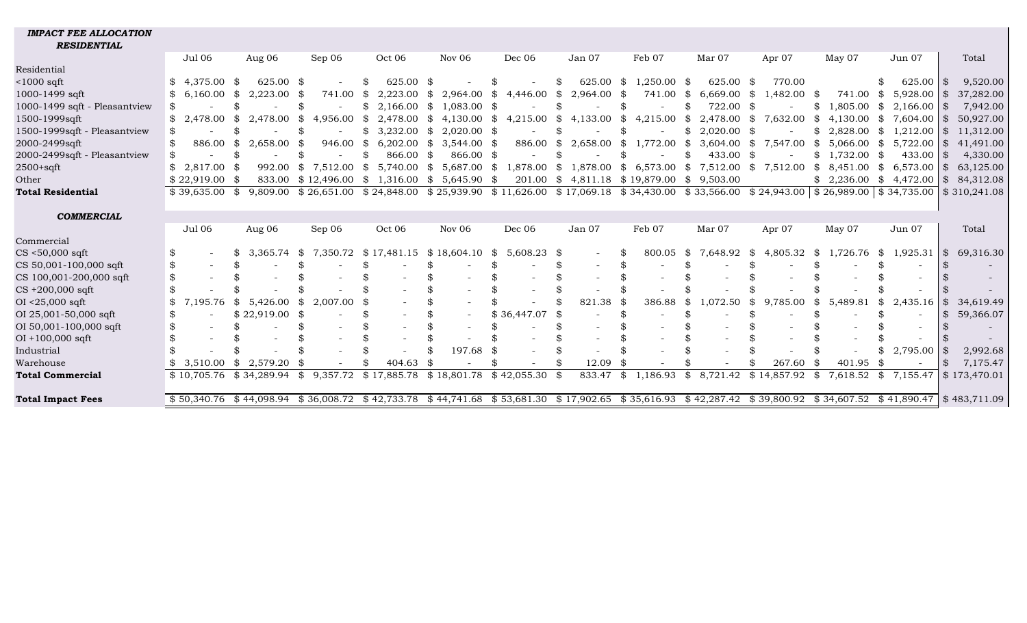| <i>IMPACI FEE ALLUCAIION</i>  |                        |                      |                  |                           |                     |                       |                         |                                                                                                                                       |                      |                |                              |                            |                         |
|-------------------------------|------------------------|----------------------|------------------|---------------------------|---------------------|-----------------------|-------------------------|---------------------------------------------------------------------------------------------------------------------------------------|----------------------|----------------|------------------------------|----------------------------|-------------------------|
| <b>RESIDENTIAL</b>            |                        |                      |                  |                           |                     |                       |                         |                                                                                                                                       |                      |                |                              |                            |                         |
|                               | <b>Jul 06</b>          | Aug 06               | Sep 06           | Oct 06                    | Nov 06              | Dec 06                | Jan 07                  | Feb 07                                                                                                                                | Mar 07               | Apr 07         | May 07                       | Jun 07                     | Total                   |
| Residential                   |                        |                      |                  |                           |                     |                       |                         |                                                                                                                                       |                      |                |                              |                            |                         |
| $<$ 1000 sqft                 | $$4,375.00$ \$         | 625.00 \$            |                  | 625.00                    | -\$                 |                       | 625.00 \$<br>£.         | $1,250.00$ \$                                                                                                                         | 625.00 \$            | 770.00         |                              | \$<br>625.00               | 9,520.00                |
| 1000-1499 sqft                | $6.160.00 \text{ }$ \$ | $2,223.00$ \$        | 741.00           | \$<br>2,223.00            | \$<br>2,964.00      | 4,446.00<br>\$        | 2,964.00 \$<br>\$       | 741.00 \$                                                                                                                             | $6,669.00$ \$        | 1,482.00 \$    | 741.00                       | 5,928.00<br>SS.            | 37,282.00<br>l \$       |
| 1000-1499 sqft - Pleasantview |                        |                      | \$               | \$<br>2,166.00            | \$<br>1,083.00 \$   |                       |                         |                                                                                                                                       | 722.00 \$            |                | 1,805.00<br>\$.              | \$<br>2,166.00             | 7,942.00<br>l \$        |
| 1500-1999sqft                 | 2.478.00               | 2.478.00<br>-SS      | 4.956.00<br>\$   | 2.478.00 \$<br>- \$       | $4,130.00$ \$       |                       | 4,215.00 \$ 4,133.00 \$ | $4,215.00$ \$                                                                                                                         | 2,478.00 \$          | 7,632.00       | $4.130.00 \text{ }$ \$<br>\$ | 7.604.00                   | 50,927.00<br>I \$       |
| 1500-1999sqft - Pleasantview  |                        |                      |                  | \$<br>3,232.00            | $2,020.00$ \$<br>\$ |                       |                         | \$                                                                                                                                    | $2,020.00$ \$<br>SS. |                | 2,828.00<br>\$.              | $\mathbb{S}$<br>1,212.00   | 11,312.00<br>ISS.       |
| 2000-2499sqft                 | 886.00<br>\$           | $2,658.00$ \$<br>SS. | 946.00           | $6,202.00$ \$<br>\$       | $3,544.00$ \$       | 886.00                | \$<br>2,658.00          | \$<br>1,772.00 \$                                                                                                                     | $3,604.00$ \$        | 7,547.00       | 5,066.00<br>SS.              | \$<br>$5,722.00$ \ \ \$    | 41,491.00               |
| 2000-2499sqft - Pleasantview  |                        |                      |                  | \$<br>866.00              | 866.00 \$<br>- \$   |                       |                         |                                                                                                                                       | 433.00 \$            |                | \$.<br>1.732.00              | 433.00<br>- \$             | 4,330.00<br>I \$        |
| $2500 + \text{sqft}$          | 2.817.00               | 992.00               | 7,512.00<br>SS.  | 5,740.00<br>\$            | \$<br>5,687.00      | \$<br>1,878.00        | SS.                     | 1,878.00 \$ 6,573.00 \$                                                                                                               | $7,512.00$ \$        | 7,512.00       | SS.<br>8,451.00              | $\mathbb{S}$<br>6,573.00   | 63,125.00<br>ISS.       |
| Other                         | $$22,919.00$ \$        | 833.00               | \$12,496.00      | $\mathbb{S}$<br>1,316.00  | \$<br>$5,645.90$ \$ | 201.00                | 4,811.18<br>SS.         | \$19,879.00                                                                                                                           | 9,503.00<br>\$       |                |                              | $$2,236.00 \$ 4,472.00 \$$ | 84,312.08               |
| <b>Total Residential</b>      | $$39,635.00$ \$        | 9.809.00             |                  |                           |                     |                       |                         | $$26,651.00 \$24,848.00 \$25,939.90 \$11,626.00 \$17,069.18 \$34,430.00 \$33,566.00 \$24,943.00 \$26,989.00 \$34,735.00 \$310,241.08$ |                      |                |                              |                            |                         |
|                               |                        |                      |                  |                           |                     |                       |                         |                                                                                                                                       |                      |                |                              |                            |                         |
| <b>COMMERCIAL</b>             |                        |                      |                  |                           |                     |                       |                         |                                                                                                                                       |                      |                |                              |                            |                         |
|                               | Jul 06                 | Aug 06               | Sep 06           | Oct 06                    | Nov $06$            | Dec 06                | Jan 07                  | Feb 07                                                                                                                                | Mar 07               | Apr 07         | May 07                       | Jun 07                     | Total                   |
| Commercial                    |                        |                      |                  |                           |                     |                       |                         |                                                                                                                                       |                      |                |                              |                            |                         |
| $CS < 50,000$ sqft            | \$                     | 3,365.74             | 7,350.72<br>- SS | $$17,481.15 \ $18,604.10$ |                     | $5,608.23$ \$<br>- \$ |                         | 800.05<br>S                                                                                                                           | - \$<br>7,648.92 \$  | 4,805.32       | 1,726.76<br>- \$             | \$1,925.31                 | $\sqrt{3}$<br>69,316.30 |
| CS 50,001-100,000 sqft        | \$                     |                      |                  |                           |                     |                       |                         |                                                                                                                                       |                      |                |                              |                            |                         |
| CS 100,001-200,000 sqft       | \$                     |                      |                  |                           |                     |                       |                         |                                                                                                                                       |                      |                |                              |                            |                         |
| $CS +200,000$ sqft            |                        |                      |                  |                           |                     |                       |                         |                                                                                                                                       |                      |                |                              |                            |                         |
| $OI < 25,000$ sqft            | 7,195.76               | 5,426.00<br>\$       | \$<br>2,007.00   | -86                       |                     |                       | 821.38                  | 386.88                                                                                                                                | 1,072.50<br>SS.      | 9,785.00<br>\$ | \$<br>5,489.81               | \$<br>2,435.16             | 34,619.49               |
| OI 25,001-50,000 sqft         | S                      | $$22,919.00$ \$      |                  |                           |                     | \$36,447.07           |                         |                                                                                                                                       |                      |                |                              | $\sim$                     | 59,366.07<br>-SS        |
| OI 50,001-100,000 sqft        |                        |                      |                  |                           |                     |                       |                         |                                                                                                                                       |                      |                |                              |                            |                         |
| $OI + 100,000$ sqft           |                        |                      |                  |                           |                     |                       |                         |                                                                                                                                       |                      |                |                              |                            |                         |
| Industrial                    |                        |                      |                  |                           | 197.68              |                       |                         |                                                                                                                                       |                      |                |                              | 2,795.00<br>\$             | 2,992.68                |
| Warehouse                     | 3,510.00               | 2,579.20<br>SS.      | - \$             | 404.63                    |                     |                       | 12.09                   | -\$                                                                                                                                   |                      | 267.60         | 401.95<br>-SS                | - \$                       | 7,175.47<br>\$          |

**Total Commercial** \$ 10,705.76 \$ 34,289.94 \$ 9,357.72 \$ 17,885.78 \$ 18,801.78 \$ 42,055.30 \$ 833.47 \$ 1,186.93 \$ 8,721.42 \$ 14,857.92 \$ 7,618.52 \$ 7,155.47 \$ 173,470.01

*IMPACT FEE ALLOCATION*

**Total Impact Fees** \$50,340.76 \$44,098.94 \$36,008.72 \$42,733.78 \$44,741.68 \$53,681.30 \$17,902.65 \$35,616.93 \$42,287.42 \$39,800.92 \$34,607.52 \$41,890.47 \$483,711.09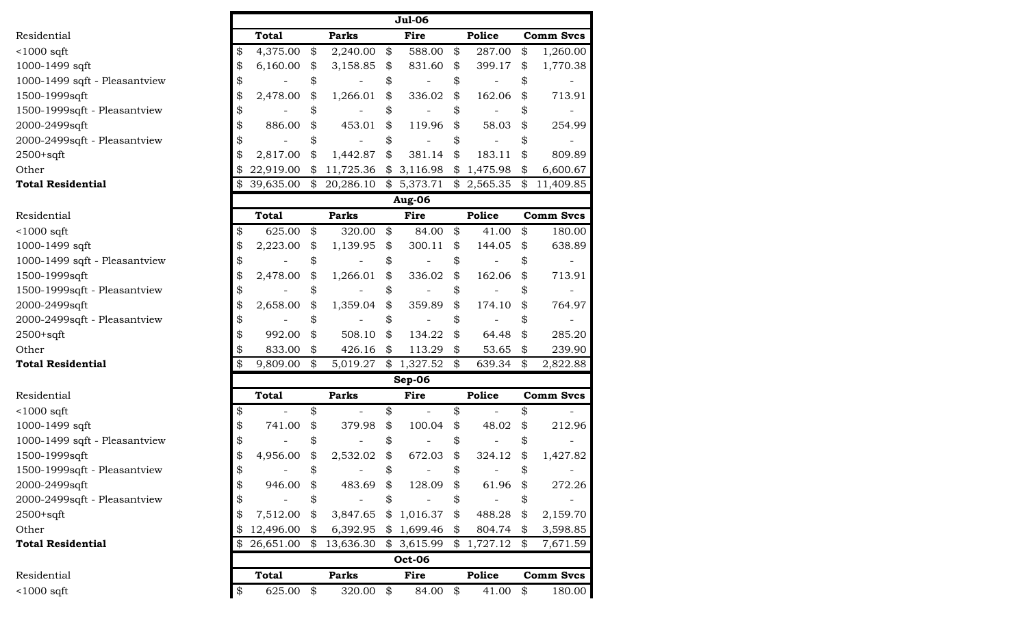|                               |                 |                                    | <b>Jul-06</b>  |                                |                  |
|-------------------------------|-----------------|------------------------------------|----------------|--------------------------------|------------------|
| Residential                   | <b>Total</b>    | <b>Parks</b>                       | Fire           | <b>Police</b>                  | <b>Comm Svcs</b> |
| $1000$ sqft                   | \$<br>4,375.00  | \$<br>2,240.00                     | \$<br>588.00   | \$<br>287.00                   | \$<br>1,260.00   |
| 1000-1499 sqft                | \$<br>6,160.00  | \$<br>3,158.85                     | \$<br>831.60   | \$<br>399.17                   | \$<br>1,770.38   |
| 1000-1499 sqft - Pleasantview | \$              | \$                                 | \$             | \$                             | \$               |
| 1500-1999sqft                 | \$<br>2,478.00  | \$<br>1,266.01                     | \$<br>336.02   | \$<br>162.06                   | \$<br>713.91     |
| 1500-1999sqft - Pleasantview  | \$              | \$                                 | \$             | \$                             | \$               |
| 2000-2499sqft                 | \$<br>886.00    | \$<br>453.01                       | \$<br>119.96   | \$<br>58.03                    | \$<br>254.99     |
| 2000-2499sqft - Pleasantview  | \$              | \$                                 | \$             | \$                             |                  |
| 2500+sqft                     | \$<br>2,817.00  | \$<br>1,442.87                     | \$<br>381.14   | \$<br>183.11                   | \$<br>809.89     |
| Other                         | 22,919.00       | \$11,725.36                        | \$3,116.98     | \$1,475.98                     | \$<br>6,600.67   |
| <b>Total Residential</b>      | \$              | 39,635.00 \$ 20,286.10 \$ 5,373.71 |                | $$2,565.35$ \$                 | 11,409.85        |
|                               |                 |                                    | Aug-06         |                                |                  |
| Residential                   | <b>Total</b>    | <b>Parks</b>                       | Fire           | Police                         | Comm Svcs        |
| $<$ 1000 sqft                 | \$<br>625.00    | \$<br>320.00                       | \$<br>84.00    | \$<br>41.00                    | \$<br>180.00     |
| 1000-1499 sqft                | \$<br>2,223.00  | \$<br>1,139.95                     | \$<br>300.11   | \$<br>144.05                   | \$<br>638.89     |
| 1000-1499 sqft - Pleasantview | \$              | \$                                 | \$             | \$                             | \$               |
| 1500-1999sqft                 | \$<br>2,478.00  | \$<br>1,266.01                     | \$<br>336.02   | \$<br>162.06                   | \$<br>713.91     |
| 1500-1999sqft - Pleasantview  | \$              | \$                                 | \$             | \$                             | \$               |
| 2000-2499sqft                 | \$<br>2,658.00  | \$<br>1,359.04                     | \$<br>359.89   | \$<br>174.10                   | \$<br>764.97     |
| 2000-2499sqft - Pleasantview  | \$              | \$                                 | \$             | \$                             | \$               |
| 2500+sqft                     | \$<br>992.00    | \$<br>508.10                       | \$<br>134.22   | \$<br>64.48                    | \$<br>285.20     |
| Other                         | \$<br>833.00    | \$<br>426.16                       | \$<br>113.29   | \$<br>53.65                    | \$<br>239.90     |
| <b>Total Residential</b>      | \$<br>9,809.00  | \$<br>5,019.27                     | \$1,327.52     | \$<br>639.34                   | \$<br>2,822.88   |
|                               |                 |                                    | $Sep-06$       |                                |                  |
| Residential                   | <b>Total</b>    | <b>Parks</b>                       | Fire           | Police                         | <b>Comm Svcs</b> |
| $<$ 1000 sqft                 | \$              | \$                                 | \$             | \$                             | \$               |
| 1000-1499 sqft                | \$<br>741.00    | \$<br>379.98                       | \$<br>100.04   | \$<br>48.02                    | \$<br>212.96     |
| 1000-1499 sqft - Pleasantview | \$              | \$                                 | \$             | \$                             | \$               |
| 1500-1999sqft                 | \$<br>4,956.00  | \$<br>2,532.02                     | \$<br>672.03   | \$<br>324.12                   | \$<br>1,427.82   |
| 1500-1999sqft - Pleasantview  | \$              | \$                                 | \$             | \$<br>$\overline{\phantom{0}}$ | \$               |
| 2000-2499sqft                 | \$<br>946.00    | \$<br>483.69                       | \$<br>128.09   | \$<br>61.96                    | \$<br>272.26     |
| 2000-2499sqft - Pleasantview  | \$              | \$                                 | \$             | \$                             | \$               |
| 2500+sqft                     | \$<br>7,512.00  | \$<br>3,847.65                     | \$<br>1,016.37 | \$<br>488.28                   | \$<br>2,159.70   |
| Other                         | \$<br>12,496.00 | \$<br>6,392.95                     | \$1,699.46     | \$<br>804.74                   | \$<br>3,598.85   |
| <b>Total Residential</b>      | \$<br>26,651.00 | \$<br>13,636.30                    | \$3,615.99     | \$1,727.12                     | \$<br>7,671.59   |
|                               |                 |                                    | <b>Oct-06</b>  |                                |                  |
| Residential                   | <b>Total</b>    | <b>Parks</b>                       | Fire           | Police                         | <b>Comm Svcs</b> |
| $<$ 1000 sqft                 | \$<br>625.00    | \$<br>320.00                       | \$<br>84.00    | \$<br>41.00                    | \$<br>180.00     |
|                               |                 |                                    |                |                                |                  |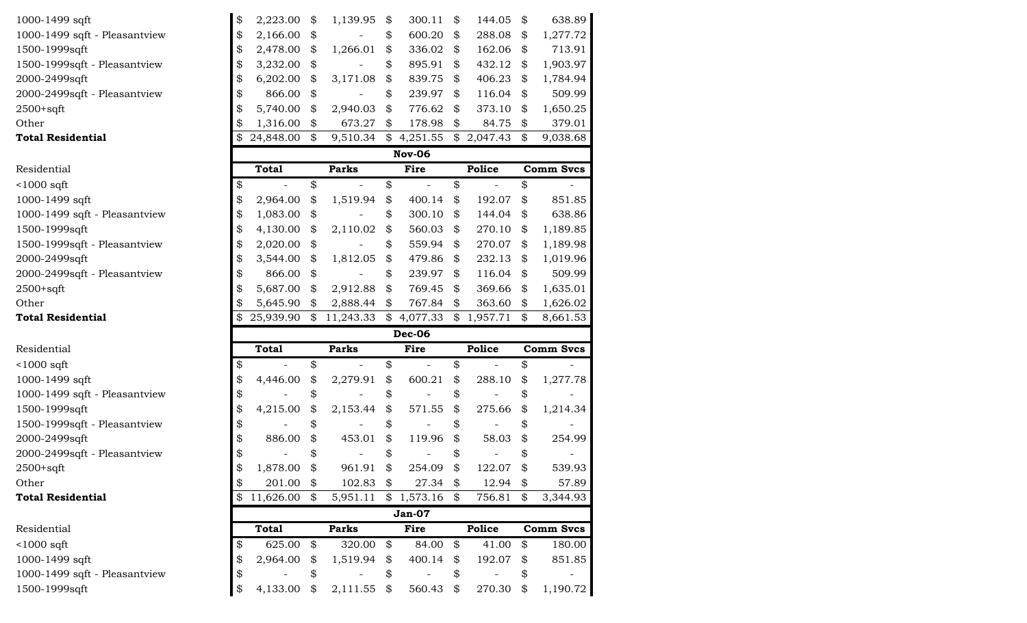| 1000-1499 sqft                | \$ | 2,223.00     | \$            | 1,139.95     | \$<br>300.11  | \$<br>144.05 | \$<br>638.89     |
|-------------------------------|----|--------------|---------------|--------------|---------------|--------------|------------------|
| 1000-1499 sqft - Pleasantview | \$ | 2,166.00     | \$            |              | \$<br>600.20  | \$<br>288.08 | \$<br>1,277.72   |
| 1500-1999sqft                 | \$ | 2,478.00     | \$            | 1,266.01     | \$<br>336.02  | \$<br>162.06 | \$<br>713.91     |
| 1500-1999sqft - Pleasantview  | \$ | 3,232.00     | \$            |              | \$<br>895.91  | \$<br>432.12 | \$<br>1,903.97   |
| 2000-2499sqft                 | \$ | 6,202.00     | \$            | 3,171.08     | \$<br>839.75  | \$<br>406.23 | \$<br>1,784.94   |
| 2000-2499sqft - Pleasantview  | \$ | 866.00       | \$            |              | \$<br>239.97  | \$<br>116.04 | \$<br>509.99     |
| $2500+sqrt$                   | \$ | 5,740.00     | \$            | 2,940.03     | \$<br>776.62  | \$<br>373.10 | \$<br>1,650.25   |
| Other                         | \$ | 1,316.00     | \$            | 673.27       | \$<br>178.98  | \$<br>84.75  | \$<br>379.01     |
| <b>Total Residential</b>      | \$ | 24,848.00    | \$            | 9,510.34     | \$4,251.55    | \$2,047.43   | \$<br>9,038.68   |
|                               |    |              |               |              | <b>Nov-06</b> |              |                  |
| Residential                   |    | <b>Total</b> |               | <b>Parks</b> | Fire          | Police       | <b>Comm Svcs</b> |
| $<$ 1000 sqft                 | \$ |              | \$            |              | \$            | \$           | \$               |
| 1000-1499 sqft                | \$ | 2,964.00     | \$            | 1,519.94     | \$<br>400.14  | \$<br>192.07 | \$<br>851.85     |
| 1000-1499 sqft - Pleasantview | \$ | 1,083.00     | \$            |              | \$<br>300.10  | \$<br>144.04 | \$<br>638.86     |
| 1500-1999sqft                 | \$ | 4,130.00     | \$            | 2,110.02     | \$<br>560.03  | \$<br>270.10 | \$<br>1,189.85   |
| 1500-1999sqft - Pleasantview  | \$ | 2,020.00     | \$            |              | \$<br>559.94  | \$<br>270.07 | \$<br>1,189.98   |
| 2000-2499sqft                 | \$ | 3,544.00     | \$            | 1,812.05     | \$<br>479.86  | \$<br>232.13 | \$<br>1,019.96   |
| 2000-2499sqft - Pleasantview  | \$ | 866.00       | \$            |              | \$<br>239.97  | \$<br>116.04 | \$<br>509.99     |
| $2500+sqrt$                   | \$ | 5,687.00     | \$            | 2,912.88     | \$<br>769.45  | \$<br>369.66 | \$<br>1,635.01   |
| Other                         | \$ | 5,645.90     | \$            | 2,888.44     | \$<br>767.84  | \$<br>363.60 | \$<br>1,626.02   |
| <b>Total Residential</b>      | \$ | 25,939.90    | $\frac{1}{2}$ | 11,243.33    | \$4,077.33    | \$1,957.71   | \$<br>8,661.53   |
|                               |    |              |               |              | <b>Dec-06</b> |              |                  |
| Residential                   |    | <b>Total</b> |               | <b>Parks</b> | Fire          | Police       | <b>Comm Svcs</b> |
| $<$ 1000 sqft                 | \$ |              | \$            |              | \$            | \$           | \$               |
| 1000-1499 sqft                | \$ | 4,446.00     | \$            | 2,279.91     | \$<br>600.21  | \$<br>288.10 | \$<br>1,277.78   |
| 1000-1499 sqft - Pleasantview | \$ |              | \$            |              | \$            | \$           | \$               |
| 1500-1999sqft                 | \$ | 4,215.00     | \$            | 2,153.44     | \$<br>571.55  | \$<br>275.66 | \$<br>1,214.34   |
| 1500-1999sqft - Pleasantview  | \$ |              | \$            |              | \$            | \$           | \$               |
| 2000-2499sqft                 | \$ | 886.00       | \$            | 453.01       | \$<br>119.96  | \$<br>58.03  | \$<br>254.99     |
| 2000-2499sqft - Pleasantview  | \$ |              | \$            |              | \$            | \$           | \$               |
| $2500+sqrt$                   | Ψ  | 1,878.00     | \$            | 961.91       | \$<br>254.09  | \$<br>122.07 | \$<br>539.93     |
| Other                         | \$ | 201.00       | \$            | 102.83       | \$<br>27.34   | \$<br>12.94  | \$<br>57.89      |
| <b>Total Residential</b>      | \$ | 11,626.00 \$ |               | 5,951.11     | \$1,573.16    | \$<br>756.81 | \$<br>3,344.93   |
|                               |    |              |               |              | <b>Jan-07</b> |              |                  |
| Residential                   |    | <b>Total</b> |               | <b>Parks</b> | Fire          | Police       | <b>Comm Svcs</b> |
| $<$ 1000 sqft                 | \$ | 625.00       | \$            | 320.00       | \$<br>84.00   | \$<br>41.00  | \$<br>180.00     |
| 1000-1499 sqft                | \$ | 2,964.00     | \$            | 1,519.94     | \$<br>400.14  | \$<br>192.07 | \$<br>851.85     |
| 1000-1499 sqft - Pleasantview | \$ |              | \$            |              | \$            | \$           | \$               |
| 1500-1999sqft                 | \$ | 4,133.00     | \$            | 2,111.55     | \$<br>560.43  | \$<br>270.30 | \$<br>1,190.72   |
|                               |    |              |               |              |               |              |                  |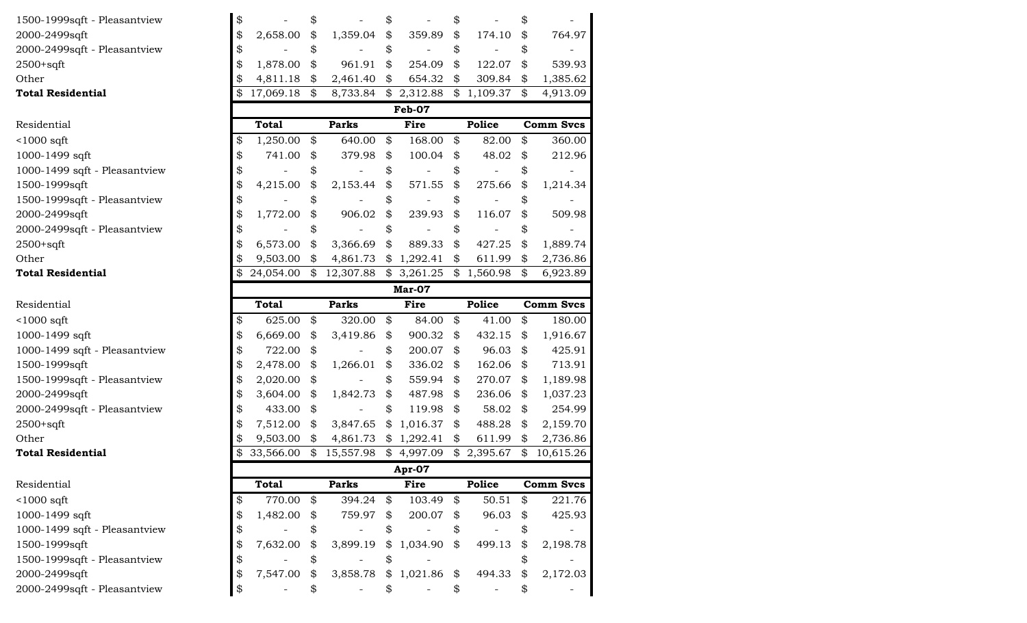| 1500-1999sqft - Pleasantview  | \$              | \$                         |                   | \$                  | \$                   | \$               |
|-------------------------------|-----------------|----------------------------|-------------------|---------------------|----------------------|------------------|
| 2000-2499sqft                 | \$<br>2,658.00  | \$                         | 1,359.04          | \$<br>359.89        | \$<br>174.10         | \$<br>764.97     |
| 2000-2499sqft - Pleasantview  | \$              | \$                         |                   | \$                  | \$                   | \$               |
| $2500+sqrt$                   | \$<br>1,878.00  | \$                         | 961.91            | \$<br>254.09        | \$<br>122.07         | \$<br>539.93     |
| Other                         | \$<br>4,811.18  | \$                         | 2,461.40          | \$<br>654.32        | \$<br>309.84         | \$<br>1,385.62   |
| <b>Total Residential</b>      | \$<br>17,069.18 | $\boldsymbol{\mathcal{Z}}$ | 8,733.84          | \$2,312.88          | \$1,109.37           | \$<br>4,913.09   |
|                               |                 |                            |                   | Feb-07              |                      |                  |
| Residential                   | <b>Total</b>    |                            | <b>Parks</b>      | Fire                | <b>Police</b>        | <b>Comm Svcs</b> |
| $<$ 1000 sqft                 | \$<br>1,250.00  | \$                         | 640.00            | \$<br>168.00        | \$<br>82.00          | \$<br>360.00     |
| 1000-1499 sqft                | \$<br>741.00    | \$                         | 379.98            | \$<br>100.04        | \$<br>48.02          | \$<br>212.96     |
| 1000-1499 sqft - Pleasantview | \$              | \$                         |                   | \$                  | \$                   | \$               |
| 1500-1999sqft                 | \$<br>4,215.00  | \$                         | 2,153.44          | \$<br>571.55        | \$<br>275.66         | \$<br>1,214.34   |
| 1500-1999sqft - Pleasantview  | \$              | \$                         |                   | \$                  | \$                   | \$               |
| 2000-2499sqft                 | \$<br>1,772.00  | \$                         | 906.02            | \$<br>239.93        | \$<br>116.07         | \$<br>509.98     |
| 2000-2499sqft - Pleasantview  | \$              | \$                         |                   | \$                  | \$                   | \$               |
| $2500+sqrt$                   | \$<br>6,573.00  | \$                         | 3,366.69          | \$<br>889.33        | \$<br>427.25         | \$<br>1,889.74   |
| Other                         | \$<br>9,503.00  | \$                         | 4,861.73          | \$<br>1,292.41      | \$<br>611.99         | \$<br>2,736.86   |
| <b>Total Residential</b>      | 24,054.00       | $\mathbb{S}$               | 12,307.88         | \$3,261.25          | \$1,560.98           | \$<br>6,923.89   |
|                               |                 |                            |                   | Mar-07              |                      |                  |
| Residential                   | <b>Total</b>    |                            | <b>Parks</b>      | <b>Fire</b>         | Police               | <b>Comm Svcs</b> |
| $1000$ sqft                   | \$<br>625.00    | \$                         | 320.00            | \$<br>84.00         | \$<br>41.00          | \$<br>180.00     |
| 1000-1499 sqft                | \$<br>6,669.00  | \$                         | 3,419.86          | \$<br>900.32        | \$<br>432.15         | \$<br>1,916.67   |
| 1000-1499 sqft - Pleasantview | \$<br>722.00    | \$                         |                   | \$<br>200.07        | \$<br>96.03          | \$<br>425.91     |
| 1500-1999sqft                 | \$<br>2,478.00  | \$                         | 1,266.01          | \$<br>336.02        | \$<br>162.06         | \$<br>713.91     |
| 1500-1999sqft - Pleasantview  | \$<br>2,020.00  | \$                         |                   | \$<br>559.94        | \$<br>270.07         | \$<br>1,189.98   |
| 2000-2499sqft                 | \$<br>3,604.00  | \$                         | 1,842.73          | \$<br>487.98        | \$<br>236.06         | \$<br>1,037.23   |
| 2000-2499sqft - Pleasantview  | \$<br>433.00    | \$                         |                   | \$<br>119.98        | \$<br>58.02          | \$<br>254.99     |
| $2500+sqrt$                   | \$<br>7,512.00  | \$                         | 3,847.65          | \$<br>1,016.37      | \$<br>488.28         | \$<br>2,159.70   |
| Other                         | \$<br>9,503.00  | \$                         | 4,861.73          | \$1,292.41          | \$<br>611.99         | \$<br>2,736.86   |
| <b>Total Residential</b>      | 33,566.00       | \$                         | 15,557.98         | \$4,997.09          | \$2,395.67           | \$<br>10,615.26  |
|                               |                 |                            |                   | Apr-07              |                      |                  |
| Residential                   | <b>Total</b>    |                            | <b>Parks</b>      | Fire                | Police               | <b>Comm Svcs</b> |
| $1000$ sqft                   | \$<br>770.00    | \$                         | 394.24            | \$<br>103.49        | \$<br>50.51          | \$<br>221.76     |
| 1000-1499 sqft                | \$<br>1,482.00  | \$                         | 759.97            | \$<br>200.07        | \$<br>96.03          | \$<br>425.93     |
| 1000-1499 sqft - Pleasantview | \$              | \$                         | $\qquad \qquad -$ | \$                  | \$<br>$\overline{a}$ | \$               |
| 1500-1999sqft                 | \$<br>7,632.00  | \$                         | 3,899.19          | \$<br>1,034.90      | \$<br>499.13         | \$<br>2,198.78   |
| 1500-1999sqft - Pleasantview  | \$              | \$                         |                   | \$                  |                      | \$               |
| 2000-2499sqft                 | \$<br>7,547.00  | \$                         | 3,858.78          | \$<br>$1,021.86$ \$ | 494.33               | \$<br>2,172.03   |
| 2000-2499sqft - Pleasantview  | \$              | \$                         |                   | \$                  | \$                   | \$               |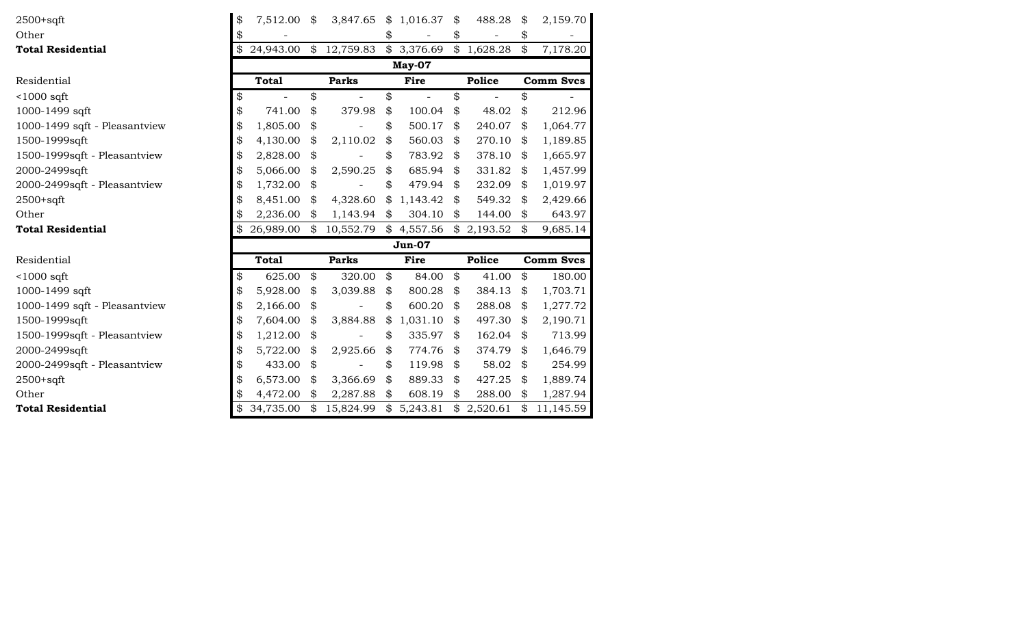| $2500+sqrt$                   | \$<br>7,512.00  | \$                         | 3,847.65     | \$1,016.37               | \$<br>488.28   | \$<br>2,159.70   |
|-------------------------------|-----------------|----------------------------|--------------|--------------------------|----------------|------------------|
| Other                         | \$              |                            |              | \$                       | \$             | \$               |
| <b>Total Residential</b>      | \$<br>24,943.00 |                            | \$12,759.83  | $\overline{\$}$ 3,376.69 | \$1,628.28     | \$<br>7,178.20   |
|                               |                 |                            |              | May-07                   |                |                  |
| Residential                   | <b>Total</b>    |                            | <b>Parks</b> | Fire                     | Police         | <b>Comm Svcs</b> |
| $<$ 1000 sqft                 | \$              | \$                         |              | \$                       | \$             | \$               |
| 1000-1499 sqft                | \$<br>741.00    | \$                         | 379.98       | \$<br>100.04             | \$<br>48.02    | \$<br>212.96     |
| 1000-1499 sqft - Pleasantview | \$<br>1,805.00  | \$                         |              | \$<br>500.17             | \$<br>240.07   | \$<br>1,064.77   |
| 1500-1999sqft                 | \$<br>4,130.00  | \$                         | 2,110.02     | \$<br>560.03             | \$<br>270.10   | \$<br>1,189.85   |
| 1500-1999sqft - Pleasantview  | \$<br>2,828.00  | \$                         |              | \$<br>783.92             | \$<br>378.10   | \$<br>1,665.97   |
| 2000-2499sqft                 | \$<br>5,066.00  | \$                         | 2,590.25     | \$<br>685.94             | \$<br>331.82   | \$<br>1,457.99   |
| 2000-2499sqft - Pleasantview  | \$<br>1,732.00  | \$                         |              | \$<br>479.94             | \$<br>232.09   | \$<br>1,019.97   |
| $2500+sqrt$                   | \$<br>8,451.00  | \$                         | 4,328.60     | \$<br>1,143.42           | \$<br>549.32   | \$<br>2,429.66   |
| Other                         | \$<br>2,236.00  | \$                         | 1,143.94     | \$<br>304.10             | \$<br>144.00   | \$<br>643.97     |
| <b>Total Residential</b>      | \$<br>26,989.00 | $\boldsymbol{\mathcal{Z}}$ | 10,552.79    | \$4,557.56               | \$2,193.52     | \$<br>9,685.14   |
|                               |                 |                            |              | <b>Jun-07</b>            |                |                  |
| Residential                   | <b>Total</b>    |                            | <b>Parks</b> | Fire                     | <b>Police</b>  | <b>Comm Svcs</b> |
| $<$ 1000 sqft                 | \$<br>625.00    | \$                         | 320.00       | \$<br>84.00              | \$<br>41.00    | \$<br>180.00     |
| 1000-1499 sqft                | \$<br>5,928.00  | \$                         | 3,039.88     | \$<br>800.28             | \$<br>384.13   | \$<br>1,703.71   |
| 1000-1499 sqft - Pleasantview | \$<br>2,166.00  | \$                         |              | \$<br>600.20             | \$<br>288.08   | \$<br>1,277.72   |
| 1500-1999sqft                 | \$<br>7,604.00  | \$                         | 3,884.88     | \$<br>1,031.10           | \$<br>497.30   | \$<br>2,190.71   |
| 1500-1999sqft - Pleasantview  | \$<br>1,212.00  | \$                         |              | \$<br>335.97             | \$<br>162.04   | \$<br>713.99     |
| 2000-2499sqft                 | \$<br>5,722.00  | \$                         | 2,925.66     | \$<br>774.76             | \$<br>374.79   | \$<br>1,646.79   |
| 2000-2499sqft - Pleasantview  | \$<br>433.00    | \$                         |              | \$<br>119.98             | \$<br>58.02    | \$<br>254.99     |
| $2500+sqrt$                   | \$<br>6,573.00  | \$                         | 3,366.69     | \$<br>889.33             | \$<br>427.25   | \$<br>1,889.74   |
| Other                         | \$<br>4,472.00  | \$                         | 2,287.88     | \$<br>608.19             | \$<br>288.00   | \$<br>1,287.94   |
| <b>Total Residential</b>      | \$<br>34,735.00 | \$                         | 15,824.99    | \$<br>5,243.81           | \$<br>2,520.61 | \$<br>11,145.59  |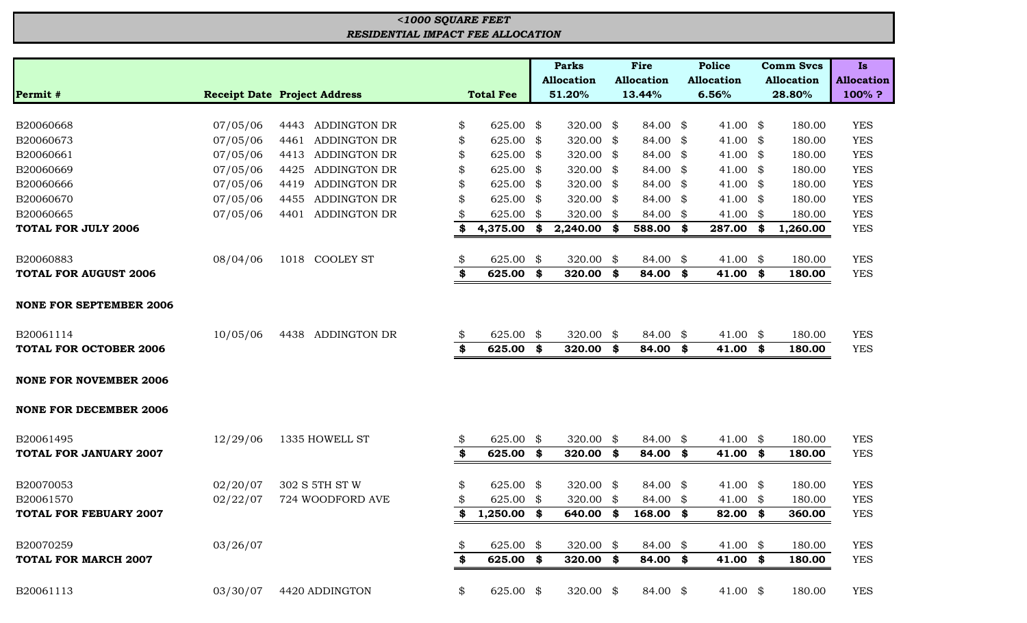## *RESIDENTIAL IMPACT FEE ALLOCATION <1000 SQUARE FEET*

|                                |          |                                     |                  |      | <b>Parks</b>      |      | Fire                |      | <b>Police</b>       | <b>Comm Svcs</b>  | <b>Is</b>         |
|--------------------------------|----------|-------------------------------------|------------------|------|-------------------|------|---------------------|------|---------------------|-------------------|-------------------|
|                                |          |                                     |                  |      | <b>Allocation</b> |      | <b>Allocation</b>   |      | <b>Allocation</b>   | <b>Allocation</b> | <b>Allocation</b> |
| Permit #                       |          | <b>Receipt Date Project Address</b> | <b>Total Fee</b> |      | 51.20%            |      | 13.44%              |      | 6.56%               | 28.80%            | 100%?             |
|                                |          |                                     |                  |      |                   |      |                     |      |                     |                   |                   |
| B20060668                      | 07/05/06 | 4443 ADDINGTON DR                   | \$<br>625.00 \$  |      | 320.00 \$         |      | 84.00 \$            |      | 41.00 $$$           | 180.00            | <b>YES</b>        |
| B20060673                      | 07/05/06 | 4461<br><b>ADDINGTON DR</b>         | \$<br>625.00 \$  |      | 320.00            | \$   | 84.00               | \$   | 41.00 $\frac{1}{2}$ | 180.00            | <b>YES</b>        |
| B20060661                      | 07/05/06 | <b>ADDINGTON DR</b><br>4413         | \$<br>625.00     | \$   | 320.00            | - \$ | 84.00               | \$   | 41.00 $\frac{1}{2}$ | 180.00            | <b>YES</b>        |
| B20060669                      | 07/05/06 | <b>ADDINGTON DR</b><br>4425         | \$<br>625.00 \$  |      | 320.00            | - \$ | 84.00               | \$   | 41.00 $\frac{1}{2}$ | 180.00            | <b>YES</b>        |
| B20060666                      | 07/05/06 | <b>ADDINGTON DR</b><br>4419         | \$<br>625.00     | \$   | 320.00            | -8   | 84.00               | - \$ | 41.00 $\frac{1}{2}$ | 180.00            | <b>YES</b>        |
| B20060670                      | 07/05/06 | <b>ADDINGTON DR</b><br>4455         | \$<br>625.00 \$  |      | 320.00            | -8   | 84.00               | \$   | 41.00 $\frac{1}{2}$ | 180.00            | <b>YES</b>        |
| B20060665                      | 07/05/06 | 4401 ADDINGTON DR                   | 625.00           | \$   | 320.00            | \$   | 84.00               | \$   | 41.00 $\frac{1}{2}$ | 180.00            | <b>YES</b>        |
| <b>TOTAL FOR JULY 2006</b>     |          |                                     | \$<br>4,375.00   | - \$ | 2,240.00          | S.   | 588.00              | \$   | 287.00 \$           | 1,260.00          | <b>YES</b>        |
| B20060883                      | 08/04/06 | 1018 COOLEY ST                      | \$<br>625.00     | \$   | 320.00            | \$   | 84.00               | \$   | 41.00               | \$<br>180.00      | <b>YES</b>        |
| <b>TOTAL FOR AUGUST 2006</b>   |          |                                     | \$<br>625.00     | \$   | 320.00            | \$   | 84.00               | \$   | 41.00               | \$<br>180.00      | <b>YES</b>        |
| <b>NONE FOR SEPTEMBER 2006</b> |          |                                     |                  |      |                   |      |                     |      |                     |                   |                   |
| B20061114                      | 10/05/06 | ADDINGTON DR<br>4438                | \$<br>625.00 \$  |      | 320.00 \$         |      | 84.00 \$            |      | 41.00 $\frac{1}{2}$ | 180.00            | <b>YES</b>        |
| <b>TOTAL FOR OCTOBER 2006</b>  |          |                                     | \$<br>625.00 \$  |      | 320.00            | - \$ | 84.00               | \$   | $41.00$ \$          | 180.00            | <b>YES</b>        |
| <b>NONE FOR NOVEMBER 2006</b>  |          |                                     |                  |      |                   |      |                     |      |                     |                   |                   |
| <b>NONE FOR DECEMBER 2006</b>  |          |                                     |                  |      |                   |      |                     |      |                     |                   |                   |
| B20061495                      | 12/29/06 | 1335 HOWELL ST                      | \$<br>625.00 \$  |      | 320.00            | \$   | 84.00 \$            |      | 41.00 $\frac{1}{2}$ | 180.00            | <b>YES</b>        |
| <b>TOTAL FOR JANUARY 2007</b>  |          |                                     | \$<br>625.00 \$  |      | 320.00            | \$   | 84.00               | \$   | 41.00 \$            | 180.00            | <b>YES</b>        |
| B20070053                      | 02/20/07 | 302 S 5TH ST W                      | \$<br>625.00 \$  |      | 320.00 \$         |      | 84.00 \$            |      | 41.00 $\frac{1}{2}$ | 180.00            | <b>YES</b>        |
| B20061570                      | 02/22/07 | 724 WOODFORD AVE                    | \$<br>625.00 \$  |      | 320.00            | -\$  | 84.00 \$            |      | 41.00 $\frac{1}{2}$ | 180.00            | <b>YES</b>        |
| <b>TOTAL FOR FEBUARY 2007</b>  |          |                                     | $$1,250.00$ \$   |      |                   |      | 640.00 \$ 168.00 \$ |      | 82.00 \$            | 360.00            | <b>YES</b>        |
| B20070259                      | 03/26/07 |                                     | \$<br>625.00     | \$   | 320.00 $$$        |      | 84.00 \$            |      | 41.00 $\frac{1}{2}$ | 180.00            | <b>YES</b>        |
| <b>TOTAL FOR MARCH 2007</b>    |          |                                     | \$<br>625.00 \$  |      | 320.00            | \$   | 84.00               | \$   | 41.00 \$            | 180.00            | <b>YES</b>        |
| B20061113                      | 03/30/07 | 4420 ADDINGTON                      | \$<br>625.00 \$  |      | 320.00 \$         |      | 84.00 \$            |      | 41.00 $\frac{1}{2}$ | 180.00            | <b>YES</b>        |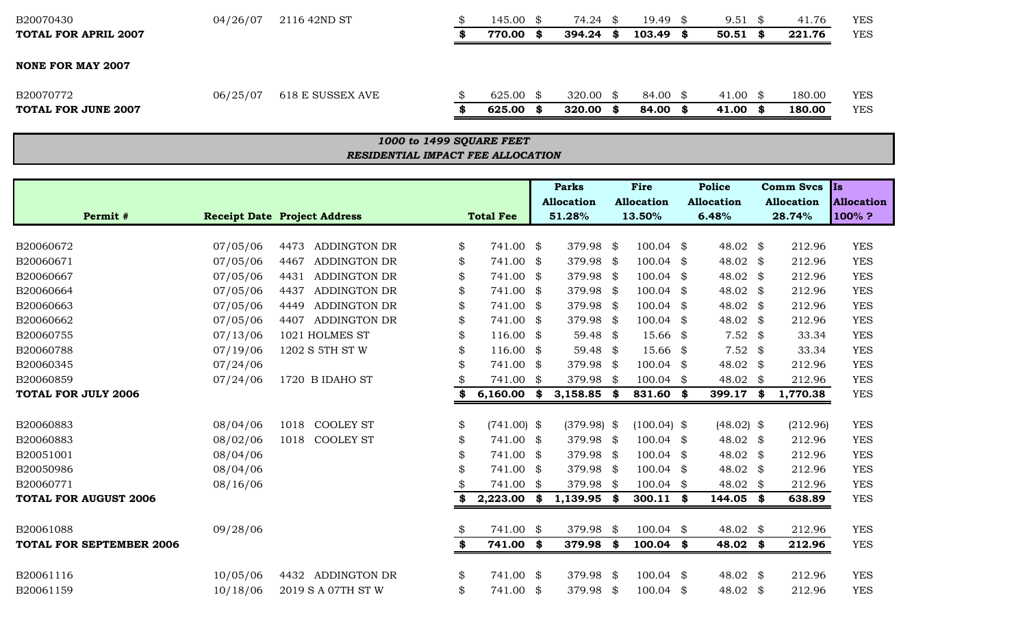| B20070430                   | 04/26/07 | 2116 42ND ST     | $145.00 \text{ }$ \$ |      | 74.24     | 19.49    | 9.51     |      | 41.76  | <b>YES</b> |
|-----------------------------|----------|------------------|----------------------|------|-----------|----------|----------|------|--------|------------|
| <b>TOTAL FOR APRIL 2007</b> |          |                  | 770.00               | - SS | 394.24    | 103.49   | 50.51    | - 86 | 221.76 | <b>YES</b> |
| <b>NONE FOR MAY 2007</b>    |          |                  |                      |      |           |          |          |      |        |            |
| B20070772                   | 06/25/07 | 618 E SUSSEX AVE | 625.00 \$            |      | 320.00 \$ | 84.00 \$ | 41.00 \$ |      | 180.00 | YES        |
| <b>TOTAL FOR JUNE 2007</b>  |          |                  | 625.00               | - S  | 320.00    | 84.00    | 41.00    | - 86 | 180.00 | <b>YES</b> |

## *RESIDENTIAL IMPACT FEE ALLOCATION 1000 to 1499 SQUARE FEET*

|                                 |          |                                     |    |                  |      | <b>Parks</b>      |      | Fire              |      | <b>Police</b>     |      | <b>Comm Svcs</b>  | <b>Is</b>         |
|---------------------------------|----------|-------------------------------------|----|------------------|------|-------------------|------|-------------------|------|-------------------|------|-------------------|-------------------|
|                                 |          |                                     |    |                  |      | <b>Allocation</b> |      | <b>Allocation</b> |      | <b>Allocation</b> |      | <b>Allocation</b> | <b>Allocation</b> |
| Permit #                        |          | <b>Receipt Date Project Address</b> |    | <b>Total Fee</b> |      | 51.28%            |      | 13.50%            |      | 6.48%             |      | 28.74%            | 100%?             |
|                                 |          |                                     |    |                  |      |                   |      |                   |      |                   |      |                   |                   |
| B20060672                       | 07/05/06 | 4473 ADDINGTON DR                   | \$ | 741.00 \$        |      | 379.98 \$         |      | $100.04$ \$       |      | 48.02 \$          |      | 212.96            | <b>YES</b>        |
| B20060671                       | 07/05/06 | <b>ADDINGTON DR</b><br>4467         | \$ | 741.00 \$        |      | 379.98 \$         |      | 100.04            | - \$ | 48.02 \$          |      | 212.96            | <b>YES</b>        |
| B20060667                       | 07/05/06 | 4431<br><b>ADDINGTON DR</b>         | \$ | 741.00 \$        |      | 379.98            | - \$ | 100.04            | \$   | 48.02 \$          |      | 212.96            | <b>YES</b>        |
| B20060664                       | 07/05/06 | <b>ADDINGTON DR</b><br>4437         |    | 741.00 \$        |      | 379.98            | -\$  | 100.04            | \$   | 48.02 \$          |      | 212.96            | <b>YES</b>        |
| B20060663                       | 07/05/06 | ADDINGTON DR<br>4449                | \$ | 741.00 \$        |      | 379.98            | - \$ | 100.04            | \$   | 48.02 \$          |      | 212.96            | <b>YES</b>        |
| B20060662                       | 07/05/06 | <b>ADDINGTON DR</b><br>4407         | \$ | 741.00 \$        |      | 379.98            | - \$ | 100.04            | \$   | 48.02 \$          |      | 212.96            | <b>YES</b>        |
| B20060755                       | 07/13/06 | 1021 HOLMES ST                      | \$ | $116.00$ \$      |      | 59.48 \$          |      | 15.66             | \$   | $7.52$ \$         |      | 33.34             | <b>YES</b>        |
| B20060788                       | 07/19/06 | 1202 S 5TH ST W                     | \$ | $116.00$ \$      |      | 59.48 $$$         |      | 15.66             | \$   | $7.52$ \$         |      | 33.34             | <b>YES</b>        |
| B20060345                       | 07/24/06 |                                     | \$ | 741.00 \$        |      | 379.98            | -\$  | 100.04            | \$   | 48.02 \$          |      | 212.96            | <b>YES</b>        |
| B20060859                       | 07/24/06 | 1720 B IDAHO ST                     |    | 741.00           | - \$ | 379.98            | - \$ | 100.04            | \$   | 48.02             | - \$ | 212.96            | <b>YES</b>        |
| <b>TOTAL FOR JULY 2006</b>      |          |                                     |    | $6,160.00$ \$    |      | $3,158.85$ \$     |      | 831.60 \$         |      | 399.17 \$         |      | 1,770.38          | <b>YES</b>        |
|                                 |          |                                     |    |                  |      |                   |      |                   |      |                   |      |                   |                   |
| B20060883                       | 08/04/06 | <b>COOLEY ST</b><br>1018            | \$ | $(741.00)$ \$    |      | $(379.98)$ \$     |      | $(100.04)$ \$     |      | $(48.02)$ \$      |      | (212.96)          | <b>YES</b>        |
| B20060883                       | 08/02/06 | <b>COOLEY ST</b><br>1018            | \$ | 741.00 \$        |      | 379.98 \$         |      | 100.04            | \$   | 48.02 \$          |      | 212.96            | <b>YES</b>        |
| B20051001                       | 08/04/06 |                                     | \$ | 741.00 \$        |      | 379.98 \$         |      | 100.04            | - \$ | 48.02 \$          |      | 212.96            | <b>YES</b>        |
| B20050986                       | 08/04/06 |                                     |    | 741.00 \$        |      | 379.98 \$         |      | 100.04            | \$   | 48.02 \$          |      | 212.96            | <b>YES</b>        |
| B20060771                       | 08/16/06 |                                     |    | 741.00 \$        |      | 379.98 \$         |      | 100.04            | \$   | 48.02 \$          |      | 212.96            | <b>YES</b>        |
| <b>TOTAL FOR AUGUST 2006</b>    |          |                                     |    | 2,223.00         | \$   | 1,139.95          | - \$ | 300.11            | -\$  | 144.05 \$         |      | 638.89            | <b>YES</b>        |
|                                 |          |                                     |    |                  |      |                   |      |                   |      |                   |      |                   |                   |
| B20061088                       | 09/28/06 |                                     | \$ | 741.00 \$        |      | 379.98            | \$   | 100.04            | \$   | 48.02 \$          |      | 212.96            | <b>YES</b>        |
| <b>TOTAL FOR SEPTEMBER 2006</b> |          |                                     | \$ | 741.00 \$        |      | 379.98            | \$   | 100.04            | \$   | 48.02 \$          |      | 212.96            | <b>YES</b>        |
|                                 |          |                                     |    |                  |      |                   |      |                   |      |                   |      |                   |                   |
| B20061116                       | 10/05/06 | 4432 ADDINGTON DR                   | \$ | 741.00 \$        |      | 379.98            | -\$  | 100.04            | \$   | 48.02 \$          |      | 212.96            | <b>YES</b>        |
| B20061159                       | 10/18/06 | 2019 S A 07TH ST W                  | \$ | 741.00 \$        |      | 379.98            | -\$  | 100.04            | \$   | 48.02 \$          |      | 212.96            | <b>YES</b>        |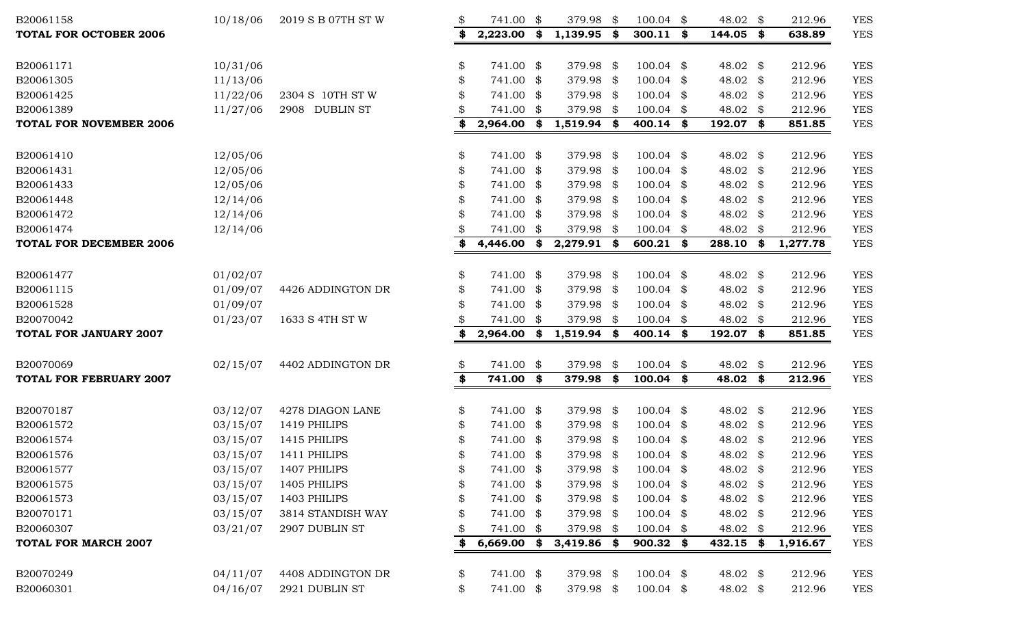| B20061158                      | 10/18/06 | 2019 S B 07TH ST W | \$ | 741.00 \$     |      | 379.98        | \$   | 100.04      | \$<br>48.02 \$      | 212.96   | <b>YES</b> |
|--------------------------------|----------|--------------------|----|---------------|------|---------------|------|-------------|---------------------|----------|------------|
| <b>TOTAL FOR OCTOBER 2006</b>  |          |                    | \$ | 2,223.00      | - \$ | 1,139.95      | \$   | $300.11$ \$ | 144.05 \$           | 638.89   | <b>YES</b> |
| B20061171                      | 10/31/06 |                    | \$ | 741.00 \$     |      | 379.98 \$     |      | $100.04$ \$ | 48.02 \$            | 212.96   | <b>YES</b> |
| B20061305                      | 11/13/06 |                    |    | 741.00 \$     |      | 379.98 \$     |      | $100.04$ \$ | 48.02 \$            | 212.96   | <b>YES</b> |
| B20061425                      | 11/22/06 | 2304 S 10TH ST W   |    | 741.00 \$     |      | 379.98 \$     |      | $100.04$ \$ | 48.02 \$            | 212.96   | <b>YES</b> |
| B20061389                      | 11/27/06 | 2908 DUBLIN ST     |    | 741.00 \$     |      | 379.98        | - \$ | $100.04$ \$ | 48.02 \$            | 212.96   | <b>YES</b> |
| <b>TOTAL FOR NOVEMBER 2006</b> |          |                    | \$ | $2,964.00$ \$ |      | 1,519.94      | \$   | $400.14$ \$ | 192.07 \$           | 851.85   | <b>YES</b> |
| B20061410                      | 12/05/06 |                    | \$ | 741.00 \$     |      | 379.98        | - \$ | $100.04$ \$ | 48.02 \$            | 212.96   | <b>YES</b> |
| B20061431                      | 12/05/06 |                    | \$ | 741.00 \$     |      | 379.98 \$     |      | $100.04$ \$ | 48.02 \$            | 212.96   | <b>YES</b> |
| B20061433                      | 12/05/06 |                    |    | 741.00 \$     |      | 379.98 \$     |      | $100.04$ \$ | 48.02 \$            | 212.96   | <b>YES</b> |
| B20061448                      | 12/14/06 |                    |    | 741.00 \$     |      | 379.98 \$     |      | $100.04$ \$ | 48.02 $$$           | 212.96   | <b>YES</b> |
| B20061472                      | 12/14/06 |                    |    | 741.00 \$     |      | 379.98 \$     |      | $100.04$ \$ | 48.02 $\frac{1}{2}$ | 212.96   | <b>YES</b> |
| B20061474                      | 12/14/06 |                    |    | 741.00 \$     |      | 379.98        | -\$  | $100.04$ \$ | 48.02 \$            | 212.96   | <b>YES</b> |
| <b>TOTAL FOR DECEMBER 2006</b> |          |                    | \$ | 4,446.00 \$   |      | 2,279.91 \$   |      | 600.21 \$   | 288.10 \$           | 1,277.78 | <b>YES</b> |
| B20061477                      | 01/02/07 |                    | \$ | 741.00 \$     |      | 379.98 \$     |      | $100.04$ \$ | 48.02 \$            | 212.96   | <b>YES</b> |
| B20061115                      | 01/09/07 | 4426 ADDINGTON DR  |    | 741.00 \$     |      | 379.98 \$     |      | $100.04$ \$ | 48.02 \$            | 212.96   | <b>YES</b> |
| B20061528                      | 01/09/07 |                    |    | 741.00 \$     |      | 379.98 \$     |      | $100.04$ \$ | 48.02 \$            | 212.96   | <b>YES</b> |
| B20070042                      | 01/23/07 | 1633 S 4TH ST W    |    | 741.00 \$     |      | 379.98        | - \$ | $100.04$ \$ | 48.02 \$            | 212.96   | <b>YES</b> |
| <b>TOTAL FOR JANUARY 2007</b>  |          |                    | \$ | 2,964.00      | - \$ | 1,519.94      | \$   | $400.14$ \$ | 192.07 \$           | 851.85   | <b>YES</b> |
| B20070069                      | 02/15/07 | 4402 ADDINGTON DR  | \$ | 741.00 \$     |      | 379.98        | \$   | 100.04      | \$<br>48.02 \$      | 212.96   | <b>YES</b> |
| <b>TOTAL FOR FEBRUARY 2007</b> |          |                    | \$ | 741.00 \$     |      | 379.98        | \$   | 100.04      | \$<br>48.02 \$      | 212.96   | <b>YES</b> |
| B20070187                      | 03/12/07 | 4278 DIAGON LANE   | \$ | 741.00 \$     |      | 379.98 \$     |      | 100.04 \$   | 48.02 \$            | 212.96   | <b>YES</b> |
| B20061572                      | 03/15/07 | 1419 PHILIPS       | S  | 741.00 \$     |      | 379.98 \$     |      | $100.04$ \$ | 48.02 \$            | 212.96   | <b>YES</b> |
| B20061574                      | 03/15/07 | 1415 PHILIPS       |    | 741.00 \$     |      | 379.98 \$     |      | $100.04$ \$ | 48.02 \$            | 212.96   | <b>YES</b> |
| B20061576                      | 03/15/07 | 1411 PHILIPS       |    | 741.00 \$     |      | 379.98 \$     |      | $100.04$ \$ | 48.02 \$            | 212.96   | <b>YES</b> |
| B20061577                      | 03/15/07 | 1407 PHILIPS       |    | 741.00 \$     |      | 379.98 \$     |      | $100.04$ \$ | 48.02 \$            | 212.96   | <b>YES</b> |
| B20061575                      | 03/15/07 | 1405 PHILIPS       |    | 741.00 \$     |      | 379.98 \$     |      | $100.04$ \$ | 48.02 \$            | 212.96   | <b>YES</b> |
| B20061573                      | 03/15/07 | 1403 PHILIPS       |    | 741.00 \$     |      | 379.98 \$     |      | $100.04$ \$ | 48.02 \$            | 212.96   | <b>YES</b> |
| B20070171                      | 03/15/07 | 3814 STANDISH WAY  |    | 741.00 \$     |      | 379.98 \$     |      | $100.04$ \$ | 48.02 $\frac{1}{2}$ | 212.96   | <b>YES</b> |
| B20060307                      | 03/21/07 | 2907 DUBLIN ST     |    | 741.00 \$     |      | 379.98 \$     |      | $100.04$ \$ | 48.02 \$            | 212.96   | <b>YES</b> |
| <b>TOTAL FOR MARCH 2007</b>    |          |                    | \$ | $6,669.00$ \$ |      | $3,419.86$ \$ |      | $900.32$ \$ | $432.15$ \$         | 1,916.67 | <b>YES</b> |
| B20070249                      | 04/11/07 | 4408 ADDINGTON DR  | \$ | 741.00 \$     |      | 379.98 \$     |      | $100.04$ \$ | 48.02 $\frac{1}{2}$ | 212.96   | <b>YES</b> |
| B20060301                      | 04/16/07 | 2921 DUBLIN ST     | \$ | 741.00 \$     |      | 379.98 \$     |      | $100.04$ \$ | 48.02 $\frac{1}{2}$ | 212.96   | <b>YES</b> |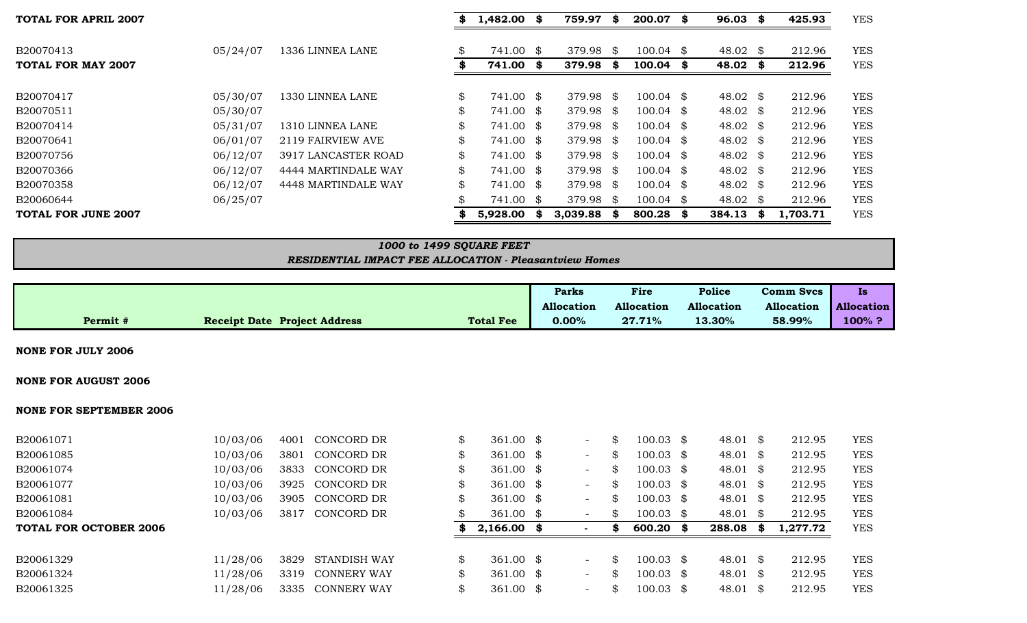| <b>TOTAL FOR APRIL 2007</b> |          |                     | $1,482.00$ \$   |      | 759.97    | \$   | 200.07 \$            |      | $96.03$ \$  | 425.93   | <b>YES</b> |
|-----------------------------|----------|---------------------|-----------------|------|-----------|------|----------------------|------|-------------|----------|------------|
| B20070413                   | 05/24/07 | 1336 LINNEA LANE    | \$<br>741.00 \$ |      | 379.98    | - \$ | $100.04 \text{ }$ \$ |      | 48.02 \$    | 212.96   | <b>YES</b> |
| <b>TOTAL FOR MAY 2007</b>   |          |                     | 741.00 \$       |      | 379.98    | SS.  | 100.04               | - \$ | $48.02$ \$  | 212.96   | <b>YES</b> |
| B20070417                   | 05/30/07 | 1330 LINNEA LANE    | \$<br>741.00 \$ |      | 379.98 \$ |      | $100.04 \text{ }$ \$ |      | 48.02 \$    | 212.96   | <b>YES</b> |
| B20070511                   | 05/30/07 |                     | \$<br>741.00 \$ |      | 379.98 \$ |      | $100.04$ \$          |      | 48.02 \$    | 212.96   | <b>YES</b> |
| B20070414                   | 05/31/07 | 1310 LINNEA LANE    | \$<br>741.00 \$ |      | 379.98 \$ |      | $100.04$ \$          |      | 48.02 \$    | 212.96   | <b>YES</b> |
| B20070641                   | 06/01/07 | 2119 FAIRVIEW AVE   | \$<br>741.00 \$ |      | 379.98 \$ |      | $100.04$ \$          |      | 48.02 \$    | 212.96   | <b>YES</b> |
| B20070756                   | 06/12/07 | 3917 LANCASTER ROAD | \$<br>741.00 \$ |      | 379.98 \$ |      | $100.04 \text{ }$ \$ |      | 48.02 \$    | 212.96   | <b>YES</b> |
| B20070366                   | 06/12/07 | 4444 MARTINDALE WAY | \$<br>741.00 \$ |      | 379.98 \$ |      | $100.04$ \$          |      | 48.02 \$    | 212.96   | <b>YES</b> |
| B20070358                   | 06/12/07 | 4448 MARTINDALE WAY | \$<br>741.00 \$ |      | 379.98 \$ |      | $100.04 \text{ }$ \$ |      | 48.02 \$    | 212.96   | <b>YES</b> |
| B20060644                   | 06/25/07 |                     | \$<br>741.00 \$ |      | 379.98 \$ |      | $100.04 \text{ }$ \$ |      | 48.02 \$    | 212.96   | <b>YES</b> |
| <b>TOTAL FOR JUNE 2007</b>  |          |                     | 5,928.00        | - \$ | 3,039.88  | S.   | 800.28               | -86  | $384.13$ \$ | 1,703.71 | <b>YES</b> |

## *1000 to 1499 SQUARE FEET*

### *RESIDENTIAL IMPACT FEE ALLOCATION - Pleasantview Homes*

|                                                                     | <b>Parks</b>      | Fire              | <b>Police</b>     | <b>Comm Svcs</b>  | <b>IS</b>         |
|---------------------------------------------------------------------|-------------------|-------------------|-------------------|-------------------|-------------------|
|                                                                     | <b>Allocation</b> | <b>Allocation</b> | <b>Allocation</b> | <b>Allocation</b> | <b>Allocation</b> |
| <b>Total Fee</b><br><b>Receipt Date Project Address</b><br>Permit # | 0.00%             | 27.71%            | 13.30%            | 58.99%            | $100\%$ ?         |
|                                                                     |                   |                   |                   |                   |                   |

| Permit #                       | <b>Receipt Date Project Address</b> | <b>Total Fee</b> | <b>Allocation</b><br>$0.00\%$ | <b>Allocation</b><br>27.71% | <b>Allocation</b><br>13.30% | Allocation<br>58.99% | <b>Allo</b><br>10 |
|--------------------------------|-------------------------------------|------------------|-------------------------------|-----------------------------|-----------------------------|----------------------|-------------------|
| <b>NONE FOR JULY 2006</b>      |                                     |                  |                               |                             |                             |                      |                   |
| <b>NONE FOR AUGUST 2006</b>    |                                     |                  |                               |                             |                             |                      |                   |
| <b>NONE FOR SEPTEMBER 2006</b> |                                     |                  |                               |                             |                             |                      |                   |

| 10/03/06 | 4001 | CONCORD DR         | \$         |  | -                                                                                                                                                                   | \$ | - \$ | 48.01                                                                                                                                                                 | SS. | 212.95   | <b>YES</b> |
|----------|------|--------------------|------------|--|---------------------------------------------------------------------------------------------------------------------------------------------------------------------|----|------|-----------------------------------------------------------------------------------------------------------------------------------------------------------------------|-----|----------|------------|
| 10/03/06 | 3801 |                    | \$         |  | $-$                                                                                                                                                                 | \$ |      | 48.01                                                                                                                                                                 | \$  | 212.95   | <b>YES</b> |
| 10/03/06 | 3833 | CONCORD DR         |            |  | $\overline{\phantom{0}}$                                                                                                                                            | \$ |      |                                                                                                                                                                       |     | 212.95   | <b>YES</b> |
| 10/03/06 | 3925 | CONCORD DR         | \$         |  | $-$                                                                                                                                                                 | \$ |      | 48.01                                                                                                                                                                 | \$  | 212.95   | <b>YES</b> |
| 10/03/06 | 3905 | CONCORD DR         | \$         |  | $\overline{\phantom{0}}$                                                                                                                                            | \$ |      | 48.01                                                                                                                                                                 | -SS | 212.95   | <b>YES</b> |
| 10/03/06 | 3817 | CONCORD DR         |            |  | $\overline{\phantom{0}}$                                                                                                                                            | S  | - \$ | 48.01                                                                                                                                                                 | \$. | 212.95   | <b>YES</b> |
|          |      |                    |            |  |                                                                                                                                                                     |    | \$   | 288.08                                                                                                                                                                | -86 | 1,277.72 | <b>YES</b> |
|          |      |                    |            |  |                                                                                                                                                                     |    |      |                                                                                                                                                                       |     |          |            |
| 11/28/06 | 3829 | STANDISH WAY       | \$         |  | $\overline{\phantom{0}}$                                                                                                                                            | \$ |      | 48.01                                                                                                                                                                 | -SS | 212.95   | <b>YES</b> |
| 11/28/06 | 3319 | <b>CONNERY WAY</b> | \$         |  | $-$                                                                                                                                                                 | \$ |      | 48.01                                                                                                                                                                 | -SS | 212.95   | <b>YES</b> |
| 11/28/06 | 3335 | <b>CONNERY WAY</b> |            |  | $\overline{\phantom{0}}$                                                                                                                                            | S  |      | 48.01                                                                                                                                                                 | -SS | 212.95   | <b>YES</b> |
|          |      |                    | CONCORD DR |  | 361.00 \$<br>361.00 \$<br>361.00 \$<br>361.00 \$<br>361.00 $\frac{1}{2}$<br>361.00 \$<br>$2,166.00$ \$<br>$361.00 \text{ }$ \$<br>361.00 $\frac{1}{2}$<br>361.00 \$ |    |      | 100.03<br>$100.03 \text{ }$ \$<br>$100.03 \text{ }$ \$<br>$100.03$ \$<br>$100.03 \text{ }$ \$<br>100.03<br>600.20<br>$100.03$ \$<br>$100.03 \text{ }$ \$<br>100.03 \$ |     | 48.01 \$ |            |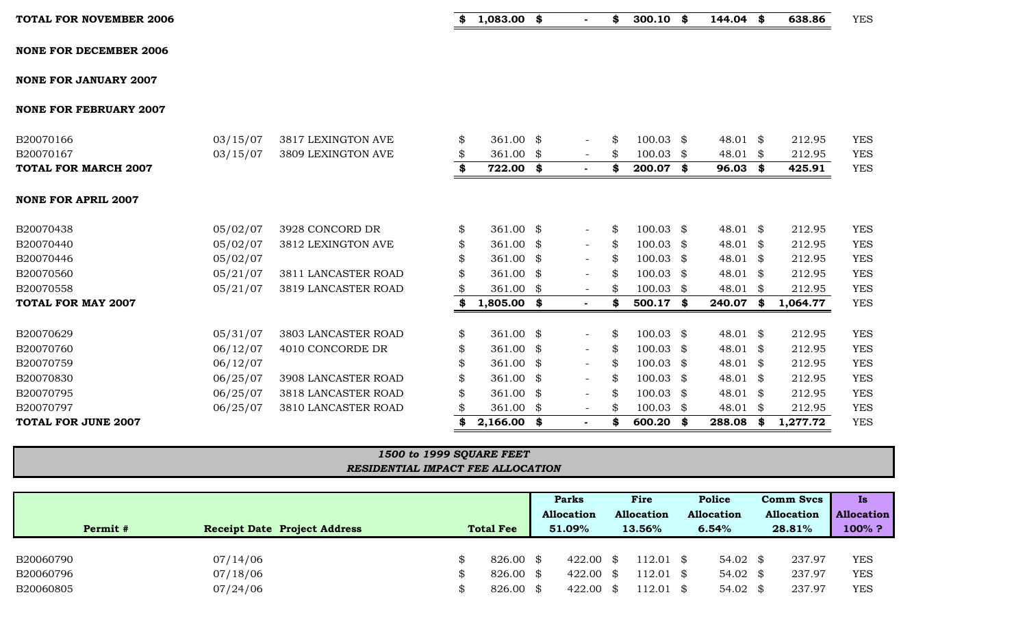|  | TOTAL FOR NOVEMBER 2006 |  |
|--|-------------------------|--|
|  |                         |  |

**TOTAL FOR NOVEMBER 2006 \$ 1,083.00 \$ - \$ 300.10 \$ 144.04 \$ 638.86** YES

| <b>NONE FOR DECEMBER 2006</b> |  |
|-------------------------------|--|
|-------------------------------|--|

**NONE FOR JANUARY 2007**

**NONE FOR FEBRUARY 2007**

|  |  | --------------------------------- | . |  |
|--|--|-----------------------------------|---|--|
|  |  |                                   |   |  |
|  |  |                                   |   |  |
|  |  |                                   |   |  |
|  |  |                                   |   |  |
|  |  |                                   |   |  |
|  |  |                                   |   |  |

| B20070629 | 05/31/07 | 3803 LANCASTER ROAD | $361.00 \text{ }$ \$ |  | SS.           | 100.03               | 48.01 \$ | 212.95 | <b>YES</b> |
|-----------|----------|---------------------|----------------------|--|---------------|----------------------|----------|--------|------------|
| B20070760 | 06/12/07 | 4010 CONCORDE DR    | 361.00 \$            |  |               | $100.03 \text{ }$ \$ | 48.01    | 212.95 | <b>YES</b> |
| B20070759 | 06/12/07 |                     | $361.00$ \$          |  | SS.           | 100.03               | 48.01    | 212.95 | <b>YES</b> |
| B20070830 | 06/25/07 | 3908 LANCASTER ROAD | 361.00 $\text{\$}$   |  | $\mathcal{R}$ | $100.03 \text{ }$ \$ | 48.01    | 212.95 | <b>YES</b> |
| B20070795 | 06/25/07 | 3818 LANCASTER ROAD | $361.00$ \$          |  |               | 100.03               | 48.01    | 212.95 | <b>YES</b> |

|  | <b>NONE FOR APRIL 2007</b> |  |
|--|----------------------------|--|

| <b>TOTAL FOR MARCH 2007</b> |          |                    | 722.00    |  | -86 | 200.07      | 96.03    | 425.91 | <b>YES</b> |
|-----------------------------|----------|--------------------|-----------|--|-----|-------------|----------|--------|------------|
| B20070167                   | 03/15/07 | 3809 LEXINGTON AVE | 361.00 \$ |  | SS. | 100.03      | 48.01    | 212.95 | <b>YES</b> |
| B20070166                   | 03/15/07 | 3817 LEXINGTON AVE | 361.00 \$ |  | SS. | $100.03$ \$ | 48.01 \$ | 212.95 | <b>YES</b> |
|                             |          |                    |           |  |     |             |          |        |            |

B20070438 05/02/07 3928 CONCORD DR \$ 361.00 \$ - \$ 100.03 \$ 48.01 \$ 212.95 YES B20070440 05/02/07 3812 LEXINGTON AVE \$ 361.00 \$ - \$ 100.03 \$ 48.01 \$ 212.95 YES B20070446 05/02/07 \$ 361.00 \$ - \$ 100.03 \$ 48.01 \$ 212.95 YES B20070560 05/21/07 3811 LANCASTER ROAD \$ 361.00 \$ - \$ 100.03 \$ 48.01 \$ 212.95 YES B20070558 05/21/07 3819 LANCASTER ROAD \$ 361.00 \$ = \$ 100.03 \$ 48.01 \$ 212.95 YES **TOTAL FOR MAY 2007 \$ 1,805.00 \$ - \$ 500.17 \$ 240.07 \$ 1,064.77** YES

# *1500 to 1999 SQUARE FEET RESIDENTIAL IMPACT FEE ALLOCATION*

B20070797 06/25/07 3810 LANCASTER ROAD \$ 361.00 \$ 5 100.03 \$ 48.01 \$ 212.95 YES **TOTAL FOR JUNE 2007 \$ 2,166.00 \$ - \$ 600.20 \$ 288.08 \$ 1,277.72** YES

|           |                                     |                  | <b>Parks</b><br><b>Allocation</b> | Fire<br><b>Allocation</b> |           |       |                     |        |        |            |  | <b>Police</b><br><b>Allocation</b> |  | <b>Comm Svcs</b><br><b>Allocation</b> | Is.<br><b>Allocation</b> |
|-----------|-------------------------------------|------------------|-----------------------------------|---------------------------|-----------|-------|---------------------|--------|--------|------------|--|------------------------------------|--|---------------------------------------|--------------------------|
| Permit #  | <b>Receipt Date Project Address</b> | <b>Total Fee</b> | 51.09%                            | 13.56%                    |           | 6.54% |                     | 28.81% |        | $100\%$ ?  |  |                                    |  |                                       |                          |
|           |                                     |                  |                                   |                           |           |       |                     |        |        |            |  |                                    |  |                                       |                          |
| B20060790 | 07/14/06                            | 826.00 \$        | 422.00                            | - \$                      | 112.01 \$ |       | 54.02 $\frac{1}{2}$ |        | 237.97 | <b>YES</b> |  |                                    |  |                                       |                          |
| B20060796 | 07/18/06                            | 826.00 \$        | 422.00                            | - \$                      | 112.01 \$ |       | 54.02 $\frac{1}{2}$ |        | 237.97 | <b>YES</b> |  |                                    |  |                                       |                          |
| B20060805 | 07/24/06                            | 826.00 \$        | 422.00                            | - \$                      | 112.01 \$ |       | 54.02 $\frac{1}{2}$ |        | 237.97 | <b>YES</b> |  |                                    |  |                                       |                          |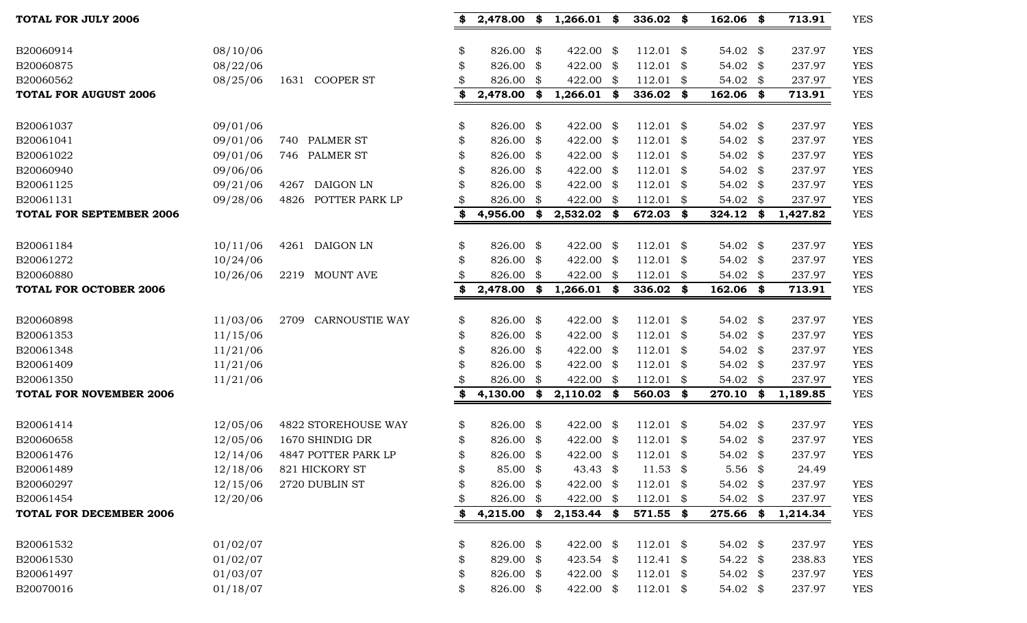| <b>TOTAL FOR JULY 2006</b>      |          |                               | 2,478.00            | \$   | 1,266.01      | \$   | 336.02      | \$<br>$162.06$ \$   |      | 713.91   | <b>YES</b> |
|---------------------------------|----------|-------------------------------|---------------------|------|---------------|------|-------------|---------------------|------|----------|------------|
| B20060914                       | 08/10/06 |                               | \$<br>826.00 \$     |      | 422.00 \$     |      | $112.01$ \$ | 54.02 \$            |      | 237.97   | <b>YES</b> |
| B20060875                       | 08/22/06 |                               | \$<br>826.00 \$     |      | 422.00 \$     |      | $112.01$ \$ | 54.02 \$            |      | 237.97   | <b>YES</b> |
| B20060562                       | 08/25/06 | <b>COOPER ST</b><br>1631      | 826.00 \$           |      | 422.00 \$     |      | $112.01$ \$ | 54.02 \$            |      | 237.97   | <b>YES</b> |
| <b>TOTAL FOR AUGUST 2006</b>    |          |                               | \$<br>$2,478.00$ \$ |      | $1,266.01$ \$ |      | 336.02 \$   | $162.06$ \$         |      | 713.91   | <b>YES</b> |
|                                 |          |                               |                     |      |               |      |             |                     |      |          |            |
| B20061037                       | 09/01/06 |                               | \$<br>826.00 \$     |      | 422.00 \$     |      | $112.01$ \$ | 54.02 \$            |      | 237.97   | <b>YES</b> |
| B20061041                       | 09/01/06 | 740 PALMER ST                 | \$<br>826.00 \$     |      | 422.00 \$     |      | $112.01$ \$ | 54.02 \$            |      | 237.97   | <b>YES</b> |
| B20061022                       | 09/01/06 | 746 PALMER ST                 | \$<br>826.00 \$     |      | 422.00 \$     |      | $112.01$ \$ | 54.02 \$            |      | 237.97   | <b>YES</b> |
| B20060940                       | 09/06/06 |                               | \$<br>826.00 \$     |      | 422.00 \$     |      | $112.01$ \$ | 54.02 \$            |      | 237.97   | <b>YES</b> |
| B20061125                       | 09/21/06 | <b>DAIGON LN</b><br>4267      | 826.00 \$           |      | 422.00 \$     |      | $112.01$ \$ | 54.02 \$            |      | 237.97   | <b>YES</b> |
| B20061131                       | 09/28/06 | POTTER PARK LP<br>4826        | \$<br>826.00        | - \$ | 422.00        | \$   | $112.01$ \$ | 54.02               | - \$ | 237.97   | <b>YES</b> |
| <b>TOTAL FOR SEPTEMBER 2006</b> |          |                               | \$<br>4,956.00      | \$   | 2,532.02      | \$   | 672.03      | \$<br>$324.12$ \$   |      | 1,427.82 | <b>YES</b> |
| B20061184                       | 10/11/06 | 4261 DAIGON LN                | \$<br>826.00 \$     |      | 422.00 \$     |      | $112.01$ \$ | 54.02 \$            |      | 237.97   | <b>YES</b> |
| B20061272                       | 10/24/06 |                               | \$<br>826.00 \$     |      | 422.00 \$     |      | $112.01$ \$ | 54.02 \$            |      | 237.97   | <b>YES</b> |
| B20060880                       | 10/26/06 | 2219 MOUNT AVE                | 826.00 \$           |      | 422.00 \$     |      | $112.01$ \$ | 54.02 \$            |      | 237.97   | <b>YES</b> |
| <b>TOTAL FOR OCTOBER 2006</b>   |          |                               | \$<br>2,478.00 \$   |      | $1,266.01$ \$ |      | $336.02$ \$ | $162.06$ \$         |      | 713.91   | <b>YES</b> |
|                                 |          |                               |                     |      |               |      |             |                     |      |          |            |
| B20060898                       | 11/03/06 | <b>CARNOUSTIE WAY</b><br>2709 | \$<br>826.00 \$     |      | 422.00 \$     |      | $112.01$ \$ | 54.02 \$            |      | 237.97   | <b>YES</b> |
| B20061353                       | 11/15/06 |                               | \$<br>826.00 \$     |      | 422.00 \$     |      | $112.01$ \$ | 54.02 \$            |      | 237.97   | <b>YES</b> |
| B20061348                       | 11/21/06 |                               | \$<br>826.00 \$     |      | 422.00 \$     |      | $112.01$ \$ | 54.02 \$            |      | 237.97   | <b>YES</b> |
| B20061409                       | 11/21/06 |                               | \$<br>826.00 \$     |      | 422.00 \$     |      | $112.01$ \$ | 54.02 \$            |      | 237.97   | <b>YES</b> |
| B20061350                       | 11/21/06 |                               | 826.00 \$           |      | 422.00        | \$   | $112.01$ \$ | 54.02 \$            |      | 237.97   | <b>YES</b> |
| <b>TOTAL FOR NOVEMBER 2006</b>  |          |                               | \$<br>4,130.00      | \$   | 2,110.02      | - \$ | 560.03 \$   | 270.10 \$           |      | 1,189.85 | <b>YES</b> |
| B20061414                       | 12/05/06 | 4822 STOREHOUSE WAY           | \$<br>826.00 \$     |      | 422.00 \$     |      | $112.01$ \$ | 54.02 \$            |      | 237.97   | <b>YES</b> |
| B20060658                       | 12/05/06 | 1670 SHINDIG DR               | \$<br>826.00 \$     |      | 422.00 \$     |      | $112.01$ \$ | 54.02 \$            |      | 237.97   | <b>YES</b> |
| B20061476                       | 12/14/06 | 4847 POTTER PARK LP           | 826.00 \$           |      | 422.00 \$     |      | $112.01$ \$ | 54.02 \$            |      | 237.97   | <b>YES</b> |
| B20061489                       | 12/18/06 | 821 HICKORY ST                | 85.00 \$            |      | 43.43 \$      |      | $11.53$ \$  | $5.56$ \$           |      | 24.49    |            |
| B20060297                       | 12/15/06 | 2720 DUBLIN ST                | \$<br>826.00 \$     |      | 422.00 \$     |      | $112.01$ \$ | 54.02 \$            |      | 237.97   | <b>YES</b> |
| B20061454                       | 12/20/06 |                               | \$<br>826.00 \$     |      | 422.00 \$     |      | $112.01$ \$ | 54.02 \$            |      | 237.97   | <b>YES</b> |
| <b>TOTAL FOR DECEMBER 2006</b>  |          |                               | \$<br>$4,215.00$ \$ |      | $2,153.44$ \$ |      | 571.55 \$   | 275.66 \$           |      | 1,214.34 | <b>YES</b> |
| B20061532                       | 01/02/07 |                               | \$<br>826.00 \$     |      | 422.00 \$     |      | $112.01$ \$ | 54.02 \$            |      | 237.97   | <b>YES</b> |
| B20061530                       | 01/02/07 |                               | \$<br>829.00 \$     |      | 423.54 \$     |      | $112.41$ \$ | 54.22 $\frac{1}{2}$ |      | 238.83   | <b>YES</b> |
| B20061497                       | 01/03/07 |                               | \$<br>826.00 \$     |      | 422.00 \$     |      | $112.01$ \$ | 54.02 \$            |      | 237.97   | <b>YES</b> |
| B20070016                       | 01/18/07 |                               | \$<br>826.00 \$     |      | 422.00 \$     |      | $112.01$ \$ | 54.02 \$            |      | 237.97   | <b>YES</b> |
|                                 |          |                               |                     |      |               |      |             |                     |      |          |            |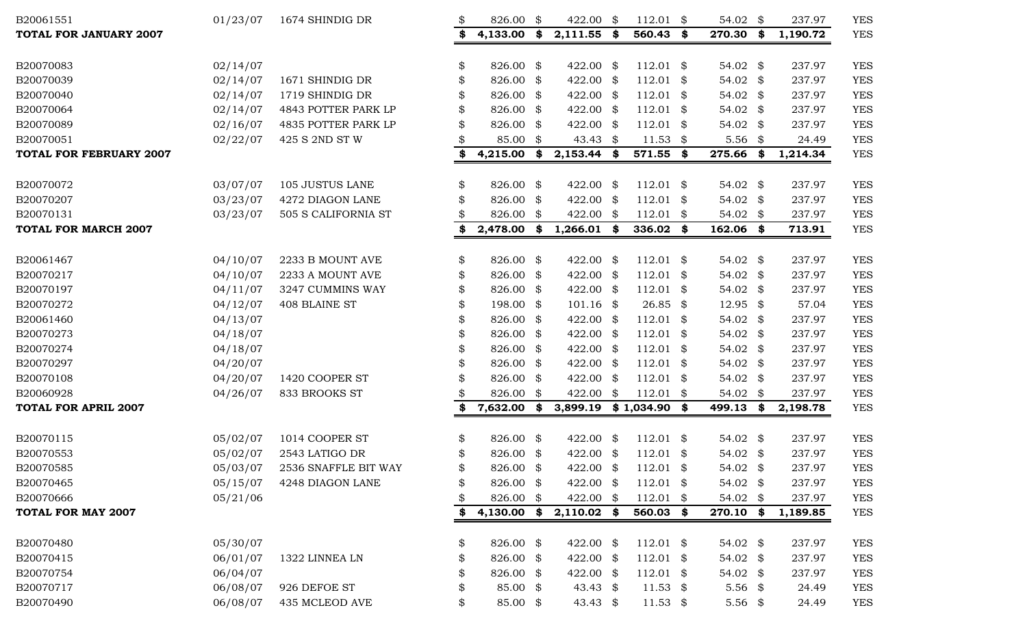| B20061551                      | 01/23/07 | 1674 SHINDIG DR      | \$ | 826.00 \$ |      | 422.00              | \$   | $112.01$ \$    | 54.02 \$            |      | 237.97   | <b>YES</b> |
|--------------------------------|----------|----------------------|----|-----------|------|---------------------|------|----------------|---------------------|------|----------|------------|
| <b>TOTAL FOR JANUARY 2007</b>  |          |                      | \$ | 4,133.00  | \$   | 2,111.55            | \$   | 560.43         | \$<br>270.30        | \$   | 1,190.72 | <b>YES</b> |
| B20070083                      | 02/14/07 |                      | \$ | 826.00 \$ |      | 422.00 \$           |      | $112.01$ \$    | 54.02 $$$           |      | 237.97   | <b>YES</b> |
| B20070039                      | 02/14/07 | 1671 SHINDIG DR      | \$ | 826.00    | \$   | 422.00 \$           |      | $112.01$ \$    | 54.02               | \$   | 237.97   | <b>YES</b> |
| B20070040                      | 02/14/07 | 1719 SHINDIG DR      |    | 826.00    | \$   | 422.00 \$           |      | $112.01$ \$    | 54.02 \$            |      | 237.97   | <b>YES</b> |
| B20070064                      | 02/14/07 | 4843 POTTER PARK LP  |    | 826.00    | - \$ | 422.00 \$           |      | $112.01$ \$    | 54.02 $$$           |      | 237.97   | <b>YES</b> |
| B20070089                      | 02/16/07 | 4835 POTTER PARK LP  | \$ | 826.00 \$ |      | 422.00 \$           |      | $112.01$ \$    | 54.02               | - \$ | 237.97   | <b>YES</b> |
| B20070051                      | 02/22/07 | 425 S 2ND ST W       |    | 85.00 \$  |      | 43.43 $\frac{1}{2}$ |      | $11.53$ \$     | $5.56$ \$           |      | 24.49    | <b>YES</b> |
| <b>TOTAL FOR FEBRUARY 2007</b> |          |                      | \$ | 4,215.00  | \$   | 2,153.44            | \$   | 571.55 \$      | 275.66              | \$   | 1,214.34 | <b>YES</b> |
| B20070072                      | 03/07/07 | 105 JUSTUS LANE      | \$ | 826.00 \$ |      | 422.00              | -\$  | $112.01$ \$    | 54.02 $\frac{1}{2}$ |      | 237.97   | <b>YES</b> |
| B20070207                      | 03/23/07 | 4272 DIAGON LANE     |    | 826.00    | \$   | 422.00 \$           |      | $112.01$ \$    | 54.02 $$$           |      | 237.97   | <b>YES</b> |
| B20070131                      | 03/23/07 | 505 S CALIFORNIA ST  |    | 826.00    | \$   | 422.00              | \$   | $112.01$ \$    | 54.02 $$$           |      | 237.97   | <b>YES</b> |
| <b>TOTAL FOR MARCH 2007</b>    |          |                      |    | 2,478.00  | \$   | 1,266.01            | \$   | 336.02         | \$<br>162.06 \$     |      | 713.91   | <b>YES</b> |
| B20061467                      | 04/10/07 | 2233 B MOUNT AVE     | \$ | 826.00 \$ |      | 422.00 \$           |      | $112.01$ \$    | 54.02 $$$           |      | 237.97   | <b>YES</b> |
| B20070217                      | 04/10/07 | 2233 A MOUNT AVE     | \$ | 826.00    | \$   | 422.00 \$           |      | $112.01$ \$    | 54.02 \$            |      | 237.97   | <b>YES</b> |
| B20070197                      | 04/11/07 | 3247 CUMMINS WAY     | \$ | 826.00 \$ |      | 422.00 \$           |      | $112.01$ \$    | 54.02               | \$   | 237.97   | <b>YES</b> |
| B20070272                      | 04/12/07 | 408 BLAINE ST        | \$ | 198.00 \$ |      | $101.16$ \$         |      | $26.85$ \$     | 12.95 \$            |      | 57.04    | <b>YES</b> |
| B20061460                      | 04/13/07 |                      | \$ | 826.00 \$ |      | 422.00 \$           |      | $112.01$ \$    | 54.02 \$            |      | 237.97   | <b>YES</b> |
| B20070273                      | 04/18/07 |                      | \$ | 826.00    | -\$  | 422.00 \$           |      | $112.01$ \$    | 54.02 \$            |      | 237.97   | <b>YES</b> |
| B20070274                      | 04/18/07 |                      | \$ | 826.00    | \$   | 422.00 \$           |      | $112.01$ \$    | 54.02               | \$   | 237.97   | <b>YES</b> |
| B20070297                      | 04/20/07 |                      | \$ | 826.00    | \$   | 422.00 \$           |      | $112.01$ \$    | 54.02 \$            |      | 237.97   | <b>YES</b> |
| B20070108                      | 04/20/07 | 1420 COOPER ST       |    | 826.00    | - \$ | 422.00 \$           |      | $112.01$ \$    | 54.02 $$$           |      | 237.97   | <b>YES</b> |
| B20060928                      | 04/26/07 | 833 BROOKS ST        |    | 826.00 \$ |      | 422.00              | \$   | $112.01$ \$    | 54.02               | \$   | 237.97   | <b>YES</b> |
| <b>TOTAL FOR APRIL 2007</b>    |          |                      | \$ | 7,632.00  | \$   | 3,899.19            |      | $$1,034.90$ \$ | 499.13              | \$   | 2,198.78 | <b>YES</b> |
| B20070115                      | 05/02/07 | 1014 COOPER ST       | \$ | 826.00 \$ |      | 422.00              | - \$ | $112.01$ \$    | 54.02 $$$           |      | 237.97   | <b>YES</b> |
| B20070553                      | 05/02/07 | 2543 LATIGO DR       | \$ | 826.00 \$ |      | 422.00              | \$   | $112.01$ \$    | 54.02 \$            |      | 237.97   | <b>YES</b> |
| B20070585                      | 05/03/07 | 2536 SNAFFLE BIT WAY | \$ | 826.00 \$ |      | 422.00 \$           |      | $112.01$ \$    | 54.02 $\frac{1}{2}$ |      | 237.97   | <b>YES</b> |
| B20070465                      | 05/15/07 | 4248 DIAGON LANE     |    | 826.00 \$ |      | 422.00 \$           |      | $112.01$ \$    | 54.02 \$            |      | 237.97   | <b>YES</b> |
| B20070666                      | 05/21/06 |                      | \$ | 826.00 \$ |      | 422.00 \$           |      | $112.01$ \$    | 54.02 \$            |      | 237.97   | <b>YES</b> |
| <b>TOTAL FOR MAY 2007</b>      |          |                      |    | 4,130.00  | \$   | 2,110.02            | - \$ | 560.03 \$      | 270.10 \$           |      | 1,189.85 | <b>YES</b> |
| B20070480                      | 05/30/07 |                      | \$ | 826.00 \$ |      | 422.00 \$           |      | $112.01$ \$    | 54.02 $$$           |      | 237.97   | <b>YES</b> |
| B20070415                      | 06/01/07 | 1322 LINNEA LN       | æ. | 826.00 \$ |      | 422.00 \$           |      | $112.01$ \$    | 54.02 \$            |      | 237.97   | <b>YES</b> |
| B20070754                      | 06/04/07 |                      |    | 826.00 \$ |      | 422.00 \$           |      | $112.01$ \$    | 54.02 $$$           |      | 237.97   | <b>YES</b> |
| B20070717                      | 06/08/07 | 926 DEFOE ST         | \$ | 85.00 \$  |      | 43.43 \$            |      | $11.53$ \$     | $5.56$ \$           |      | 24.49    | <b>YES</b> |
| B20070490                      | 06/08/07 | 435 MCLEOD AVE       | \$ | 85.00 \$  |      | 43.43 \$            |      | $11.53$ \$     | 5.56 $$$            |      | 24.49    | <b>YES</b> |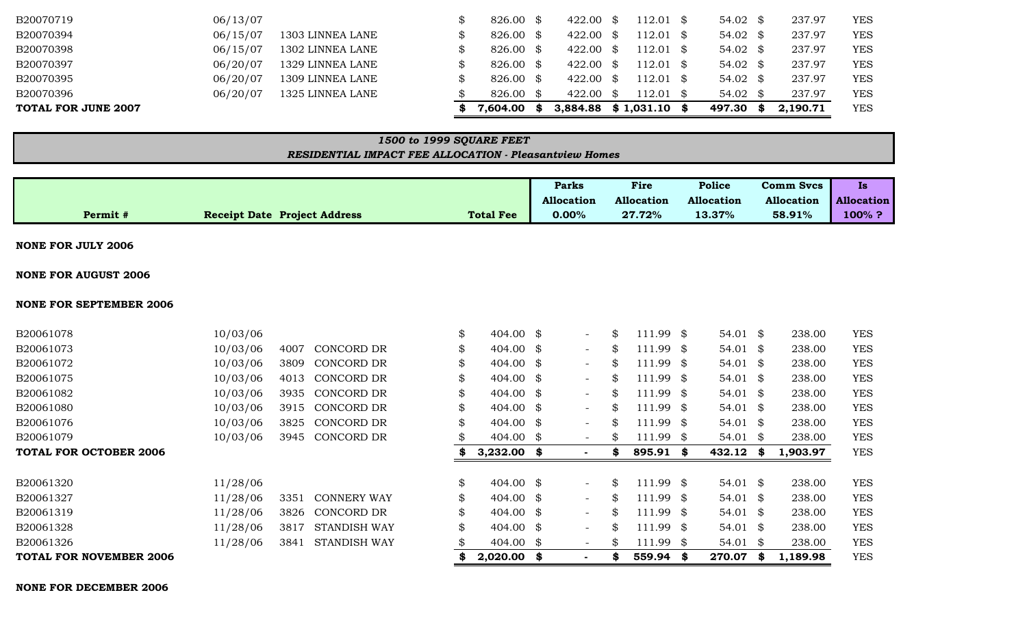#### **NONE FOR DECEMBER 2006**

| <b>NONE FOR SEPTEMBER 2006</b> |          |      |                     |                            |                          |    |             |                     |   |          |            |
|--------------------------------|----------|------|---------------------|----------------------------|--------------------------|----|-------------|---------------------|---|----------|------------|
| B20061078                      | 10/03/06 |      |                     | \$<br>404.00 \$            | $ \,$                    | \$ | $111.99$ \$ | 54.01 \$            |   | 238.00   | <b>YES</b> |
| B20061073                      | 10/03/06 | 4007 | CONCORD DR          | 404.00 $\frac{1}{9}$       | $ \,$                    | \$ | $111.99$ \$ | 54.01 $\frac{1}{2}$ |   | 238.00   | <b>YES</b> |
| B20061072                      | 10/03/06 | 3809 | CONCORD DR          | \$<br>404.00 $\frac{1}{9}$ | $ \,$                    | \$ | $111.99$ \$ | $54.01$ \$          |   | 238.00   | <b>YES</b> |
| B20061075                      | 10/03/06 | 4013 | CONCORD DR          | 404.00 $\frac{1}{9}$       | $\overline{\phantom{a}}$ | \$ | $111.99$ \$ | 54.01 $\frac{1}{2}$ |   | 238.00   | <b>YES</b> |
| B20061082                      | 10/03/06 | 3935 | CONCORD DR          | 404.00 $\frac{1}{9}$       | $ \,$                    | S  | $111.99$ \$ | 54.01 $\frac{1}{2}$ |   | 238.00   | <b>YES</b> |
| B20061080                      | 10/03/06 | 3915 | CONCORD DR          | \$<br>404.00 $\frac{1}{9}$ | $ \,$                    | \$ | $111.99$ \$ | 54.01 $\frac{1}{2}$ |   | 238.00   | <b>YES</b> |
| B20061076                      | 10/03/06 | 3825 | CONCORD DR          | \$<br>404.00 $\frac{1}{9}$ | $\overline{\phantom{a}}$ | S  | $111.99$ \$ | $54.01$ \$          |   | 238.00   | <b>YES</b> |
| B20061079                      | 10/03/06 | 3945 | CONCORD DR          | 404.00 $\frac{1}{9}$       | $-$                      | \$ | $111.99$ \$ | $54.01$ \$          |   | 238.00   | <b>YES</b> |
| <b>TOTAL FOR OCTOBER 2006</b>  |          |      |                     | \$<br>$3,232.00$ \$        | ٠                        | \$ | 895.91 \$   | 432.12              | S | 1,903.97 | <b>YES</b> |
| B20061320                      | 11/28/06 |      |                     | \$<br>404.00 $\text{\$}$   | $-$                      | \$ | 111.99 \$   | 54.01 $\frac{1}{2}$ |   | 238.00   | <b>YES</b> |
| B20061327                      | 11/28/06 | 3351 | <b>CONNERY WAY</b>  | \$<br>404.00 $\frac{1}{9}$ | $ \,$                    | \$ | $111.99$ \$ | 54.01 $\frac{1}{2}$ |   | 238.00   | <b>YES</b> |
| B20061319                      | 11/28/06 | 3826 | CONCORD DR          | \$<br>404.00 $\text{\$}$   | $\overline{\phantom{a}}$ | \$ | $111.99$ \$ | 54.01 $\frac{1}{2}$ |   | 238.00   | <b>YES</b> |
| B20061328                      | 11/28/06 | 3817 | <b>STANDISH WAY</b> | \$<br>404.00 $\text{\$}$   | $\overline{\phantom{a}}$ | \$ | $111.99$ \$ | $54.01$ \$          |   | 238.00   | <b>YES</b> |
| B20061326                      | 11/28/06 | 3841 | STANDISH WAY        | \$<br>404.00 $\frac{1}{9}$ | $-$                      | \$ | $111.99$ \$ | $54.01$ \$          |   | 238.00   | <b>YES</b> |
| <b>TOTAL FOR NOVEMBER 2006</b> |          |      |                     | \$<br>$2,020.00$ \$        |                          | S  | 559.94 \$   | 270.07              | S | 1,189.98 | <b>YES</b> |

#### **NONE FOR JULY 2006**

**NONE FOR AUGUST 2006**

| B20070397           | 06/20/07 | 1329 LINNEA LANE                                              | \$                       | $826.00$ \$      |      | 422.00                    | - \$     | $112.01$ \$       | $54.02 \text{ } $$  | 237.97            | YES                            |
|---------------------|----------|---------------------------------------------------------------|--------------------------|------------------|------|---------------------------|----------|-------------------|---------------------|-------------------|--------------------------------|
| B20070395           | 06/20/07 | 1309 LINNEA LANE                                              | \$                       | 826.00 \$        |      | 422.00 \$                 |          | $112.01$ \$       | $54.02 \text{ } $$  | 237.97            | <b>YES</b>                     |
| B20070396           | 06/20/07 | 1325 LINNEA LANE                                              |                          | 826.00 \$        |      | 422.00                    | <b>S</b> | $112.01$ \$       | $54.02 \text{ }$ \$ | 237.97            | <b>YES</b>                     |
| TOTAL FOR JUNE 2007 |          |                                                               | S                        | 7,604.00         | - 36 | $3,884.88$ \$ 1,031.10 \$ |          |                   | 497.30 \$           | 2,190.71          | <b>YES</b>                     |
|                     |          |                                                               |                          |                  |      |                           |          |                   |                     |                   |                                |
|                     |          |                                                               |                          |                  |      |                           |          |                   |                     |                   |                                |
|                     |          |                                                               | 1500 to 1999 SQUARE FEET |                  |      |                           |          |                   |                     |                   |                                |
|                     |          | <b>RESIDENTIAL IMPACT FEE ALLOCATION - Pleasantview Homes</b> |                          |                  |      |                           |          |                   |                     |                   |                                |
|                     |          |                                                               |                          |                  |      |                           |          |                   |                     |                   |                                |
|                     |          |                                                               |                          |                  |      | Parks                     |          | <b>Fire</b>       | Police              | <b>Comm Svcs</b>  | <b>Is</b>                      |
|                     |          |                                                               |                          |                  |      | Allocation                |          | <b>Allocation</b> | <b>Allocation</b>   | <b>Allocation</b> |                                |
| Permit #            |          | <b>Receipt Date Project Address</b>                           |                          | <b>Total Fee</b> |      | $0.00\%$                  |          | 27.72%            | 13.37%              | 58.91%            | <b>Allocation</b><br>$100\%$ ? |

B20070719 06/13/07 \$ 826.00 \$ 422.00 \$ 112.01 \$ 54.02 \$ 237.97 YES B20070394 06/15/07 1303 LINNEA LANE \$ 826.00 \$ 422.00 \$ 112.01 \$ 54.02 \$ 237.97 YES B20070398 06/15/07 1302 LINNEA LANE \$ 826.00 \$ 422.00 \$ 112.01 \$ 54.02 \$ 237.97 YES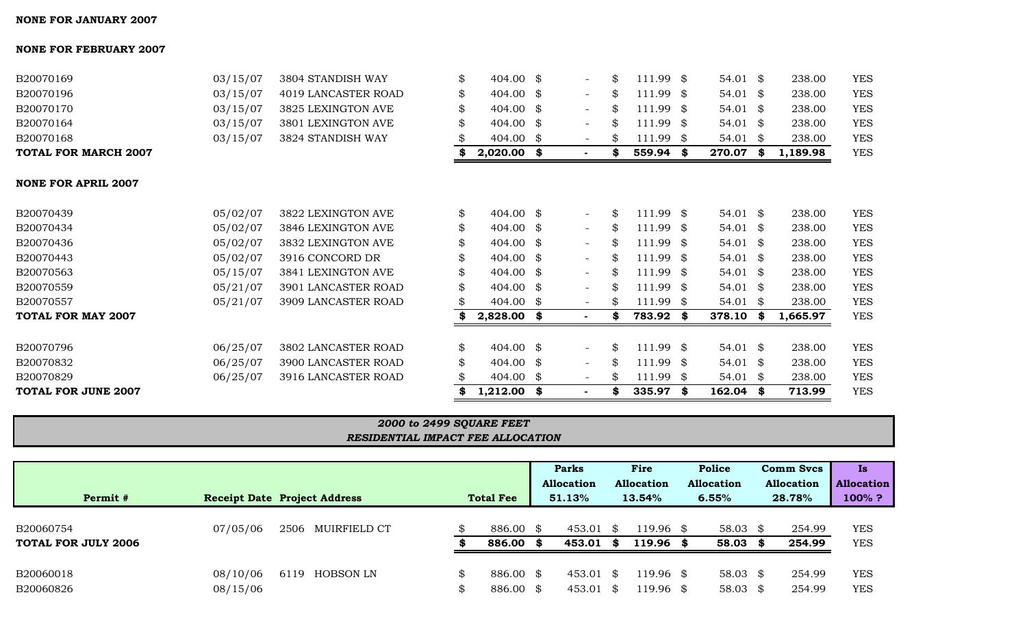| <b>NONE FOR APRIL 2007</b> |          |                     |     |                      |                          |     |                   |      |            |      |          |            |
|----------------------------|----------|---------------------|-----|----------------------|--------------------------|-----|-------------------|------|------------|------|----------|------------|
| B20070439                  | 05/02/07 | 3822 LEXINGTON AVE  | \$  | 404.00 \$            | $-$                      | \$  | 111.99 \$         |      | $54.01$ \$ |      | 238.00   | <b>YES</b> |
| B20070434                  | 05/02/07 | 3846 LEXINGTON AVE  | \$  | $404.00 \text{ }$ \$ | $\sim$                   | \$  | 111.99            | \$   | $54.01$ \$ |      | 238.00   | <b>YES</b> |
| B20070436                  | 05/02/07 | 3832 LEXINGTON AVE  | \$  | $404.00 \text{ }$ \$ | $-$                      | \$  | 111.99 \$         |      | $54.01$ \$ |      | 238.00   | <b>YES</b> |
| B20070443                  | 05/02/07 | 3916 CONCORD DR     | \$  | $404.00 \text{ }$ \$ | $-$                      | \$  | 111.99 \$         |      | $54.01$ \$ |      | 238.00   | <b>YES</b> |
| B20070563                  | 05/15/07 | 3841 LEXINGTON AVE  | \$  | $404.00 \text{ }$ \$ | $\sim$                   | \$  | 111.99            | \$   | 54.01 \$   |      | 238.00   | <b>YES</b> |
| B20070559                  | 05/21/07 | 3901 LANCASTER ROAD | \$  | $404.00 \text{ }$ \$ | $-$                      | \$  | 111.99 \$         |      | $54.01$ \$ |      | 238.00   | <b>YES</b> |
| B20070557                  | 05/21/07 | 3909 LANCASTER ROAD | SS. | $404.00 \text{ }$ \$ | $\overline{\phantom{0}}$ | SS. | 111.99            | - \$ | $54.01$ \$ |      | 238.00   | <b>YES</b> |
| <b>TOTAL FOR MAY 2007</b>  |          |                     |     | $2,828.00$ \$        |                          | s   | 783.92            | - \$ | 378.10     | - \$ | 1,665.97 | <b>YES</b> |
| B20070796                  | 06/25/07 | 3802 LANCASTER ROAD | \$  | $404.00 \text{ }$ \$ | $-$                      | \$  | .99<br>$\vert$ 11 | \$   | $54.01$ \$ |      | 238.00   | <b>YES</b> |
| B20070832                  | 06/25/07 | 3900 LANCASTER ROAD | \$  | $404.00 \text{ }$ \$ | $\sim$                   | \$  | 111.99 \$         |      | $54.01$ \$ |      | 238.00   | <b>YES</b> |
| B20070829                  | 06/25/07 | 3916 LANCASTER ROAD | \$  | $404.00 \text{ }$ \$ |                          | \$  | 111.99            | \$   | 54.01      | \$   | 238.00   | <b>YES</b> |

**TOTAL FOR JUNE 2007 \$ 1,212.00 \$ - \$ 335.97 \$ 162.04 \$ 713.99** YES

*RESIDENTIAL IMPACT FEE ALLOCATION 2000 to 2499 SQUARE FEET*

B20060754 07/05/06 2506 MUIRFIELD CT \$ 886.00 \$ 453.01 \$ 119.96 \$ 58.03 \$ 254.99 YES **TOTAL FOR JULY 2006 \$ 886.00 \$ 453.01 \$ 119.96 \$ 58.03 \$ 254.99** YES

B20060018 08/10/06 6119 HOBSON LN \$ 886.00 \$ 453.01 \$ 119.96 \$ 58.03 \$ 254.99 YES B20060826 08/15/06 \$ 886.00 \$ 453.01 \$ 119.96 \$ 58.03 \$ 254.99 YES

**Permit # Receipt Date Project Address Total Fee 51.13% 13.54% 6.55% 28.78% 100% ?**

**Parks Fire Police Comm Svcs Is Allocation Allocation Allocation Allocation Allocation**

## $NO<sub>2</sub>$

| B20070169                   | 03/15/07 | 3804 STANDISH WAY   | $404.00 \text{ }$ \$ |                | $.11.99$ \$ | 54.01 \$ | 238.00  | <b>YES</b> |
|-----------------------------|----------|---------------------|----------------------|----------------|-------------|----------|---------|------------|
| B20070196                   | 03/15/07 | 4019 LANCASTER ROAD | $404.00 \text{ }$ \$ |                | l11.99 \$   | 54.01 \$ | 238.00  | YES        |
| B20070170                   | 03/15/07 | 3825 LEXINGTON AVE  | 404.00 \$            |                | 11.99 \$    | 54.01 \$ | 238.00  | <b>YES</b> |
| B20070164                   | 03/15/07 | 3801 LEXINGTON AVE  | $404.00 \text{ }$ \$ |                | $11.99$ \$  | 54.01 \$ | 238.00  | <b>YES</b> |
| B20070168                   | 03/15/07 | 3824 STANDISH WAY   | 404.00               |                | 11.99 \$    | 54.01    | 238.00  | <b>YES</b> |
| <b>TOTAL FOR MARCH 2007</b> |          |                     | 2,020.00             | $\blacksquare$ | 559.94      | 270.07   | .189.98 | <b>YES</b> |

#### **NONE FOR FEBRUARY 2007**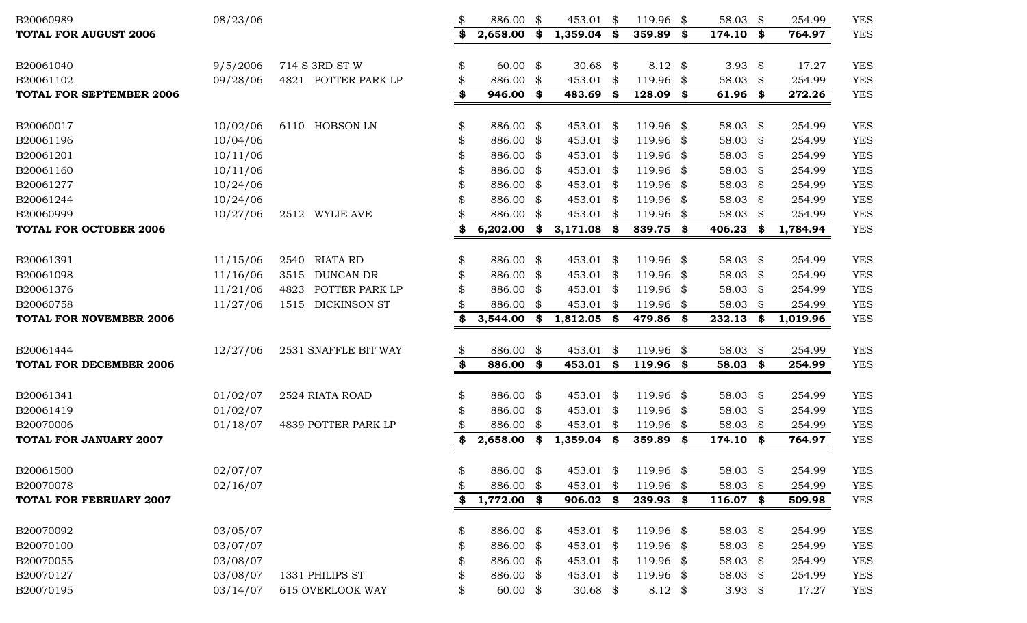| B20060989                       | 08/23/06 |                                       | \$<br>886.00                 | - \$ | 453.01 \$           |          | 119.96 \$                       |     | 58.03 \$             |      | 254.99          | <b>YES</b>               |
|---------------------------------|----------|---------------------------------------|------------------------------|------|---------------------|----------|---------------------------------|-----|----------------------|------|-----------------|--------------------------|
| <b>TOTAL FOR AUGUST 2006</b>    |          |                                       | \$<br>2,658.00               | \$   | 1,359.04            | \$       | 359.89                          | \$  | 174.10 \$            |      | 764.97          | <b>YES</b>               |
|                                 |          |                                       |                              |      |                     |          |                                 |     |                      |      |                 |                          |
| B20061040<br>B20061102          | 9/5/2006 | 714 S 3RD ST W<br>4821 POTTER PARK LP | \$<br>$60.00$ \$             |      | 30.68 $$$<br>453.01 |          | 8.12 $\frac{1}{2}$<br>119.96 \$ |     | 3.93 $$$<br>58.03 \$ |      | 17.27<br>254.99 | <b>YES</b>               |
| <b>TOTAL FOR SEPTEMBER 2006</b> | 09/28/06 |                                       | \$<br>886.00 \$<br>946.00 \$ |      | 483.69              | \$<br>\$ | 128.09                          |     |                      |      |                 | <b>YES</b><br><b>YES</b> |
|                                 |          |                                       | \$                           |      |                     |          |                                 | \$  | $61.96$ \$           |      | 272.26          |                          |
| B20060017                       | 10/02/06 | 6110 HOBSON LN                        | \$<br>886.00 \$              |      | 453.01 \$           |          | 119.96 \$                       |     | 58.03 $$$            |      | 254.99          | <b>YES</b>               |
| B20061196                       | 10/04/06 |                                       | \$<br>886.00 \$              |      | 453.01 \$           |          | 119.96 \$                       |     | 58.03 \$             |      | 254.99          | <b>YES</b>               |
| B20061201                       | 10/11/06 |                                       | \$<br>886.00 \$              |      | 453.01 \$           |          | 119.96 \$                       |     | 58.03 \$             |      | 254.99          | <b>YES</b>               |
| B20061160                       | 10/11/06 |                                       | \$<br>886.00 \$              |      | 453.01 \$           |          | 119.96 \$                       |     | 58.03 \$             |      | 254.99          | <b>YES</b>               |
| B20061277                       | 10/24/06 |                                       | \$<br>886.00 \$              |      | 453.01 \$           |          | 119.96 \$                       |     | 58.03 \$             |      | 254.99          | <b>YES</b>               |
| B20061244                       | 10/24/06 |                                       | \$<br>886.00 \$              |      | 453.01 \$           |          | 119.96 \$                       |     | 58.03 \$             |      | 254.99          | <b>YES</b>               |
| B20060999                       | 10/27/06 | 2512 WYLIE AVE                        | \$<br>886.00 \$              |      | 453.01 \$           |          | 119.96 \$                       |     | 58.03 \$             |      | 254.99          | <b>YES</b>               |
| <b>TOTAL FOR OCTOBER 2006</b>   |          |                                       | \$<br>$6,202.00$ \$          |      | 3,171.08            | \$       | 839.75 \$                       |     | 406.23               | - \$ | 1,784.94        | <b>YES</b>               |
|                                 |          |                                       |                              |      |                     |          |                                 |     |                      |      |                 |                          |
| B20061391                       | 11/15/06 | <b>RIATA RD</b><br>2540               | \$<br>886.00 \$              |      | 453.01 \$           |          | 119.96 \$                       |     | 58.03 $$$            |      | 254.99          | <b>YES</b>               |
| B20061098                       | 11/16/06 | <b>DUNCAN DR</b><br>3515              | \$<br>886.00 \$              |      | 453.01 \$           |          | 119.96 \$                       |     | 58.03 $$$            |      | 254.99          | <b>YES</b>               |
| B20061376                       | 11/21/06 | POTTER PARK LP<br>4823                | 886.00 \$                    |      | 453.01 \$           |          | 119.96 \$                       |     | 58.03 \$             |      | 254.99          | <b>YES</b>               |
| B20060758                       | 11/27/06 | <b>DICKINSON ST</b><br>1515           | 886.00 \$                    |      | 453.01 \$           |          | 119.96 \$                       |     | 58.03 \$             |      | 254.99          | <b>YES</b>               |
| <b>TOTAL FOR NOVEMBER 2006</b>  |          |                                       | 3,544.00                     | -\$  | 1,812.05            | - \$     | 479.86 \$                       |     | 232.13               | - \$ | 1,019.96        | <b>YES</b>               |
|                                 |          |                                       |                              |      |                     |          |                                 |     |                      |      |                 |                          |
| B20061444                       | 12/27/06 | 2531 SNAFFLE BIT WAY                  | \$<br>886.00 \$              |      | 453.01              | \$       | 119.96 \$                       |     | 58.03 $$$            |      | 254.99          | <b>YES</b>               |
| <b>TOTAL FOR DECEMBER 2006</b>  |          |                                       | \$<br>886.00 \$              |      | 453.01              | \$       | 119.96 \$                       |     | 58.03 \$             |      | 254.99          | <b>YES</b>               |
| B20061341                       | 01/02/07 | 2524 RIATA ROAD                       | \$<br>886.00 \$              |      | 453.01 \$           |          | 119.96 \$                       |     | 58.03 $$$            |      | 254.99          | <b>YES</b>               |
| B20061419                       | 01/02/07 |                                       | \$<br>886.00 \$              |      | 453.01 \$           |          | 119.96 \$                       |     | 58.03 $$$            |      | 254.99          | <b>YES</b>               |
| B20070006                       | 01/18/07 | 4839 POTTER PARK LP                   | \$<br>886.00 \$              |      | 453.01 \$           |          | 119.96 \$                       |     | 58.03 \$             |      | 254.99          | <b>YES</b>               |
| <b>TOTAL FOR JANUARY 2007</b>   |          |                                       | \$<br>2,658.00               | \$   | 1,359.04            | \$       | 359.89 \$                       |     | 174.10 \$            |      | 764.97          | <b>YES</b>               |
|                                 |          |                                       |                              |      |                     |          |                                 |     |                      |      |                 |                          |
| B20061500                       | 02/07/07 |                                       | \$<br>886.00 \$              |      | 453.01 \$           |          | 119.96                          | -\$ | 58.03 \$             |      | 254.99          | <b>YES</b>               |
| B20070078                       | 02/16/07 |                                       | \$<br>886.00 \$              |      | 453.01 \$           |          | 119.96 \$                       |     | 58.03 \$             |      | 254.99          | <b>YES</b>               |
| <b>TOTAL FOR FEBRUARY 2007</b>  |          |                                       | \$<br>1,772.00 \$            |      | $906.02$ \$         |          | 239.93 \$                       |     | $116.07$ \$          |      | 509.98          | <b>YES</b>               |
| B20070092                       | 03/05/07 |                                       | \$<br>886.00 \$              |      | 453.01 \$           |          | 119.96 \$                       |     | 58.03 \$             |      | 254.99          | <b>YES</b>               |
| B20070100                       | 03/07/07 |                                       | \$<br>886.00 \$              |      | 453.01 \$           |          | 119.96 \$                       |     | 58.03 \$             |      | 254.99          | <b>YES</b>               |
| B20070055                       | 03/08/07 |                                       | \$<br>886.00 \$              |      | 453.01 \$           |          | 119.96 \$                       |     | 58.03 \$             |      | 254.99          | <b>YES</b>               |
| B20070127                       | 03/08/07 | 1331 PHILIPS ST                       | \$<br>886.00 \$              |      | 453.01 \$           |          | 119.96 \$                       |     | 58.03 \$             |      | 254.99          | <b>YES</b>               |
| B20070195                       | 03/14/07 | <b>615 OVERLOOK WAY</b>               | \$<br>$60.00$ \$             |      | 30.68 $$$           |          | 8.12 $\frac{1}{2}$              |     | 3.93 $$$             |      | 17.27           | <b>YES</b>               |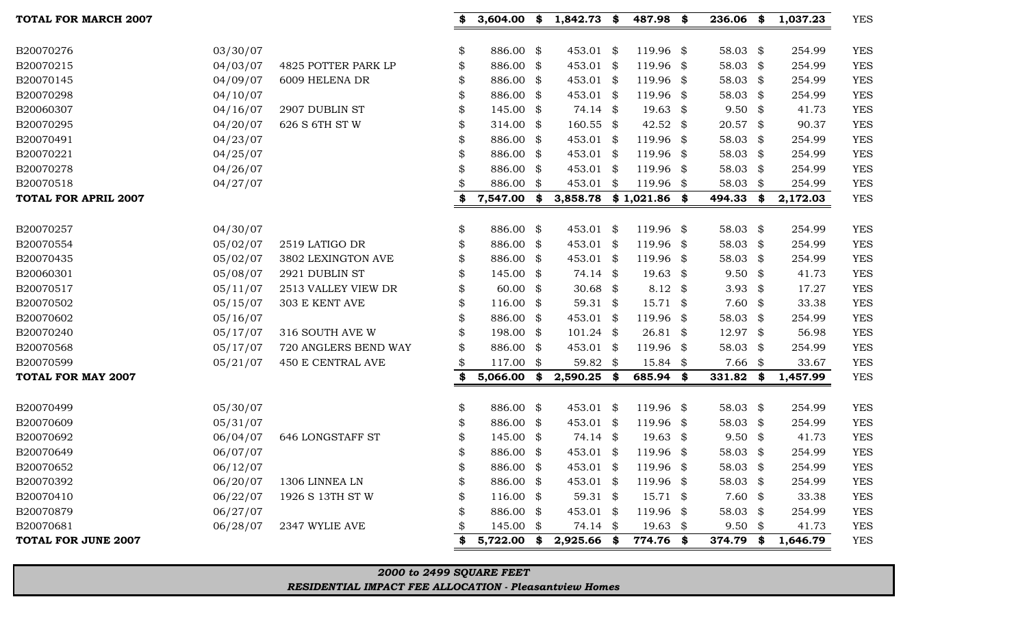## *RESIDENTIAL IMPACT FEE ALLOCATION - Pleasantview Homes*

*2000 to 2499 SQUARE FEET*

| TOTAL FOR MARCH 2007        |          |                          | 3,604.00            | \$   | $1,842.73$ \$          | 487.98 \$           | $236.06$ \$ |     | 1,037.23 | <b>YES</b> |
|-----------------------------|----------|--------------------------|---------------------|------|------------------------|---------------------|-------------|-----|----------|------------|
| B20070276                   | 03/30/07 |                          | \$<br>886.00 \$     |      | 453.01 \$              | 119.96 \$           | 58.03 $$$   |     | 254.99   | <b>YES</b> |
| B20070215                   | 04/03/07 | 4825 POTTER PARK LP      | \$<br>886.00        | \$   | 453.01 \$              | 119.96 \$           | 58.03 \$    |     | 254.99   | <b>YES</b> |
| B20070145                   | 04/09/07 | 6009 HELENA DR           | \$<br>886.00 \$     |      | 453.01 \$              | 119.96 \$           | 58.03 \$    |     | 254.99   | <b>YES</b> |
| B20070298                   | 04/10/07 |                          | 886.00 \$           |      | 453.01 \$              | 119.96 \$           | 58.03       | \$  | 254.99   | <b>YES</b> |
| B20060307                   | 04/16/07 | 2907 DUBLIN ST           | \$<br>145.00        | \$   | 74.14 \$               | $19.63$ \$          | $9.50$ \$   |     | 41.73    | <b>YES</b> |
| B20070295                   | 04/20/07 | 626 S 6TH ST W           | \$<br>314.00        | \$   | $160.55$ \$            | 42.52 $\frac{1}{2}$ | 20.57 \$    |     | 90.37    | <b>YES</b> |
| B20070491                   | 04/23/07 |                          | 886.00              | \$   | 453.01 \$              | 119.96 \$           | 58.03 \$    |     | 254.99   | <b>YES</b> |
| B20070221                   | 04/25/07 |                          | \$<br>886.00        | - \$ | 453.01 \$              | 119.96 \$           | 58.03 \$    |     | 254.99   | <b>YES</b> |
| B20070278                   | 04/26/07 |                          | 886.00              | \$   | 453.01 \$              | 119.96 \$           | 58.03       | -\$ | 254.99   | <b>YES</b> |
| B20070518                   | 04/27/07 |                          | 886.00              | - \$ | 453.01 \$              | 119.96 \$           | 58.03       | \$  | 254.99   | <b>YES</b> |
| <b>TOTAL FOR APRIL 2007</b> |          |                          | 7,547.00            | \$   | 3,858.78 \$1,021.86 \$ |                     | 494.33      | \$  | 2,172.03 | <b>YES</b> |
|                             |          |                          |                     |      |                        |                     |             |     |          |            |
| B20070257                   | 04/30/07 |                          | \$<br>886.00 \$     |      | 453.01 \$              | 119.96 \$           | 58.03       | \$  | 254.99   | <b>YES</b> |
| B20070554                   | 05/02/07 | 2519 LATIGO DR           | \$<br>886.00        | \$   | 453.01 \$              | 119.96 \$           | 58.03       | \$  | 254.99   | <b>YES</b> |
| B20070435                   | 05/02/07 | 3802 LEXINGTON AVE       | 886.00 \$           |      | 453.01 \$              | 119.96 \$           | 58.03 \$    |     | 254.99   | <b>YES</b> |
| B20060301                   | 05/08/07 | 2921 DUBLIN ST           | 145.00              | \$   | 74.14 \$               | $19.63$ \$          | $9.50$ \$   |     | 41.73    | <b>YES</b> |
| B20070517                   | 05/11/07 | 2513 VALLEY VIEW DR      | \$<br>60.00         | - \$ | 30.68 $$$              | 8.12 $\frac{1}{2}$  | 3.93 $$$    |     | 17.27    | <b>YES</b> |
| B20070502                   | 05/15/07 | 303 E KENT AVE           | $116.00$ \$         |      | 59.31 \$               | $15.71$ \$          | $7.60$ \$   |     | 33.38    | <b>YES</b> |
| B20070602                   | 05/16/07 |                          | \$<br>886.00        | \$   | 453.01 \$              | 119.96 \$           | 58.03 \$    |     | 254.99   | <b>YES</b> |
| B20070240                   | 05/17/07 | 316 SOUTH AVE W          | \$<br>198.00 \$     |      | $101.24$ \$            | $26.81$ \$          | 12.97 \$    |     | 56.98    | <b>YES</b> |
| B20070568                   | 05/17/07 | 720 ANGLERS BEND WAY     | \$<br>886.00 \$     |      | 453.01 \$              | 119.96 \$           | 58.03 \$    |     | 254.99   | <b>YES</b> |
| B20070599                   | 05/21/07 | <b>450 E CENTRAL AVE</b> | 117.00              | - \$ | 59.82 \$               | $15.84$ \$          | $7.66$ \$   |     | 33.67    | <b>YES</b> |
| TOTAL FOR MAY 2007          |          |                          | 5,066.00            | \$   | 2,590.25 \$            | 685.94 \$           | 331.82      | \$  | 1,457.99 | <b>YES</b> |
| B20070499                   | 05/30/07 |                          | \$<br>886.00 \$     |      | 453.01 \$              | 119.96 \$           | 58.03       | \$  | 254.99   | <b>YES</b> |
| B20070609                   | 05/31/07 |                          | \$<br>886.00        | - \$ | 453.01 \$              | 119.96 \$           | 58.03 \$    |     | 254.99   | <b>YES</b> |
| B20070692                   | 06/04/07 | <b>646 LONGSTAFF ST</b>  | 145.00 \$           |      | 74.14 \$               | $19.63$ \$          | $9.50$ \$   |     | 41.73    | <b>YES</b> |
| B20070649                   | 06/07/07 |                          | 886.00              | - \$ | 453.01 \$              | 119.96 \$           | 58.03 \$    |     | 254.99   | <b>YES</b> |
| B20070652                   | 06/12/07 |                          | 886.00 \$           |      | 453.01 \$              | 119.96 \$           | 58.03 \$    |     | 254.99   | <b>YES</b> |
| B20070392                   | 06/20/07 | 1306 LINNEA LN           | \$<br>886.00 \$     |      | 453.01 \$              | 119.96 \$           | 58.03 $$$   |     | 254.99   | <b>YES</b> |
| B20070410                   | 06/22/07 | 1926 S 13TH ST W         | \$<br>$116.00$ \$   |      | 59.31 $$$              | $15.71$ \$          | $7.60$ \$   |     | 33.38    | YES        |
| B20070879                   | 06/27/07 |                          | 886.00 \$           |      | 453.01 \$              | 119.96 \$           | 58.03 \$    |     | 254.99   | <b>YES</b> |
| B20070681                   | 06/28/07 | 2347 WYLIE AVE           | 145.00 \$           |      | 74.14 \$               | $19.63$ \$          | $9.50$ \$   |     | 41.73    | YES        |
| <b>TOTAL FOR JUNE 2007</b>  |          |                          | \$<br>$5,722.00$ \$ |      | $2,925.66$ \$          | 774.76 \$           | 374.79 \$   |     | 1,646.79 | <b>YES</b> |
|                             |          |                          |                     |      |                        |                     |             |     |          |            |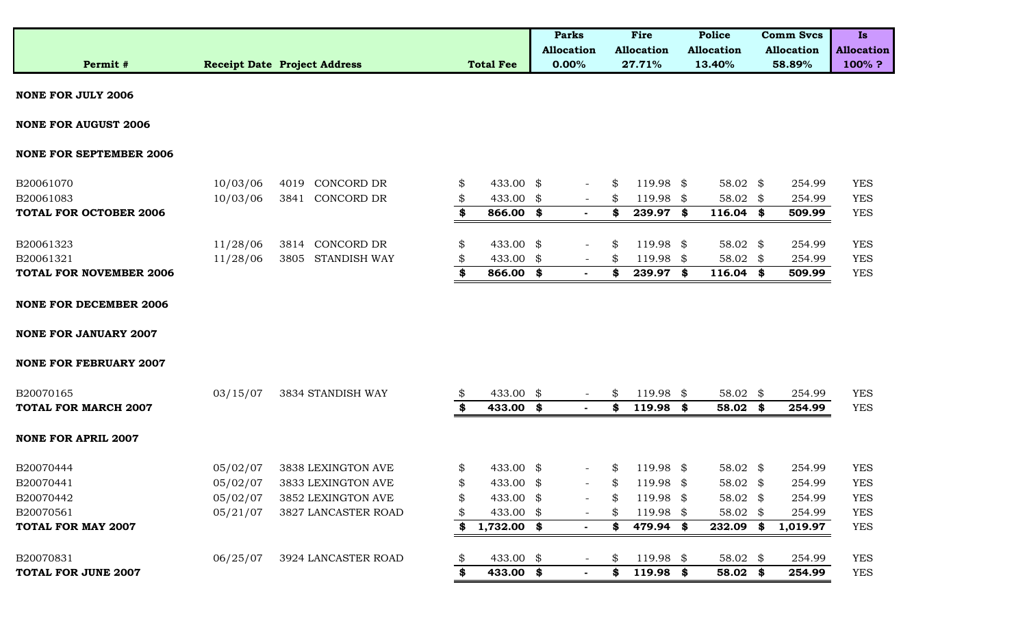|          |                                     |                  | <b>Parks</b>      | Fire              | <b>Police</b>     | <b>Comm Svcs</b>  | 1s                |
|----------|-------------------------------------|------------------|-------------------|-------------------|-------------------|-------------------|-------------------|
|          |                                     |                  | <b>Allocation</b> | <b>Allocation</b> | <b>Allocation</b> | <b>Allocation</b> | <b>Allocation</b> |
| Permit # | <b>Receipt Date Project Address</b> | <b>Total Fee</b> | $0.00\%$          | 27.71%            | 13.40%            | 58.89%            | 100%?             |

**NONE FOR JULY 2006**

**NONE FOR AUGUST 2006**

#### **NONE FOR SEPTEMBER 2006**

| B20061070                      | 10/03/06 | 4019 | CONCORD DR        | 433.00 \$ |        | 19.98     |   | 58.02 \$    | 254.99 | <b>YES</b> |
|--------------------------------|----------|------|-------------------|-----------|--------|-----------|---|-------------|--------|------------|
| B20061083                      | 10/03/06 | 3841 | CONCORD DR        | 433.00 \$ |        | 19.98     |   | 58.02 \$    | 254.99 | <b>YES</b> |
| <b>TOTAL FOR OCTOBER 2006</b>  |          |      |                   | 866.00    | $\sim$ | 239.97    | S | $116.04$ \$ | 509.99 | <b>YES</b> |
|                                |          |      |                   |           |        |           |   |             |        |            |
| B20061323                      | 11/28/06 |      | 3814 CONCORD DR   | 433.00 \$ |        | 119.98 \$ |   | 58.02 \$    | 254.99 | <b>YES</b> |
| B20061321                      | 11/28/06 |      | 3805 STANDISH WAY | 433.00 \$ |        | 19.98     |   | 58.02 \$    | 254.99 | <b>YES</b> |
| <b>TOTAL FOR NOVEMBER 2006</b> |          |      |                   | 866.00 \$ | $\sim$ | 239.97    |   | $116.04$ \$ | 509.99 | <b>YES</b> |

**NONE FOR DECEMBER 2006**

**NONE FOR JANUARY 2007**

#### **NONE FOR FEBRUARY 2007**

| B20070165                   | 03/15/07 | 3834 STANDISH WAY   | ۰ħ | 433.00 \$     | $\overline{\phantom{0}}$ | \$ | 19.98 \$    |      | $58.02$ \$          |     | 254.99   | <b>YES</b> |
|-----------------------------|----------|---------------------|----|---------------|--------------------------|----|-------------|------|---------------------|-----|----------|------------|
| <b>TOTAL FOR MARCH 2007</b> |          |                     |    | 433.00 \$     |                          | S  | 119.98      | - \$ | 58.02               |     | 254.99   | <b>YES</b> |
| <b>NONE FOR APRIL 2007</b>  |          |                     |    |               |                          |    |             |      |                     |     |          |            |
| B20070444                   | 05/02/07 | 3838 LEXINGTON AVE  |    | 433.00 \$     | $\overline{\phantom{0}}$ | \$ | $119.98$ \$ |      | $58.02 \text{ }$ \$ |     | 254.99   | <b>YES</b> |
| B20070441                   | 05/02/07 | 3833 LEXINGTON AVE  |    | 433.00 \$     | $-$                      | \$ | $119.98$ \$ |      | $58.02$ \$          |     | 254.99   | <b>YES</b> |
| B20070442                   | 05/02/07 | 3852 LEXINGTON AVE  |    | 433.00 \$     | $\overline{\phantom{0}}$ | \$ | l 19.98 \$  |      | 58.02 $$$           |     | 254.99   | <b>YES</b> |
| B20070561                   | 05/21/07 | 3827 LANCASTER ROAD |    | 433.00 \$     |                          | S  | 119.98 \$   |      | $58.02$ \$          |     | 254.99   | <b>YES</b> |
| <b>TOTAL FOR MAY 2007</b>   |          |                     |    | $1,732.00$ \$ |                          | S  | 479.94 \$   |      | 232.09              | -86 | 1,019.97 | <b>YES</b> |
| B20070831                   | 06/25/07 | 3924 LANCASTER ROAD |    | 433.00 \$     | $\overline{\phantom{0}}$ | \$ | $119.98$ \$ |      | $58.02$ \$          |     | 254.99   | <b>YES</b> |
| <b>TOTAL FOR JUNE 2007</b>  |          |                     |    | 433.00 \$     |                          | S  | $119.98$ \$ |      | 58.02               |     | 254.99   | <b>YES</b> |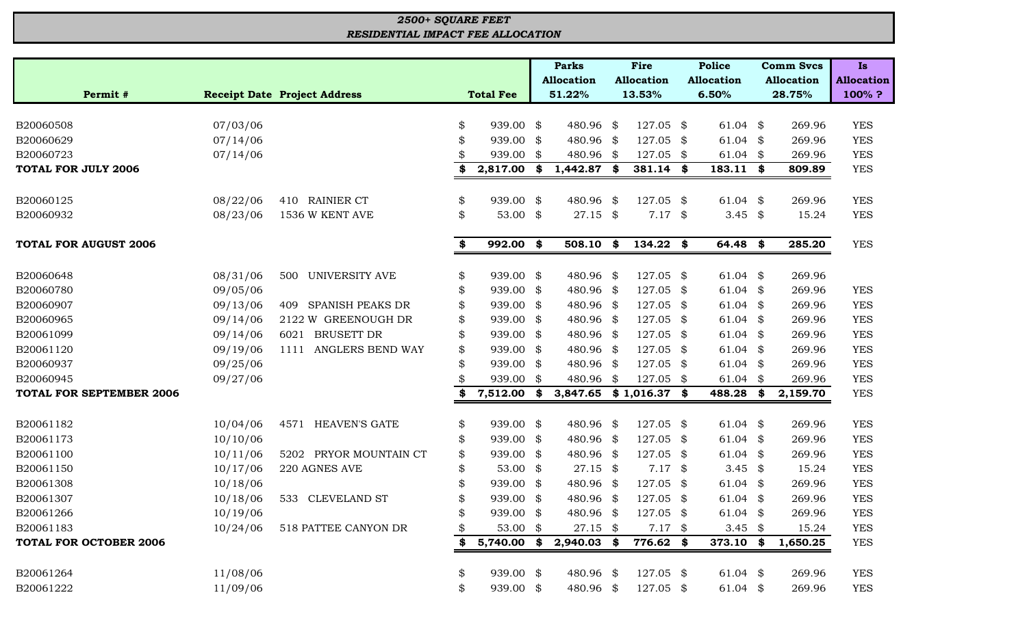## *RESIDENTIAL IMPACT FEE ALLOCATION 2500+ SQUARE FEET*

|                                 |                                     |    |                  | <b>Parks</b>      |      | Fire              | <b>Police</b>      | <b>Comm Svcs</b>  | <b>Is</b>         |
|---------------------------------|-------------------------------------|----|------------------|-------------------|------|-------------------|--------------------|-------------------|-------------------|
|                                 |                                     |    |                  | <b>Allocation</b> |      | <b>Allocation</b> | <b>Allocation</b>  | <b>Allocation</b> | <b>Allocation</b> |
| Permit #                        | <b>Receipt Date Project Address</b> |    | <b>Total Fee</b> | 51.22%            |      | 13.53%            | 6.50%              | 28.75%            | 100%?             |
|                                 |                                     |    |                  |                   |      |                   |                    |                   |                   |
| B20060508<br>07/03/06           |                                     | \$ | 939.00 \$        | 480.96 \$         |      | $127.05$ \$       | 61.04 $$$          | 269.96            | <b>YES</b>        |
| 07/14/06<br>B20060629           |                                     | \$ | 939.00           | \$<br>480.96      | \$   | 127.05            | \$<br>$61.04$ \$   | 269.96            | <b>YES</b>        |
| B20060723<br>07/14/06           |                                     |    | 939.00           | \$<br>480.96      | \$   | 127.05            | \$<br>$61.04$ \$   | 269.96            | <b>YES</b>        |
| <b>TOTAL FOR JULY 2006</b>      |                                     | S  | 2,817.00 \$      | 1,442.87          | SS.  | 381.14            | \$<br>$183.11$ \$  | 809.89            | <b>YES</b>        |
| 08/22/06<br>B20060125           | 410 RAINIER CT                      | \$ | 939.00 \$        | 480.96            | \$   | 127.05 \$         | $61.04$ \$         | 269.96            | <b>YES</b>        |
| 08/23/06<br>B20060932           | 1536 W KENT AVE                     | \$ | 53.00 \$         | $27.15$ \$        |      | $7.17$ \$         | 3.45 $$$           | 15.24             | <b>YES</b>        |
|                                 |                                     |    |                  |                   |      |                   |                    |                   |                   |
| <b>TOTAL FOR AUGUST 2006</b>    |                                     | \$ | 992.00 \$        | 508.10            | \$   | $134.22$ \$       | 64.48 \$           | 285.20            | <b>YES</b>        |
| B20060648<br>08/31/06           | <b>UNIVERSITY AVE</b><br>500        | \$ | 939.00 \$        | 480.96 \$         |      | 127.05 \$         | $61.04$ \$         | 269.96            |                   |
| 09/05/06<br>B20060780           |                                     | \$ | 939.00 \$        | 480.96 \$         |      | 127.05            | \$<br>$61.04$ \$   | 269.96            | <b>YES</b>        |
| 09/13/06<br>B20060907           | SPANISH PEAKS DR<br>409             | S  | 939.00 \$        | 480.96 \$         |      | 127.05            | \$<br>$61.04$ \$   | 269.96            | <b>YES</b>        |
| B20060965<br>09/14/06           | 2122 W GREENOUGH DR                 | \$ | 939.00 \$        | 480.96            | - \$ | 127.05            | \$<br>$61.04$ \$   | 269.96            | <b>YES</b>        |
| 09/14/06<br>B20061099           | 6021 BRUSETT DR                     | \$ | 939.00 \$        | 480.96            | -\$  | 127.05            | \$<br>$61.04$ \$   | 269.96            | <b>YES</b>        |
| B20061120<br>09/19/06           | ANGLERS BEND WAY<br>1111            | \$ | 939.00           | \$<br>480.96 \$   |      | 127.05            | \$<br>$61.04$ \$   | 269.96            | <b>YES</b>        |
| 09/25/06<br>B20060937           |                                     | \$ | 939.00 \$        | 480.96            | - \$ | 127.05 \$         | $61.04$ \$         | 269.96            | <b>YES</b>        |
| 09/27/06<br>B20060945           |                                     |    | 939.00           | \$<br>480.96      | \$   | 127.05            | \$<br>$61.04$ \$   | 269.96            | <b>YES</b>        |
| <b>TOTAL FOR SEPTEMBER 2006</b> |                                     | \$ | 7,512.00         | \$<br>3,847.65    |      | \$1,016.37        | \$<br>488.28 \$    | 2,159.70          | <b>YES</b>        |
|                                 |                                     |    |                  |                   |      |                   |                    |                   |                   |
| B20061182<br>10/04/06           | 4571 HEAVEN'S GATE                  | \$ | 939.00 \$        | 480.96 \$         |      | 127.05 \$         | $61.04$ \$         | 269.96            | <b>YES</b>        |
| 10/10/06<br>B20061173           |                                     | \$ | 939.00           | \$<br>480.96      | - \$ | 127.05            | \$<br>$61.04$ \$   | 269.96            | <b>YES</b>        |
| B20061100<br>10/11/06           | 5202 PRYOR MOUNTAIN CT              | \$ | $939.00$ \$      | 480.96            | - \$ | 127.05 \$         | $61.04$ \$         | 269.96            | <b>YES</b>        |
| 10/17/06<br>B20061150           | 220 AGNES AVE                       | \$ | 53.00 $$$        | 27.15             | \$   | 7.17              | \$<br>3.45 $$$     | 15.24             | <b>YES</b>        |
| B20061308<br>10/18/06           |                                     |    | 939.00           | \$<br>480.96 \$   |      | 127.05 \$         | $61.04$ \$         | 269.96            | <b>YES</b>        |
| B20061307<br>10/18/06           | 533 CLEVELAND ST                    | \$ | 939.00 \$        | 480.96 \$         |      | 127.05 \$         | $61.04$ \$         | 269.96            | <b>YES</b>        |
| 10/19/06<br>B20061266           |                                     | Φ  | 939.00 \$        | 480.96 \$         |      | 127.05 \$         | $61.04$ \$         | 269.96            | <b>YES</b>        |
| B20061183<br>10/24/06           | 518 PATTEE CANYON DR                |    | 53.00 \$         | $27.15$ \$        |      | $7.17$ \$         | 3.45 $\frac{1}{2}$ | 15.24             | <b>YES</b>        |
| <b>TOTAL FOR OCTOBER 2006</b>   |                                     | \$ | $5,740.00$ \$    | $2,940.03$ \$     |      | 776.62 \$         | 373.10 \$          | 1,650.25          | <b>YES</b>        |
| B20061264<br>11/08/06           |                                     | \$ | 939.00 \$        | 480.96 \$         |      | 127.05 \$         | 61.04 $$$          | 269.96            | <b>YES</b>        |
| B20061222<br>11/09/06           |                                     | \$ | 939.00 \$        | 480.96 \$         |      | 127.05 \$         | 61.04 $$$          | 269.96            | <b>YES</b>        |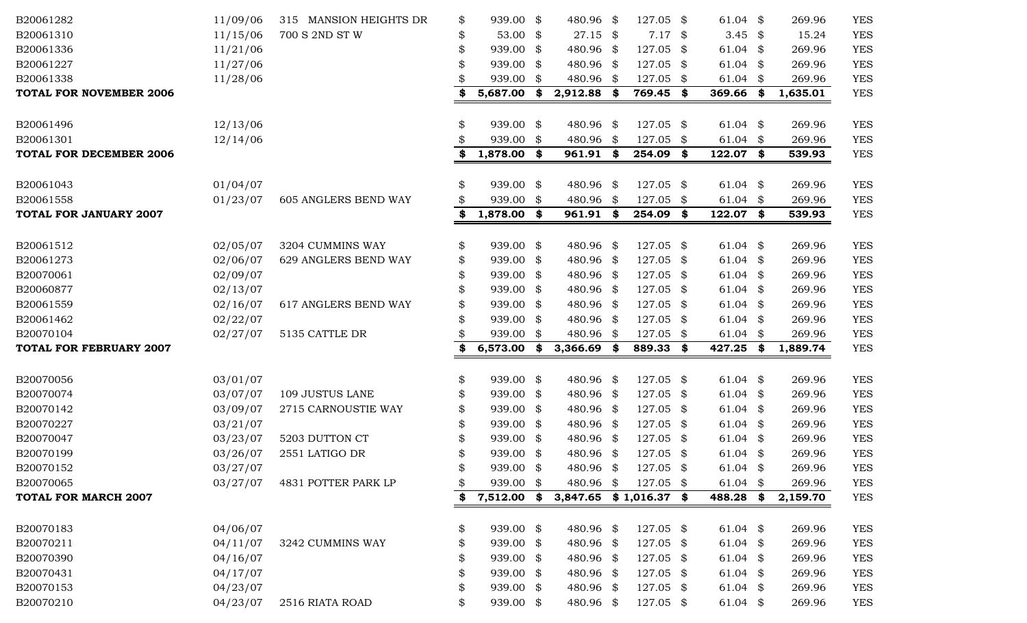| B20061282                      | 11/09/06 | 315 MANSION HEIGHTS DR | \$<br>939.00 \$     | 480.96                   | -\$  | 127.05 \$ |     | 61.04 $\frac{1}{2}$ | 269.96         | <b>YES</b> |
|--------------------------------|----------|------------------------|---------------------|--------------------------|------|-----------|-----|---------------------|----------------|------------|
| B20061310                      | 11/15/06 | 700 S 2ND ST W         | \$<br>53.00 $$$     | $27.15$ \$               |      | 7.17      | \$  | 3.45 $\frac{1}{2}$  | 15.24          | <b>YES</b> |
| B20061336                      | 11/21/06 |                        | \$<br>939.00 \$     | 480.96 \$                |      | 127.05    | \$  | 61.04 $$$           | 269.96         | <b>YES</b> |
| B20061227                      | 11/27/06 |                        | \$<br>939.00 \$     | 480.96 \$                |      | 127.05    | \$  | 61.04 $$$           | 269.96         | <b>YES</b> |
| B20061338                      | 11/28/06 |                        | 939.00 \$           | 480.96 \$                |      | 127.05    | \$  | $61.04$ \$          | 269.96         | <b>YES</b> |
| <b>TOTAL FOR NOVEMBER 2006</b> |          |                        | \$<br>5,687.00      | \$<br>2,912.88           | \$   | 769.45 \$ |     | 369.66              | \$<br>1,635.01 | <b>YES</b> |
| B20061496                      | 12/13/06 |                        | \$<br>939.00 \$     | 480.96                   | \$   | 127.05    | \$  | 61.04 $$$           | 269.96         | <b>YES</b> |
| B20061301                      | 12/14/06 |                        | 939.00 \$           | 480.96                   | \$   | 127.05    | \$  | 61.04 $$$           | 269.96         | <b>YES</b> |
| <b>TOTAL FOR DECEMBER 2006</b> |          |                        | \$<br>1,878.00 \$   | 961.91                   | \$   | 254.09    | \$  | 122.07 \$           | 539.93         | <b>YES</b> |
| B20061043                      | 01/04/07 |                        | \$<br>939.00 \$     | 480.96                   | \$   | 127.05    | \$  | 61.04 $$$           | 269.96         | <b>YES</b> |
| B20061558                      | 01/23/07 | 605 ANGLERS BEND WAY   | \$<br>939.00 \$     | 480.96                   | \$   | 127.05    | \$  | $61.04$ \$          | 269.96         | <b>YES</b> |
| <b>TOTAL FOR JANUARY 2007</b>  |          |                        | \$<br>1,878.00 \$   | 961.91                   | \$   | 254.09    | \$  | 122.07 \$           | 539.93         | <b>YES</b> |
| B20061512                      | 02/05/07 | 3204 CUMMINS WAY       | \$<br>939.00 \$     | 480.96 \$                |      | 127.05    | \$  | 61.04 $$$           | 269.96         | <b>YES</b> |
| B20061273                      | 02/06/07 | 629 ANGLERS BEND WAY   | \$<br>939.00 \$     | 480.96 \$                |      | 127.05    | \$  | 61.04 $$$           | 269.96         | <b>YES</b> |
| B20070061                      | 02/09/07 |                        | \$<br>939.00 \$     | 480.96 \$                |      | 127.05    | \$  | 61.04 $$$           | 269.96         | <b>YES</b> |
| B20060877                      | 02/13/07 |                        | \$<br>939.00 \$     | 480.96 \$                |      | 127.05    | \$  | $61.04$ \$          | 269.96         | <b>YES</b> |
| B20061559                      | 02/16/07 | 617 ANGLERS BEND WAY   | \$<br>939.00 \$     | 480.96 \$                |      | 127.05    | \$  | 61.04 $$$           | 269.96         | <b>YES</b> |
| B20061462                      | 02/22/07 |                        | 939.00 \$           | 480.96 \$                |      | 127.05    | \$  | 61.04 $$$           | 269.96         | <b>YES</b> |
| B20070104                      | 02/27/07 | 5135 CATTLE DR         | 939.00 \$           | 480.96                   | \$   | 127.05    | \$  | 61.04 $$$           | 269.96         | <b>YES</b> |
| <b>TOTAL FOR FEBRUARY 2007</b> |          |                        | \$<br>6,573.00      | \$<br>3,366.69           | \$   | 889.33    | \$  | 427.25              | \$<br>1,889.74 | <b>YES</b> |
| B20070056                      | 03/01/07 |                        | \$<br>939.00 \$     | 480.96 \$                |      | 127.05    | \$  | 61.04 $$$           | 269.96         | <b>YES</b> |
| B20070074                      | 03/07/07 | 109 JUSTUS LANE        | \$<br>939.00 \$     | 480.96 \$                |      | 127.05    | \$  | 61.04 $$$           | 269.96         | <b>YES</b> |
| B20070142                      | 03/09/07 | 2715 CARNOUSTIE WAY    | \$<br>939.00 \$     | 480.96 \$                |      | 127.05    | \$  | 61.04 $$$           | 269.96         | <b>YES</b> |
| B20070227                      | 03/21/07 |                        | \$<br>939.00 \$     | 480.96 \$                |      | 127.05    | \$  | $61.04$ \$          | 269.96         | <b>YES</b> |
| B20070047                      | 03/23/07 | 5203 DUTTON CT         | 939.00 \$           | 480.96 \$                |      | 127.05    | \$  | 61.04 $$$           | 269.96         | <b>YES</b> |
| B20070199                      | 03/26/07 | 2551 LATIGO DR         | 939.00 \$           | 480.96 \$                |      | 127.05 \$ |     | 61.04 $$$           | 269.96         | <b>YES</b> |
| B20070152                      | 03/27/07 |                        | \$<br>939.00 \$     | 480.96                   | \$   | 127.05    | \$  | 61.04 $$$           | 269.96         | YES        |
| B20070065                      | 03/27/07 | 4831 POTTER PARK LP    | \$<br>939.00 \$     | 480.96                   | - \$ | 127.05 \$ |     | 61.04 $$$           | 269.96         | <b>YES</b> |
| <b>TOTAL FOR MARCH 2007</b>    |          |                        | \$<br>$7,512.00$ \$ | $3,847.65$ \$1,016.37 \$ |      |           |     | 488.28 \$           | 2,159.70       | <b>YES</b> |
| B20070183                      | 04/06/07 |                        | \$<br>939.00 \$     | 480.96 \$                |      | 127.05 \$ |     | 61.04 $\frac{1}{2}$ | 269.96         | <b>YES</b> |
| B20070211                      | 04/11/07 | 3242 CUMMINS WAY       | \$<br>939.00 \$     | 480.96 \$                |      | 127.05 \$ |     | 61.04 $$$           | 269.96         | <b>YES</b> |
| B20070390                      | 04/16/07 |                        | \$<br>939.00 \$     | 480.96 \$                |      | 127.05    | -\$ | $61.04$ \$          | 269.96         | <b>YES</b> |
| B20070431                      | 04/17/07 |                        | \$<br>939.00 \$     | 480.96 \$                |      | 127.05    | -\$ | 61.04 $$$           | 269.96         | <b>YES</b> |
| B20070153                      | 04/23/07 |                        | \$<br>939.00 \$     | 480.96 \$                |      | 127.05    | \$  | $61.04$ \$          | 269.96         | <b>YES</b> |
| B20070210                      | 04/23/07 | 2516 RIATA ROAD        | \$<br>939.00 \$     | 480.96 \$                |      | 127.05 \$ |     | 61.04 $\frac{1}{2}$ | 269.96         | <b>YES</b> |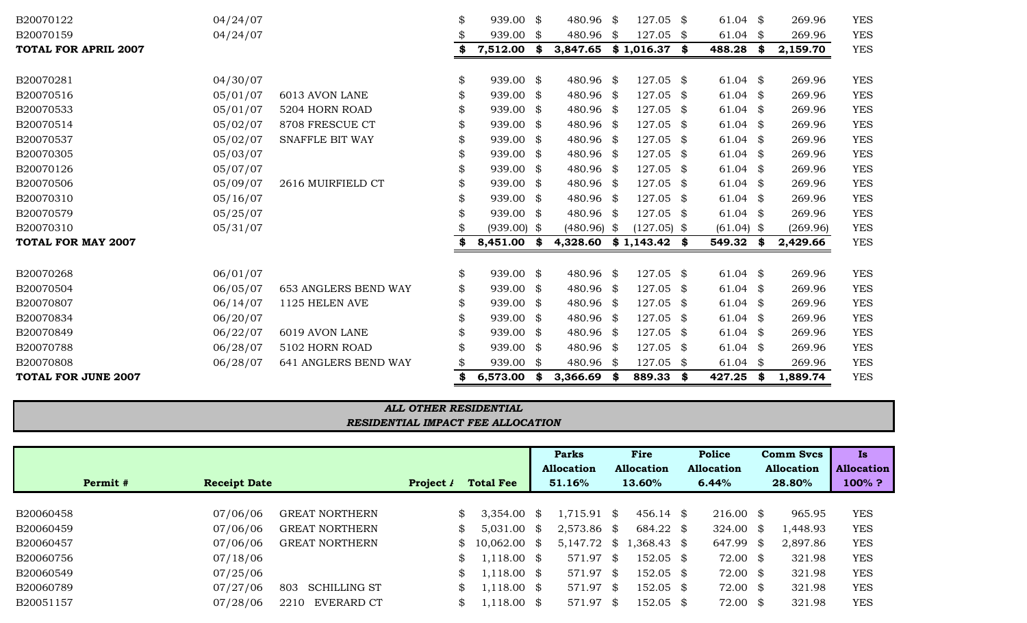|           |          |                     |                            |                |                      | <b>Parks</b>  |      | Fire                                          | <b>Police</b>        | <b>Comm Svcs</b>  | <b>Is</b>         |  |
|-----------|----------|---------------------|----------------------------|----------------|----------------------|---------------|------|-----------------------------------------------|----------------------|-------------------|-------------------|--|
|           |          |                     |                            |                |                      | Allocation    |      | <b>Allocation</b>                             | <b>Allocation</b>    | <b>Allocation</b> | <b>Allocation</b> |  |
|           | Permit # | <b>Receipt Date</b> |                            | Project $\ell$ | <b>Total Fee</b>     | 51.16%        |      | 13.60%                                        | 6.44%                | 28.80%            | $100\%$ ?         |  |
|           |          |                     |                            |                |                      |               |      |                                               |                      |                   |                   |  |
| B20060458 |          | 07/06/06            | <b>GREAT NORTHERN</b>      |                | $3,354.00$ \$<br>SS. | 1,715.91 \$   |      | 456.14 \$                                     | $216.00 \text{ }$ \$ | 965.95            | <b>YES</b>        |  |
| B20060459 |          | 07/06/06            | <b>GREAT NORTHERN</b>      |                | $5,031.00$ \$<br>\$  | $2,573.86$ \$ |      | 684.22 \$                                     | 324.00 $\frac{1}{2}$ | 1,448.93          | <b>YES</b>        |  |
| B20060457 |          | 07/06/06            | <b>GREAT NORTHERN</b>      |                | $$10,062.00$ \$      |               |      | 5,147.72 $\frac{1}{2}$ 1,368.43 $\frac{1}{2}$ | 647.99 \$            | 2,897.86          | <b>YES</b>        |  |
| B20060756 |          | 07/18/06            |                            |                | $1,118.00$ \$<br>\$  | 571.97        | - \$ | $152.05$ \$                                   | $72.00$ \$           | 321.98            | <b>YES</b>        |  |
| B20060549 |          | 07/25/06            |                            |                | $1,118.00$ \$<br>\$  | 571.97 \$     |      | $152.05$ \$                                   | $72.00$ \$           | 321.98            | <b>YES</b>        |  |
| B20060789 |          | 07/27/06            | 803<br><b>SCHILLING ST</b> |                | $1,118.00$ \$<br>\$. | 571.97        | - \$ | $152.05$ \$                                   | $72.00$ \$           | 321.98            | <b>YES</b>        |  |
| B20051157 |          | 07/28/06            | EVERARD CT<br>2210         |                | $1,118.00$ \$        | 571.97        | - \$ | $152.05$ \$                                   | 72.00 \$             | 321.98            | <b>YES</b>        |  |
|           |          |                     |                            |                |                      |               |      |                                               |                      |                   |                   |  |

## *RESIDENTIAL IMPACT FEE ALLOCATION ALL OTHER RESIDENTIAL*

| B20070122                   | 04/24/07 |                             | \$ | 939.00 \$     |      | 480.96 \$     | $127.05$ \$    | 61.04 $$$           |      | 269.96   | <b>YES</b> |
|-----------------------------|----------|-----------------------------|----|---------------|------|---------------|----------------|---------------------|------|----------|------------|
| B20070159                   | 04/24/07 |                             |    | 939.00        | - \$ | 480.96 \$     | 127.05 \$      | 61.04               | - \$ | 269.96   | <b>YES</b> |
| <b>TOTAL FOR APRIL 2007</b> |          |                             |    | 7,512.00      | - \$ | 3,847.65      | $$1,016.37$ \$ | 488.28              | \$   | 2,159.70 | <b>YES</b> |
|                             |          |                             |    |               |      |               |                |                     |      |          |            |
| B20070281                   | 04/30/07 |                             | \$ | $939.00$ \$   |      | 480.96 \$     | $127.05$ \$    | $61.04$ \$          |      | 269.96   | <b>YES</b> |
| B20070516                   | 05/01/07 | 6013 AVON LANE              |    | 939.00 \$     |      | 480.96 \$     | 127.05 \$      | $61.04$ \$          |      | 269.96   | <b>YES</b> |
| B20070533                   | 05/01/07 | 5204 HORN ROAD              | \$ | 939.00 \$     |      | 480.96 \$     | $127.05$ \$    | $61.04$ \$          |      | 269.96   | <b>YES</b> |
| B20070514                   | 05/02/07 | 8708 FRESCUE CT             | S  | 939.00 \$     |      | 480.96 \$     | 127.05 \$      | $61.04$ \$          |      | 269.96   | <b>YES</b> |
| B20070537                   | 05/02/07 | <b>SNAFFLE BIT WAY</b>      | \$ | 939.00 \$     |      | 480.96 \$     | 127.05 \$      | 61.04 $$$           |      | 269.96   | <b>YES</b> |
| B20070305                   | 05/03/07 |                             | \$ | 939.00 \$     |      | 480.96 \$     | 127.05 \$      | 61.04 $\frac{1}{2}$ |      | 269.96   | <b>YES</b> |
| B20070126                   | 05/07/07 |                             | S  | 939.00 \$     |      | 480.96 \$     | 127.05 \$      | 61.04 $$$           |      | 269.96   | <b>YES</b> |
| B20070506                   | 05/09/07 | 2616 MUIRFIELD CT           | \$ | 939.00 \$     |      | 480.96 \$     | 127.05 \$      | 61.04 $$$           |      | 269.96   | <b>YES</b> |
| B20070310                   | 05/16/07 |                             |    | 939.00 \$     |      | 480.96 \$     | 127.05 \$      | $61.04$ \$          |      | 269.96   | <b>YES</b> |
| B20070579                   | 05/25/07 |                             |    | 939.00 \$     |      | 480.96 \$     | 127.05 \$      | $61.04$ \$          |      | 269.96   | <b>YES</b> |
| B20070310                   | 05/31/07 |                             |    | $(939.00)$ \$ |      | $(480.96)$ \$ | $(127.05)$ \$  | $(61.04)$ \$        |      | (269.96) | <b>YES</b> |
| <b>TOTAL FOR MAY 2007</b>   |          |                             |    | 8,451.00      | - \$ | 4,328.60      | $$1,143.42$ \$ | 549.32              |      | 2,429.66 | <b>YES</b> |
|                             |          |                             |    |               |      |               |                |                     |      |          |            |
| B20070268                   | 06/01/07 |                             | \$ | 939.00 \$     |      | 480.96 \$     | $127.05$ \$    | $61.04$ \$          |      | 269.96   | <b>YES</b> |
| B20070504                   | 06/05/07 | <b>653 ANGLERS BEND WAY</b> | \$ | 939.00 \$     |      | 480.96 \$     | 127.05 \$      | $61.04$ \$          |      | 269.96   | <b>YES</b> |
| B20070807                   | 06/14/07 | 1125 HELEN AVE              | \$ | 939.00 \$     |      | 480.96 \$     | $127.05$ \$    | 61.04 $$$           |      | 269.96   | <b>YES</b> |
| B20070834                   | 06/20/07 |                             | S  | 939.00 \$     |      | 480.96 \$     | 127.05 \$      | 61.04 $$$           |      | 269.96   | <b>YES</b> |
| B20070849                   | 06/22/07 | 6019 AVON LANE              |    | 939.00 \$     |      | 480.96 \$     | 127.05 \$      | 61.04 $$$           |      | 269.96   | <b>YES</b> |
| B20070788                   | 06/28/07 | 5102 HORN ROAD              |    | 939.00 \$     |      | 480.96 \$     | 127.05 \$      | 61.04 $$$           |      | 269.96   | <b>YES</b> |
| B20070808                   | 06/28/07 | 641 ANGLERS BEND WAY        |    | 939.00 \$     |      | 480.96 \$     | 127.05 \$      | 61.04               | - \$ | 269.96   | <b>YES</b> |
| <b>TOTAL FOR JUNE 2007</b>  |          |                             | \$ | 6,573.00      | \$   | 3,366.69      | \$<br>889.33   | \$<br>427.25        | \$   | 1,889.74 | <b>YES</b> |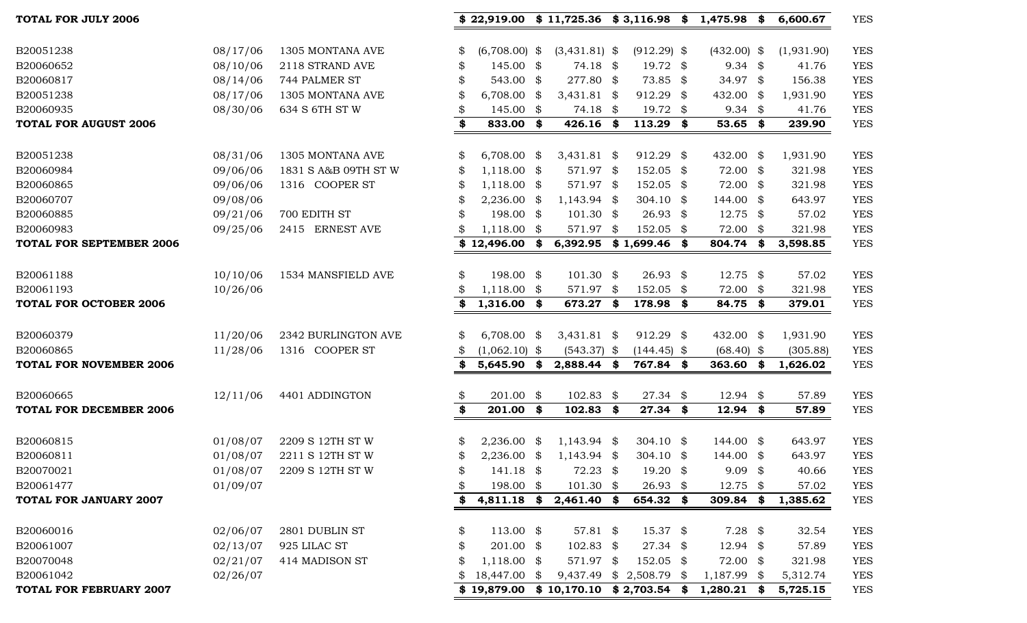| B20051238                       | 08/17/06 | 1305 MONTANA AVE     | \$<br>$(6,708.00)$ \$ | $(3,431.81)$ \$                        | $(912.29)$ \$           | $(432.00)$ \$ |     | (1,931.90) | <b>YES</b> |
|---------------------------------|----------|----------------------|-----------------------|----------------------------------------|-------------------------|---------------|-----|------------|------------|
| B20060652                       | 08/10/06 | 2118 STRAND AVE      | \$<br>$145.00$ \$     | 74.18 \$                               | 19.72 $\frac{1}{2}$     | $9.34$ \$     |     | 41.76      | <b>YES</b> |
| B20060817                       | 08/14/06 | 744 PALMER ST        | 543.00 \$             | 277.80 \$                              | 73.85 \$                | 34.97 \$      |     | 156.38     | <b>YES</b> |
| B20051238                       | 08/17/06 | 1305 MONTANA AVE     | $6,708.00$ \$         | 3,431.81 \$                            | 912.29 \$               | 432.00 \$     |     | 1,931.90   | <b>YES</b> |
| B20060935                       | 08/30/06 | 634 S 6TH ST W       | $145.00$ \$           | 74.18 \$                               | 19.72 \$                | $9.34$ \$     |     | 41.76      | <b>YES</b> |
| <b>TOTAL FOR AUGUST 2006</b>    |          |                      | \$<br>833.00 \$       | 426.16 \$                              | $113.29$ \$             | $53.65$ \$    |     | 239.90     | <b>YES</b> |
|                                 |          |                      |                       |                                        |                         |               |     |            |            |
| B20051238                       | 08/31/06 | 1305 MONTANA AVE     | \$<br>$6,708.00$ \$   | 3,431.81 \$                            | 912.29 \$               | 432.00 \$     |     | 1,931.90   | <b>YES</b> |
| B20060984                       | 09/06/06 | 1831 S A&B 09TH ST W | \$<br>$1,118.00$ \$   | 571.97 \$                              | 152.05 \$               | 72.00 \$      |     | 321.98     | <b>YES</b> |
| B20060865                       | 09/06/06 | 1316 COOPER ST       | $1,118.00$ \$         | 571.97 \$                              | 152.05 \$               | 72.00 \$      |     | 321.98     | <b>YES</b> |
| B20060707                       | 09/08/06 |                      | $2,236.00$ \$         | $1,143.94$ \$                          | 304.10 $\frac{1}{2}$    | 144.00 \$     |     | 643.97     | <b>YES</b> |
| B20060885                       | 09/21/06 | 700 EDITH ST         | 198.00 \$             | $101.30$ \$                            | $26.93$ \$              | 12.75         | -\$ | 57.02      | <b>YES</b> |
| B20060983                       | 09/25/06 | 2415 ERNEST AVE      | $1,118.00$ \$         | 571.97 \$                              | 152.05 \$               | 72.00 \$      |     | 321.98     | <b>YES</b> |
| <b>TOTAL FOR SEPTEMBER 2006</b> |          |                      | \$12,496.00           | \$<br>6,392.95 \$1,699.46 \$           |                         | 804.74        | \$  | 3,598.85   | <b>YES</b> |
|                                 |          |                      |                       |                                        |                         |               |     |            |            |
| B20061188                       | 10/10/06 | 1534 MANSFIELD AVE   | \$<br>198.00 \$       | $101.30$ \$                            | $26.93$ \$              | $12.75$ \$    |     | 57.02      | <b>YES</b> |
| B20061193                       | 10/26/06 |                      | $1,118.00$ \$         | 571.97 \$                              | 152.05 \$               | 72.00 \$      |     | 321.98     | <b>YES</b> |
| <b>TOTAL FOR OCTOBER 2006</b>   |          |                      | \$<br>$1,316.00$ \$   | 673.27 \$                              | 178.98 \$               | 84.75 \$      |     | 379.01     | <b>YES</b> |
| B20060379                       | 11/20/06 | 2342 BURLINGTON AVE  | \$<br>$6,708.00$ \$   | $3,431.81$ \$                          | 912.29 \$               | 432.00 \$     |     | 1,931.90   | <b>YES</b> |
| B20060865                       | 11/28/06 | 1316 COOPER ST       | $(1,062.10)$ \$       | $(543.37)$ \$                          | $(144.45)$ \$           | $(68.40)$ \$  |     | (305.88)   | <b>YES</b> |
| <b>TOTAL FOR NOVEMBER 2006</b>  |          |                      | \$<br>5,645.90        | \$<br>2,888.44 \$                      | 767.84 \$               | 363.60        | \$  | 1,626.02   | <b>YES</b> |
|                                 |          |                      |                       |                                        |                         |               |     |            |            |
| B20060665                       | 12/11/06 | 4401 ADDINGTON       | \$<br>201.00 \$       | $102.83$ \$                            | $27.34$ \$              | $12.94$ \$    |     | 57.89      | <b>YES</b> |
| <b>TOTAL FOR DECEMBER 2006</b>  |          |                      | \$<br>201.00 \$       | $102.83$ \$                            | $27.34$ \$              | $12.94$ \$    |     | 57.89      | <b>YES</b> |
|                                 |          |                      |                       |                                        |                         |               |     |            |            |
| B20060815                       | 01/08/07 | 2209 S 12TH ST W     | \$<br>$2,236.00$ \$   | $1,143.94$ \$                          | 304.10 $\frac{1}{9}$    | 144.00 \$     |     | 643.97     | <b>YES</b> |
| B20060811                       | 01/08/07 | 2211 S 12TH ST W     | \$<br>$2,236.00$ \$   | $1,143.94$ \$                          | 304.10 $\frac{1}{2}$    | 144.00 \$     |     | 643.97     | <b>YES</b> |
| B20070021                       | 01/08/07 | 2209 S 12TH ST W     | \$<br>$141.18$ \$     | $72.23$ \$                             | $19.20$ \$              | $9.09$ \$     |     | 40.66      | <b>YES</b> |
| B20061477                       | 01/09/07 |                      | \$<br>198.00 \$       | $101.30$ \$                            | 26.93 \$                | 12.75 \$      |     | 57.02      | <b>YES</b> |
| <b>TOTAL FOR JANUARY 2007</b>   |          |                      | \$                    | 4,811.18 \$ 2,461.40 \$                | 654.32 \$               | 309.84        | \$  | 1,385.62   | <b>YES</b> |
|                                 |          |                      |                       |                                        |                         |               |     |            |            |
| B20060016                       | 02/06/07 | 2801 DUBLIN ST       | \$<br>$113.00$ \$     | 57.81 $$$                              | $15.37$ \$              | $7.28$ \$     |     | 32.54      | <b>YES</b> |
| B20061007                       | 02/13/07 | 925 LILAC ST         | \$<br>201.00 \$       | $102.83$ \$                            | $27.34$ \$              | $12.94$ \$    |     | 57.89      | <b>YES</b> |
| B20070048                       | 02/21/07 | 414 MADISON ST       | $1,118.00$ \$         | 571.97 \$                              | 152.05 \$               | 72.00 \$      |     | 321.98     | <b>YES</b> |
| B20061042                       | 02/26/07 |                      | \$<br>18,447.00 \$    |                                        | 9,437.49 \$ 2,508.79 \$ | $1,187.99$ \$ |     | 5,312.74   | <b>YES</b> |
| <b>TOTAL FOR FEBRUARY 2007</b>  |          |                      |                       | $$19,879.00 \$10,170.10 \$2,703.54 \$$ |                         | $1,280.21$ \$ |     | 5,725.15   | <b>YES</b> |

**TOTAL FOR JULY 2006 \$ 22,919.00 \$ 11,725.36 \$ 3,116.98 \$ 1,475.98 \$ 6,600.67** YES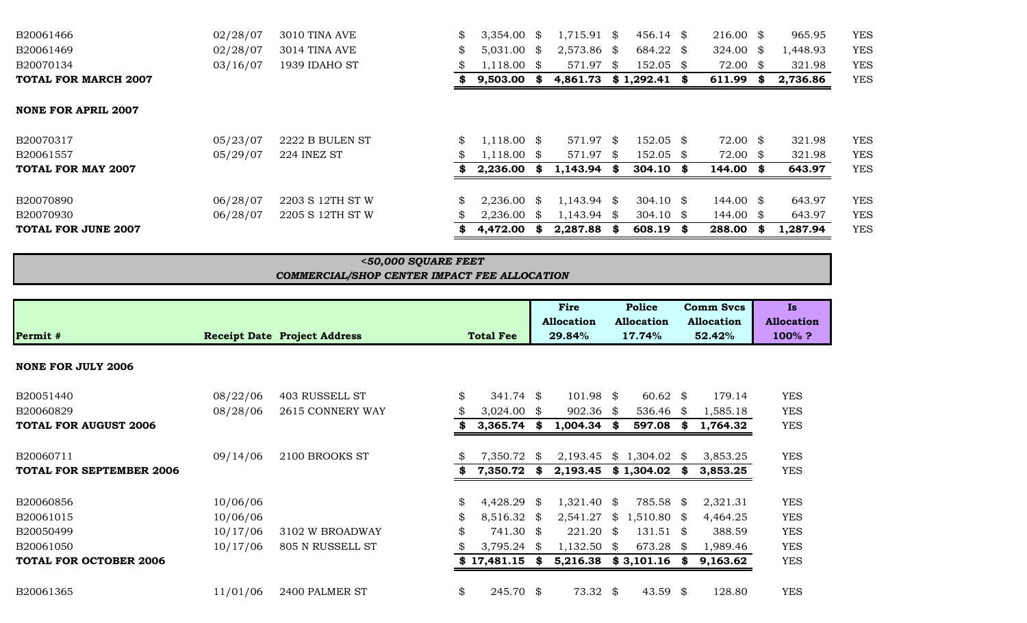| B20061466                   | 02/28/07 | 3010 TINA AVE    | $\mathbb{S}$ | $3,354.00$ \$ | $1,715.91$ \$ |     | $456.14$ \$          |      | $216.00 \text{ }$ \$ |     | 965.95   | <b>YES</b> |
|-----------------------------|----------|------------------|--------------|---------------|---------------|-----|----------------------|------|----------------------|-----|----------|------------|
| B20061469                   | 02/28/07 | 3014 TINA AVE    | \$           | $5,031.00$ \$ | 2,573.86 \$   |     | 684.22 \$            |      | 324.00 \$            |     | 1,448.93 | <b>YES</b> |
| B20070134                   | 03/16/07 | 1939 IDAHO ST    |              | $1,118.00$ \$ | 571.97        | SS. | $152.05$ \$          |      | 72.00 \$             |     | 321.98   | <b>YES</b> |
| <b>TOTAL FOR MARCH 2007</b> |          |                  |              | $9,503.00$ \$ | 4,861.73      |     | \$1,292.41           | - 86 | 611.99               | -86 | 2,736.86 | <b>YES</b> |
| <b>NONE FOR APRIL 2007</b>  |          |                  |              |               |               |     |                      |      |                      |     |          |            |
| B20070317                   | 05/23/07 | 2222 B BULEN ST  | \$           | $1,118.00$ \$ | 571.97 \$     |     | $152.05$ \$          |      | 72.00 \$             |     | 321.98   | <b>YES</b> |
| B20061557                   | 05/29/07 | 224 INEZ ST      |              | $1,118.00$ \$ | 571.97 \$     |     | 152.05 \$            |      | $72.00$ \$           |     | 321.98   | <b>YES</b> |
| <b>TOTAL FOR MAY 2007</b>   |          |                  |              | $2,236.00$ \$ | $1,143.94$ \$ |     | $304.10$ \$          |      | 144.00 \$            |     | 643.97   | <b>YES</b> |
| B20070890                   | 06/28/07 | 2203 S 12TH ST W | \$           | $2,236.00$ \$ | $1,143.94$ \$ |     | $304.10 \text{ }$ \$ |      | 144.00 \$            |     | 643.97   | <b>YES</b> |
| B20070930                   | 06/28/07 | 2205 S 12TH ST W |              | $2,236.00$ \$ | $1,143.94$ \$ |     | 304.10 $\frac{1}{2}$ |      | $144.00 \text{ }$ \$ |     | 643.97   | <b>YES</b> |
| TOTAL FOR JUNE 2007         |          |                  |              | $4,472.00$ \$ | $2,287.88$ \$ |     | $608.19$ \$          |      | 288.00               |     | 1,287.94 | <b>YES</b> |
|                             |          |                  |              |               |               |     |                      |      |                      |     |          |            |

## *COMMERCIAL/SHOP CENTER IMPACT FEE ALLOCATION <50,000 SQUARE FEET*

|                                 |          |                                     |                   |      | Fire<br><b>Allocation</b> |    | <b>Police</b><br><b>Allocation</b> |      | <b>Comm Svcs</b><br><b>Allocation</b> | Is<br><b>Allocation</b> |
|---------------------------------|----------|-------------------------------------|-------------------|------|---------------------------|----|------------------------------------|------|---------------------------------------|-------------------------|
| Permit #                        |          | <b>Receipt Date Project Address</b> | <b>Total Fee</b>  |      | 29.84%                    |    | 17.74%                             |      | 52.42%                                | 100%?                   |
| <b>NONE FOR JULY 2006</b>       |          |                                     |                   |      |                           |    |                                    |      |                                       |                         |
| B20051440                       | 08/22/06 | 403 RUSSELL ST                      | \$<br>$341.74$ \$ |      | $101.98$ \$               |    | $60.62 \text{ }$ \$                |      | 179.14                                | <b>YES</b>              |
| B20060829                       | 08/28/06 | 2615 CONNERY WAY                    | $3,024.00$ \$     |      | $902.36$ \$               |    | 536.46                             | SS.  | 1,585.18                              | <b>YES</b>              |
| <b>TOTAL FOR AUGUST 2006</b>    |          |                                     | 3,365.74          | \$   | 1,004.34                  | S. | 597.08                             | S    | 1,764.32                              | <b>YES</b>              |
| B20060711                       | 09/14/06 | 2100 BROOKS ST                      | 7,350.72          | S.   | 2,193.45                  | \$ | 1,304.02                           | \$   | 3,853.25                              | <b>YES</b>              |
| <b>TOTAL FOR SEPTEMBER 2006</b> |          |                                     | 7,350.72          | -8   | 2,193.45                  |    | \$1,304.02                         |      | 3,853.25                              | <b>YES</b>              |
| B20060856                       | 10/06/06 |                                     | \$<br>4,428.29    | - \$ | $1,321.40$ \$             |    | 785.58                             | \$   | 2,321.31                              | <b>YES</b>              |
| B20061015                       | 10/06/06 |                                     | \$<br>8,516.32    | \$   | 2,541.27                  | \$ | 1,510.80                           | \$   | 4,464.25                              | <b>YES</b>              |
| B20050499                       | 10/17/06 | 3102 W BROADWAY                     | \$<br>741.30 \$   |      | $221.20$ \$               |    | 131.51                             | -SS  | 388.59                                | <b>YES</b>              |
| B20061050                       | 10/17/06 | 805 N RUSSELL ST                    | $3,795.24$ \$     |      | $1,132.50$ \$             |    | 673.28                             | - \$ | 1,989.46                              | <b>YES</b>              |
| <b>TOTAL FOR OCTOBER 2006</b>   |          |                                     | \$17,481.15       | \$   | 5,216.38                  |    | \$3,101.16                         | SS.  | 9,163.62                              | <b>YES</b>              |
| B20061365                       | 11/01/06 | 2400 PALMER ST                      | \$<br>245.70 \$   |      | $73.32$ \$                |    | 43.59                              | \$   | 128.80                                | <b>YES</b>              |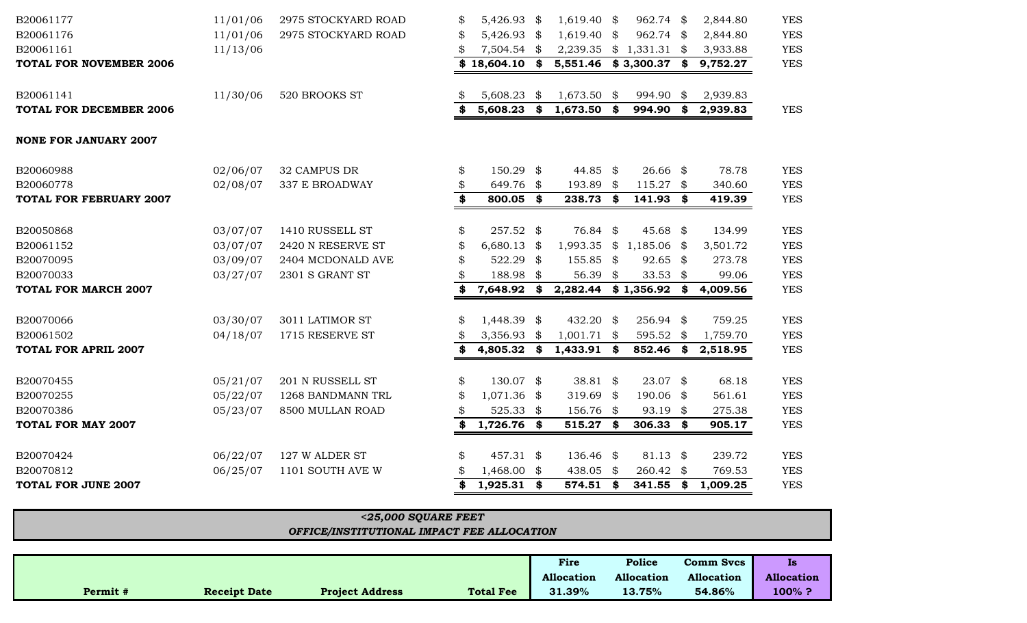| B20061177                      | 11/01/06 | 2975 STOCKYARD ROAD | \$<br>5,426.93 \$   | 1,619.40       | - \$ | 962.74 \$      | 2,844.80 | <b>YES</b> |
|--------------------------------|----------|---------------------|---------------------|----------------|------|----------------|----------|------------|
| B20061176                      | 11/01/06 | 2975 STOCKYARD ROAD | \$<br>5,426.93 \$   | 1,619.40       | \$   | 962.74 \$      | 2,844.80 | <b>YES</b> |
| B20061161                      | 11/13/06 |                     | $7,504.54$ \$       | 2,239.35       |      | $$1,331.31$ \$ | 3,933.88 | <b>YES</b> |
| <b>TOTAL FOR NOVEMBER 2006</b> |          |                     | $$18,604.10$ \$     | 5,551.46       |      | $$3,300.37$ \$ | 9,752.27 | <b>YES</b> |
| B20061141                      | 11/30/06 | 520 BROOKS ST       | 5,608.23            | \$<br>1,673.50 | \$   | 994.90 \$      | 2,939.83 |            |
| <b>TOTAL FOR DECEMBER 2006</b> |          |                     | $$5,608.23$ \$      | $1,673.50$ \$  |      | 994.90 \$      | 2,939.83 | <b>YES</b> |
| <b>NONE FOR JANUARY 2007</b>   |          |                     |                     |                |      |                |          |            |
| B20060988                      | 02/06/07 | 32 CAMPUS DR        | \$<br>150.29 \$     | 44.85 \$       |      | $26.66$ \$     | 78.78    | <b>YES</b> |
| B20060778                      | 02/08/07 | 337 E BROADWAY      | \$<br>649.76 \$     | 193.89         | \$   | $115.27$ \$    | 340.60   | <b>YES</b> |
| <b>TOTAL FOR FEBRUARY 2007</b> |          |                     | \$<br>800.05 \$     | 238.73         | \$   | 141.93 \$      | 419.39   | <b>YES</b> |
| B20050868                      | 03/07/07 | 1410 RUSSELL ST     | \$<br>257.52 \$     | 76.84 \$       |      | 45.68 \$       | 134.99   | <b>YES</b> |
| B20061152                      | 03/07/07 | 2420 N RESERVE ST   | \$<br>$6,680.13$ \$ | 1,993.35       |      | $$1,185.06$ \$ | 3,501.72 | <b>YES</b> |
| B20070095                      | 03/09/07 | 2404 MCDONALD AVE   | \$<br>522.29 \$     | 155.85         | \$   | $92.65$ \$     | 273.78   | <b>YES</b> |
| B20070033                      | 03/27/07 | 2301 S GRANT ST     | 188.98 \$           | 56.39 \$       |      | 33.53 $$$      | 99.06    | <b>YES</b> |
| <b>TOTAL FOR MARCH 2007</b>    |          |                     | 7,648.92            | \$<br>2,282.44 |      | $$1,356.92$ \$ | 4,009.56 | <b>YES</b> |
| B20070066                      | 03/30/07 | 3011 LATIMOR ST     | \$<br>1,448.39 \$   | $432.20$ \$    |      | 256.94 \$      | 759.25   | <b>YES</b> |
| B20061502                      | 04/18/07 | 1715 RESERVE ST     | \$<br>3,356.93 \$   | 1,001.71       | \$   | 595.52 \$      | 1,759.70 | <b>YES</b> |
| <b>TOTAL FOR APRIL 2007</b>    |          |                     | \$<br>4,805.32 \$   | $1,433.91$ \$  |      | 852.46 \$      | 2,518.95 | <b>YES</b> |
| B20070455                      | 05/21/07 | 201 N RUSSELL ST    | \$<br>130.07 \$     | 38.81 $$$      |      | $23.07$ \$     | 68.18    | <b>YES</b> |
| B20070255                      | 05/22/07 | 1268 BANDMANN TRL   | \$<br>$1,071.36$ \$ | 319.69         | - \$ | 190.06 \$      | 561.61   | <b>YES</b> |
| B20070386                      | 05/23/07 | 8500 MULLAN ROAD    | 525.33 $$$          | 156.76 \$      |      | 93.19 \$       | 275.38   | <b>YES</b> |
| <b>TOTAL FOR MAY 2007</b>      |          |                     | \$<br>$1,726.76$ \$ | 515.27         | \$   | $306.33$ \$    | 905.17   | <b>YES</b> |
| B20070424                      | 06/22/07 | 127 W ALDER ST      | \$<br>457.31 \$     | 136.46 \$      |      | $81.13$ \$     | 239.72   | <b>YES</b> |
| B20070812                      | 06/25/07 | 1101 SOUTH AVE W    | 1,468.00 \$         | 438.05         | \$   | 260.42 \$      | 769.53   | <b>YES</b> |
| <b>TOTAL FOR JUNE 2007</b>     |          |                     | $1,925.31$ \$       | 574.51 \$      |      | 341.55 \$      | 1,009.25 | <b>YES</b> |
|                                |          |                     |                     |                |      |                |          |            |

| $<$ 25,000 SQUARE FEET                     |            |                   |                  |  |                   |  |  |  |  |  |  |  |
|--------------------------------------------|------------|-------------------|------------------|--|-------------------|--|--|--|--|--|--|--|
| OFFICE/INSTITUTIONAL IMPACT FEE ALLOCATION |            |                   |                  |  |                   |  |  |  |  |  |  |  |
|                                            |            |                   |                  |  |                   |  |  |  |  |  |  |  |
|                                            | Fire       | Police            | <b>Comm Svcs</b> |  | <b>Is</b>         |  |  |  |  |  |  |  |
|                                            | Allocation | <b>Allocation</b> | Allocation       |  | <b>Allocation</b> |  |  |  |  |  |  |  |

**Permit # Receipt Date Project Address Total Fee 31.39% 13.75% 54.86% 100% ?**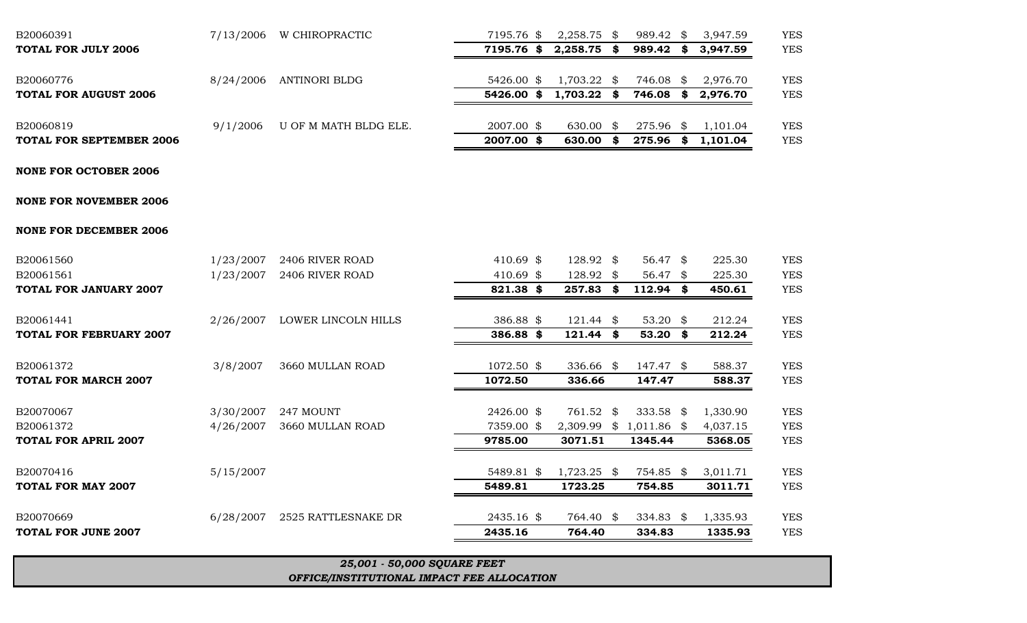## *OFFICE/INSTITUTIONAL IMPACT FEE ALLOCATION*

*25,001 - 50,000 SQUARE FEET*

| <b>NONE FOR OCTOBER 2006</b>   |           |                     |            |               |    |                         |          |            |
|--------------------------------|-----------|---------------------|------------|---------------|----|-------------------------|----------|------------|
| <b>NONE FOR NOVEMBER 2006</b>  |           |                     |            |               |    |                         |          |            |
| <b>NONE FOR DECEMBER 2006</b>  |           |                     |            |               |    |                         |          |            |
| B20061560                      | 1/23/2007 | 2406 RIVER ROAD     | 410.69 \$  | 128.92 \$     |    | 56.47 $\frac{1}{2}$     | 225.30   | <b>YES</b> |
| B20061561                      | 1/23/2007 | 2406 RIVER ROAD     | 410.69 $$$ | 128.92 \$     |    | 56.47 \$                | 225.30   | <b>YES</b> |
| <b>TOTAL FOR JANUARY 2007</b>  |           |                     | 821.38 \$  | 257.83        | \$ | $112.94$ \$             | 450.61   | <b>YES</b> |
| B20061441                      | 2/26/2007 | LOWER LINCOLN HILLS | 386.88 \$  | $121.44$ \$   |    | 53.20 $$$               | 212.24   | <b>YES</b> |
| <b>TOTAL FOR FEBRUARY 2007</b> |           |                     | 386.88 \$  | 121.44        | S. | $53.20$ \$              | 212.24   | <b>YES</b> |
| B20061372                      | 3/8/2007  | 3660 MULLAN ROAD    | 1072.50 \$ | 336.66 \$     |    | 147.47 \$               | 588.37   | <b>YES</b> |
| <b>TOTAL FOR MARCH 2007</b>    |           |                     | 1072.50    | 336.66        |    | 147.47                  | 588.37   | <b>YES</b> |
| B20070067                      | 3/30/2007 | 247 MOUNT           | 2426.00 \$ | 761.52 \$     |    | 333.58 $$$              | 1,330.90 | <b>YES</b> |
| B20061372                      | 4/26/2007 | 3660 MULLAN ROAD    | 7359.00 \$ |               |    | 2,309.99 \$ 1,011.86 \$ | 4,037.15 | <b>YES</b> |
| <b>TOTAL FOR APRIL 2007</b>    |           |                     | 9785.00    | 3071.51       |    | 1345.44                 | 5368.05  | <b>YES</b> |
| B20070416                      | 5/15/2007 |                     | 5489.81 \$ | $1,723.25$ \$ |    | 754.85 \$               | 3,011.71 | <b>YES</b> |
| <b>TOTAL FOR MAY 2007</b>      |           |                     | 5489.81    | 1723.25       |    | 754.85                  | 3011.71  | <b>YES</b> |
| B20070669                      | 6/28/2007 | 2525 RATTLESNAKE DR | 2435.16 \$ | 764.40 \$     |    | 334.83 $\frac{1}{2}$    | 1,335.93 | <b>YES</b> |
| <b>TOTAL FOR JUNE 2007</b>     |           |                     | 2435.16    | 764.40        |    | 334.83                  | 1335.93  | <b>YES</b> |
|                                |           |                     |            |               |    |                         |          |            |

## B20060391 7/13/2006 W CHIROPRACTIC 7195.76 \$ 2,258.75 \$ 989.42 \$ 3,947.59 YES **TOTAL FOR JULY 2006 7195.76 \$ 2,258.75 \$ 989.42 \$ 3,947.59** YES B20060776 8/24/2006 ANTINORI BLDG 5426.00 \$ 1,703.22 \$ 746.08 \$ 2,976.70 YES **TOTAL FOR AUGUST 2006 5426.00 \$ 1,703.22 \$ 746.08 \$ 2,976.70** YES B20060819 9/1/2006 U OF M MATH BLDG ELE. 2007.00 \$ 630.00 \$ 275.96 \$ 1,101.04 YES **TOTAL FOR SEPTEMBER 2006** YES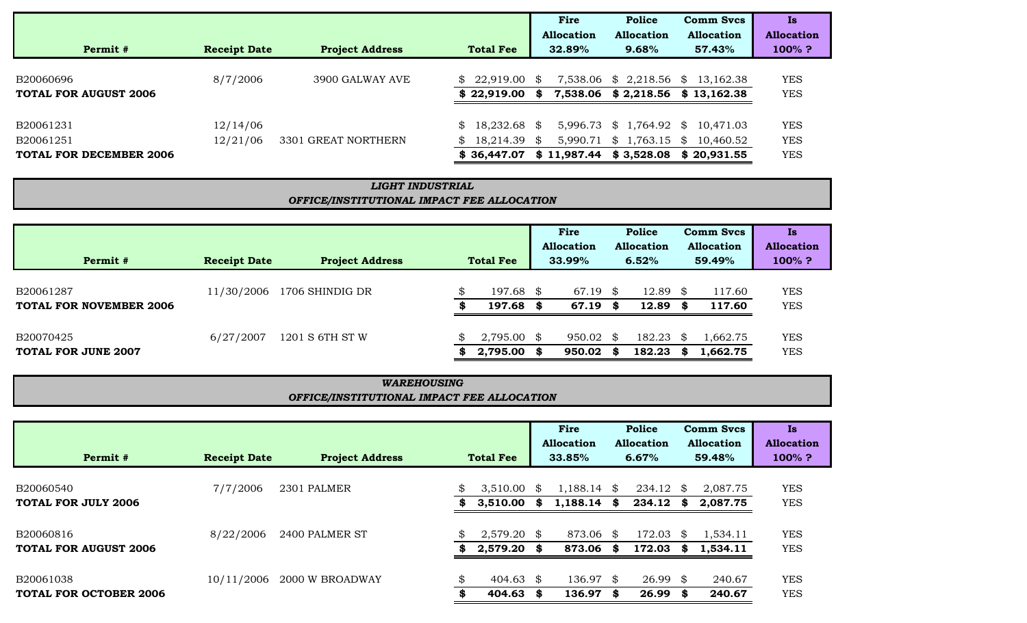|                                |                     |                        |                                | Fire        | <b>Police</b>           | <b>Comm Svcs</b>                  | Is                |
|--------------------------------|---------------------|------------------------|--------------------------------|-------------|-------------------------|-----------------------------------|-------------------|
|                                |                     |                        |                                | Allocation  | <b>Allocation</b>       | <b>Allocation</b>                 | <b>Allocation</b> |
| Permit #                       | <b>Receipt Date</b> | <b>Project Address</b> | <b>Total Fee</b>               | 32.89%      | 9.68%                   | 57.43%                            | $100\%$ ?         |
|                                |                     |                        |                                |             |                         |                                   |                   |
| B20060696                      | 8/7/2006            | 3900 GALWAY AVE        | \$22,919.00                    | - \$        | 7,538.06 \$ 2,218.56 \$ | 13,162.38                         | <b>YES</b>        |
| <b>TOTAL FOR AUGUST 2006</b>   |                     |                        | \$22,919.00                    | \$.         |                         | 7,538.06 \$2,218.56 \$13,162.38   | <b>YES</b>        |
| B20061231                      | 12/14/06            |                        | \$18,232.68                    | - \$        |                         | 5,996.73 \$ 1,764.92 \$ 10,471.03 | <b>YES</b>        |
| B20061251                      | 12/21/06            | 3301 GREAT NORTHERN    | 18,214.39 \$<br>$\mathbb{S}^-$ |             |                         | 5,990.71 \$ 1,763.15 \$ 10,460.52 | <b>YES</b>        |
| <b>TOTAL FOR DECEMBER 2006</b> |                     |                        | \$36,447.07                    | \$11,987.44 |                         | $$3,528.08$ $$20,931.55$          | <b>YES</b>        |

## *OFFICE/INSTITUTIONAL IMPACT FEE ALLOCATION LIGHT INDUSTRIAL*

| Permit #                                    | <b>Receipt Date</b> | <b>Project Address</b> |         | <b>Total Fee</b>          |            | Fire<br><b>Allocation</b><br>33.99% |         | <b>Police</b><br><b>Allocation</b><br>6.52% |              | <b>Comm Svcs</b><br><b>Allocation</b><br>59.49% | Is<br><b>Allocation</b><br>$100\%$ ? |
|---------------------------------------------|---------------------|------------------------|---------|---------------------------|------------|-------------------------------------|---------|---------------------------------------------|--------------|-------------------------------------------------|--------------------------------------|
| B20061287<br><b>TOTAL FOR NOVEMBER 2006</b> | 11/30/2006          | 1706 SHINDIG DR        | œ       | 197.68<br>197.68          | -SS<br>SS. | 67.19<br>67.19                      | \$<br>S | 12.89<br>12.89                              | - \$<br>- SS | 117.60<br>117.60                                | <b>YES</b><br><b>YES</b>             |
| B20070425<br><b>TOTAL FOR JUNE 2007</b>     | 6/27/2007           | 1201 S 6TH ST W        | \$<br>S | $2,795.00$ \$<br>2,795.00 | S.         | 950.02<br>950.02                    | \$<br>S | 182.23<br>182.23                            | - \$         | .,662.75<br>1,662.75                            | <b>YES</b><br><b>YES</b>             |

## *OFFICE/INSTITUTIONAL IMPACT FEE ALLOCATION WAREHOUSING*

| Permit #                                   | <b>Receipt Date</b> | <b>Project Address</b> |         | <b>Total Fee</b>               |              | Fire<br>Allocation<br>33.85% |      | Police<br><b>Allocation</b><br>6.67% |           | <b>Comm Svcs</b><br><b>Allocation</b><br>59.48% | Is<br><b>Allocation</b><br>$100\%$ ? |
|--------------------------------------------|---------------------|------------------------|---------|--------------------------------|--------------|------------------------------|------|--------------------------------------|-----------|-------------------------------------------------|--------------------------------------|
| B20060540<br><b>TOTAL FOR JULY 2006</b>    | 7/7/2006            | 2301 PALMER            | \$<br>S | 3,510.00<br>3,510.00           | - \$<br>- 86 | 1,188.14<br>$1,188.14$ \$    | - \$ | 234.12<br>234.12                     | SS.<br>S  | 2,087.75<br>2,087.75                            | <b>YES</b><br><b>YES</b>             |
| B20060816<br><b>TOTAL FOR AUGUST 2006</b>  | 8/22/2006           | 2400 PALMER ST         | \$<br>s | $2,579.20$ \$<br>$2,579.20$ \$ |              | 873.06 \$<br>873.06          | -8   | 172.03<br>172.03                     | SS.<br>SS | 1,534.11<br>1,534.11                            | <b>YES</b><br><b>YES</b>             |
| B20061038<br><b>TOTAL FOR OCTOBER 2006</b> | 10/11/2006          | 2000 W BROADWAY        | \$      | 404.63<br>404.63               | - \$<br>S.   | 136.97 \$<br>136.97          | -8   | $26.99$ \$<br>$26.99$ \$             |           | 240.67<br>240.67                                | <b>YES</b><br><b>YES</b>             |